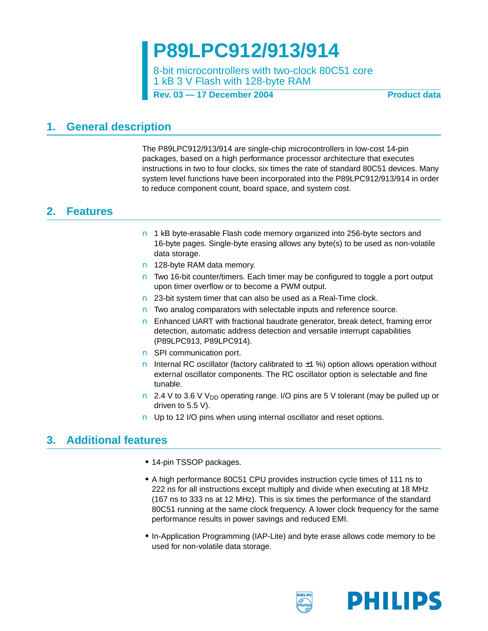**P89LPC912/913/914**

8-bit microcontrollers with two-clock 80C51 core 1 kB 3 V Flash with 128-byte RAM

**Product data** 

#### <span id="page-0-1"></span>**1. General description**

The P89LPC912/913/914 are single-chip microcontrollers in low-cost 14-pin packages, based on a high performance processor architecture that executes instructions in two to four clocks, six times the rate of standard 80C51 devices. Many system level functions have been incorporated into the P89LPC912/913/914 in order to reduce component count, board space, and system cost.

### <span id="page-0-0"></span>**2. Features**

- 1 kB byte-erasable Flash code memory organized into 256-byte sectors and 16-byte pages. Single-byte erasing allows any byte(s) to be used as non-volatile data storage.
- 128-byte RAM data memory.
- Two 16-bit counter/timers. Each timer may be configured to toggle a port output upon timer overflow or to become a PWM output.
- 23-bit system timer that can also be used as a Real-Time clock.
- Two analog comparators with selectable inputs and reference source.
- Enhanced UART with fractional baudrate generator, break detect, framing error detection, automatic address detection and versatile interrupt capabilities (P89LPC913, P89LPC914).
- SPI communication port.
- Internal RC oscillator (factory calibrated to  $±1$  %) option allows operation without external oscillator components. The RC oscillator option is selectable and fine tunable.
- 2.4 V to 3.6 V V<sub>DD</sub> operating range. I/O pins are 5 V tolerant (may be pulled up or driven to 5.5 V).
- Up to 12 I/O pins when using internal oscillator and reset options.

#### <span id="page-0-2"></span>**3. Additional features**

- **•** 14-pin TSSOP packages.
- **•** A high performance 80C51 CPU provides instruction cycle times of 111 ns to 222 ns for all instructions except multiply and divide when executing at 18 MHz (167 ns to 333 ns at 12 MHz). This is six times the performance of the standard 80C51 running at the same clock frequency. A lower clock frequency for the same performance results in power savings and reduced EMI.
- **•** In-Application Programming (IAP-Lite) and byte erase allows code memory to be used for non-volatile data storage.

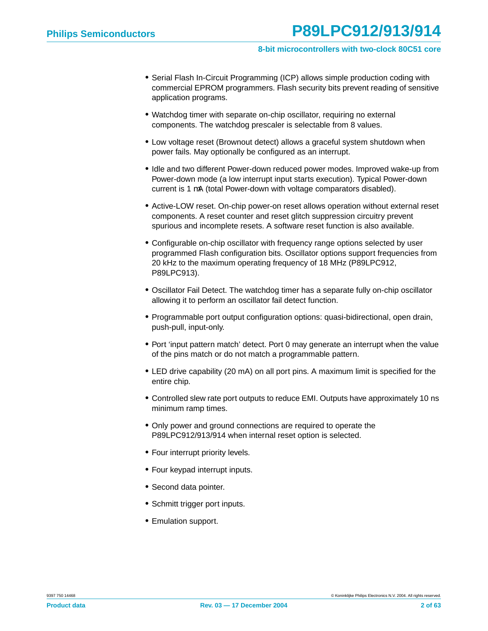- **•** Serial Flash In-Circuit Programming (ICP) allows simple production coding with commercial EPROM programmers. Flash security bits prevent reading of sensitive application programs.
- **•** Watchdog timer with separate on-chip oscillator, requiring no external components. The watchdog prescaler is selectable from 8 values.
- **•** Low voltage reset (Brownout detect) allows a graceful system shutdown when power fails. May optionally be configured as an interrupt.
- **•** Idle and two different Power-down reduced power modes. Improved wake-up from Power-down mode (a low interrupt input starts execution). Typical Power-down current is 1 µA (total Power-down with voltage comparators disabled).
- **•** Active-LOW reset. On-chip power-on reset allows operation without external reset components. A reset counter and reset glitch suppression circuitry prevent spurious and incomplete resets. A software reset function is also available.
- **•** Configurable on-chip oscillator with frequency range options selected by user programmed Flash configuration bits. Oscillator options support frequencies from 20 kHz to the maximum operating frequency of 18 MHz (P89LPC912, P89LPC913).
- **•** Oscillator Fail Detect. The watchdog timer has a separate fully on-chip oscillator allowing it to perform an oscillator fail detect function.
- **•** Programmable port output configuration options: quasi-bidirectional, open drain, push-pull, input-only.
- **•** Port 'input pattern match' detect. Port 0 may generate an interrupt when the value of the pins match or do not match a programmable pattern.
- **•** LED drive capability (20 mA) on all port pins. A maximum limit is specified for the entire chip.
- **•** Controlled slew rate port outputs to reduce EMI. Outputs have approximately 10 ns minimum ramp times.
- **•** Only power and ground connections are required to operate the P89LPC912/913/914 when internal reset option is selected.
- **•** Four interrupt priority levels.
- **•** Four keypad interrupt inputs.
- **•** Second data pointer.
- **•** Schmitt trigger port inputs.
- **•** Emulation support.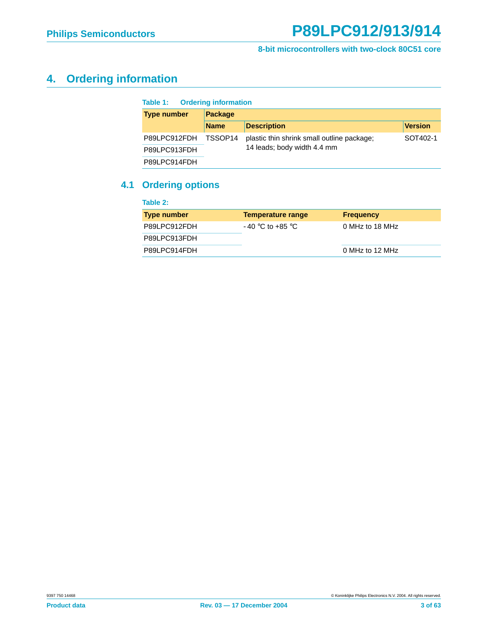## <span id="page-2-0"></span>**4. Ordering information**

| <b>Ordering information</b><br>Table 1: |             |                                            |                |  |  |  |  |  |  |
|-----------------------------------------|-------------|--------------------------------------------|----------------|--|--|--|--|--|--|
| <b>Type number</b>                      | Package     |                                            |                |  |  |  |  |  |  |
|                                         | <b>Name</b> | <b>Description</b>                         | <b>Version</b> |  |  |  |  |  |  |
| P89LPC912FDH                            | TSSOP14     | plastic thin shrink small outline package; | SOT402-1       |  |  |  |  |  |  |
| P89LPC913FDH                            |             | 14 leads; body width 4.4 mm                |                |  |  |  |  |  |  |
| P89LPC914FDH                            |             |                                            |                |  |  |  |  |  |  |

#### <span id="page-2-1"></span>**4.1 Ordering options**

| Table 2:           |                    |                  |
|--------------------|--------------------|------------------|
| <b>Type number</b> | Temperature range  | <b>Frequency</b> |
| P89LPC912FDH       | $-40$ °C to +85 °C | 0 MHz to 18 MHz  |
| P89LPC913FDH       |                    |                  |
| P89LPC914FDH       |                    | 0 MHz to 12 MHz  |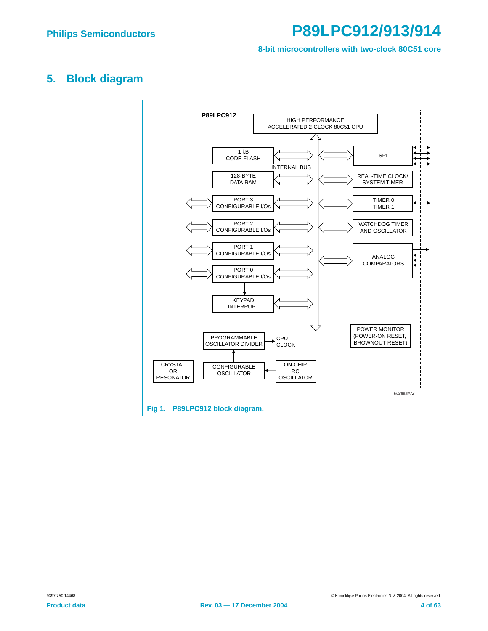## <span id="page-3-0"></span>**5. Block diagram**

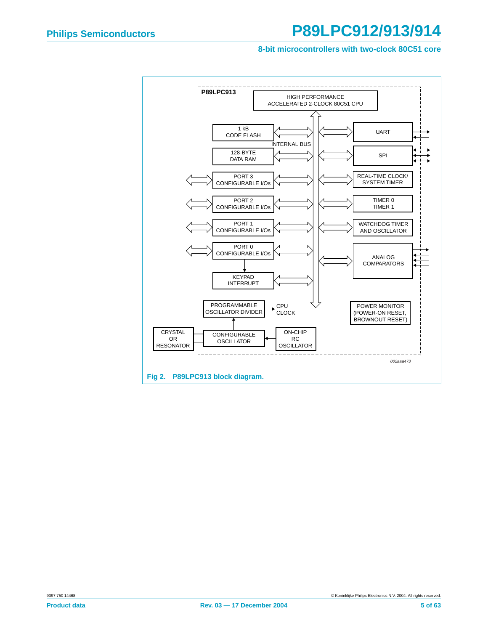#### **8-bit microcontrollers with two-clock 80C51 core**

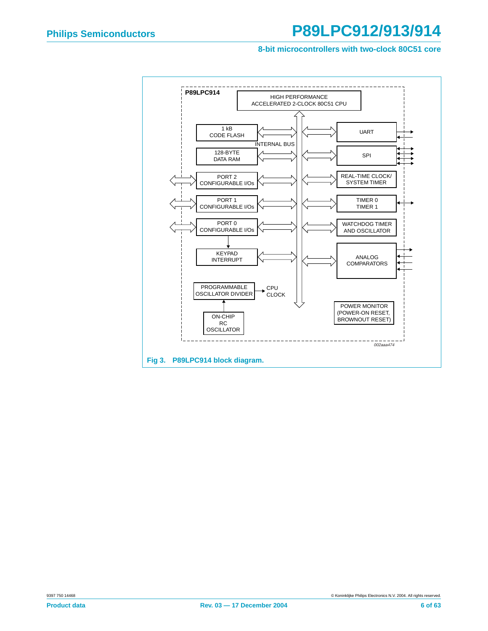#### **8-bit microcontrollers with two-clock 80C51 core**

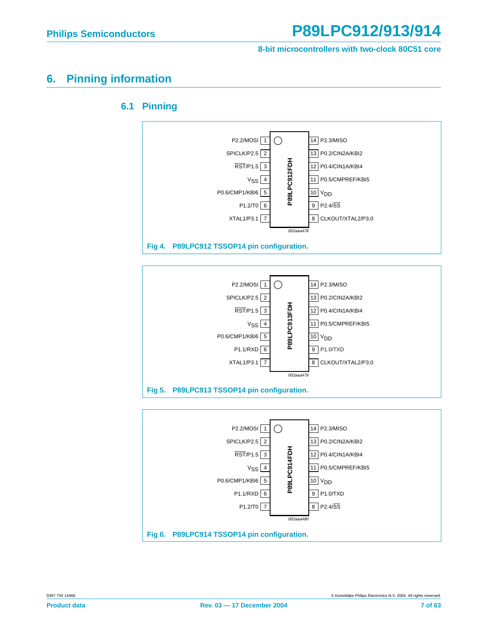**8-bit microcontrollers with two-clock 80C51 core**

#### <span id="page-6-1"></span><span id="page-6-0"></span>**6. Pinning information**



#### P2.2/MOSI  $\bigcap$ 1 14 | P2.3/MISO 2 SPICLK/P2.5 P0.2/CIN2A/KBI2 13 P89LPC914FDH **P89LPC914FDH** 3 RST/P1.5 P0.4/CIN1A/KBI4 12 4 VSS 11 | P0.5/CMPREF/KBI5 5 P0.6/CMP1/KBI6 10 V<sub>DD</sub> 6 P1.1/RXD P1.0/TXD 9 7 P1.2/T0 P2.4/SS 8002aaa480 **Fig 6. P89LPC914 TSSOP14 pin configuration.**

#### **6.1 Pinning**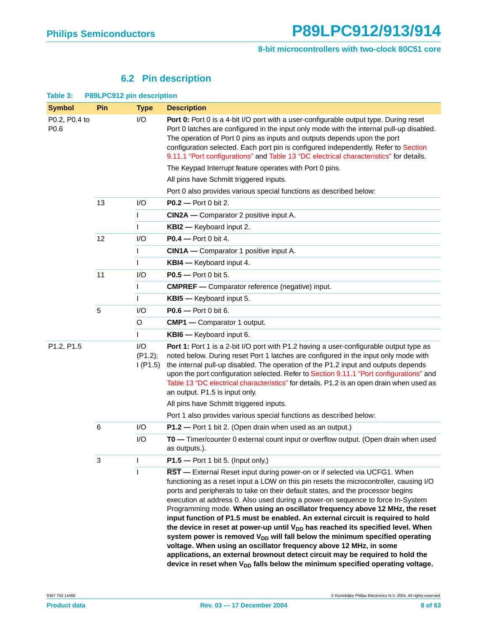#### **6.2 Pin description**

<span id="page-7-0"></span>

| Table 3:                            | P89LPC912 pin description |                           |                                                                                                                                                                                                                                                                                                                                                                                                                                                                                                                                                                                                                                                                                                                                                                                                                                                                                                                                                    |  |  |  |  |  |
|-------------------------------------|---------------------------|---------------------------|----------------------------------------------------------------------------------------------------------------------------------------------------------------------------------------------------------------------------------------------------------------------------------------------------------------------------------------------------------------------------------------------------------------------------------------------------------------------------------------------------------------------------------------------------------------------------------------------------------------------------------------------------------------------------------------------------------------------------------------------------------------------------------------------------------------------------------------------------------------------------------------------------------------------------------------------------|--|--|--|--|--|
| <b>Symbol</b>                       | Pin                       | <b>Type</b>               | <b>Description</b>                                                                                                                                                                                                                                                                                                                                                                                                                                                                                                                                                                                                                                                                                                                                                                                                                                                                                                                                 |  |  |  |  |  |
| P0.2, P0.4 to<br>P0.6<br>P1.2, P1.5 |                           | I/O                       | Port 0: Port 0 is a 4-bit I/O port with a user-configurable output type. During reset<br>Port 0 latches are configured in the input only mode with the internal pull-up disabled.<br>The operation of Port 0 pins as inputs and outputs depends upon the port<br>configuration selected. Each port pin is configured independently. Refer to Section<br>9.11.1 "Port configurations" and Table 13 "DC electrical characteristics" for details.<br>The Keypad Interrupt feature operates with Port 0 pins.                                                                                                                                                                                                                                                                                                                                                                                                                                          |  |  |  |  |  |
|                                     |                           |                           | All pins have Schmitt triggered inputs.                                                                                                                                                                                                                                                                                                                                                                                                                                                                                                                                                                                                                                                                                                                                                                                                                                                                                                            |  |  |  |  |  |
|                                     |                           |                           | Port 0 also provides various special functions as described below:                                                                                                                                                                                                                                                                                                                                                                                                                                                                                                                                                                                                                                                                                                                                                                                                                                                                                 |  |  |  |  |  |
|                                     | 13                        | I/O                       | <b>P0.2</b> - Port 0 bit 2.                                                                                                                                                                                                                                                                                                                                                                                                                                                                                                                                                                                                                                                                                                                                                                                                                                                                                                                        |  |  |  |  |  |
|                                     |                           | L                         | <b>CIN2A</b> — Comparator 2 positive input A.                                                                                                                                                                                                                                                                                                                                                                                                                                                                                                                                                                                                                                                                                                                                                                                                                                                                                                      |  |  |  |  |  |
|                                     |                           | L                         | <b>KBI2</b> - Keyboard input 2.                                                                                                                                                                                                                                                                                                                                                                                                                                                                                                                                                                                                                                                                                                                                                                                                                                                                                                                    |  |  |  |  |  |
|                                     | 12                        | I/O                       | $P0.4$ - Port 0 bit 4.                                                                                                                                                                                                                                                                                                                                                                                                                                                                                                                                                                                                                                                                                                                                                                                                                                                                                                                             |  |  |  |  |  |
|                                     |                           | L                         | CIN1A - Comparator 1 positive input A.                                                                                                                                                                                                                                                                                                                                                                                                                                                                                                                                                                                                                                                                                                                                                                                                                                                                                                             |  |  |  |  |  |
|                                     |                           | т                         | <b>KBI4</b> - Keyboard input 4.                                                                                                                                                                                                                                                                                                                                                                                                                                                                                                                                                                                                                                                                                                                                                                                                                                                                                                                    |  |  |  |  |  |
|                                     | 11                        | I/O                       | <b>P0.5</b> — Port 0 bit 5.                                                                                                                                                                                                                                                                                                                                                                                                                                                                                                                                                                                                                                                                                                                                                                                                                                                                                                                        |  |  |  |  |  |
|                                     |                           | L                         | <b>CMPREF</b> - Comparator reference (negative) input.                                                                                                                                                                                                                                                                                                                                                                                                                                                                                                                                                                                                                                                                                                                                                                                                                                                                                             |  |  |  |  |  |
|                                     |                           | L                         | KBI5 - Keyboard input 5.                                                                                                                                                                                                                                                                                                                                                                                                                                                                                                                                                                                                                                                                                                                                                                                                                                                                                                                           |  |  |  |  |  |
|                                     | $\overline{5}$            | I/O                       | <b>P0.6</b> — Port 0 bit 6.                                                                                                                                                                                                                                                                                                                                                                                                                                                                                                                                                                                                                                                                                                                                                                                                                                                                                                                        |  |  |  |  |  |
|                                     |                           | O                         | <b>CMP1</b> — Comparator 1 output.                                                                                                                                                                                                                                                                                                                                                                                                                                                                                                                                                                                                                                                                                                                                                                                                                                                                                                                 |  |  |  |  |  |
|                                     |                           | $\mathbf{I}$              | KBI6 - Keyboard input 6.                                                                                                                                                                                                                                                                                                                                                                                                                                                                                                                                                                                                                                                                                                                                                                                                                                                                                                                           |  |  |  |  |  |
|                                     |                           | I/O<br>(P1.2);<br>I(P1.5) | Port 1: Port 1 is a 2-bit I/O port with P1.2 having a user-configurable output type as<br>noted below. During reset Port 1 latches are configured in the input only mode with<br>the internal pull-up disabled. The operation of the P1.2 input and outputs depends<br>upon the port configuration selected. Refer to Section 9.11.1 "Port configurations" and<br>Table 13 "DC electrical characteristics" for details. P1.2 is an open drain when used as<br>an output. P1.5 is input only.                                                                                                                                                                                                                                                                                                                                                                                                                                                       |  |  |  |  |  |
|                                     |                           |                           | All pins have Schmitt triggered inputs.                                                                                                                                                                                                                                                                                                                                                                                                                                                                                                                                                                                                                                                                                                                                                                                                                                                                                                            |  |  |  |  |  |
|                                     |                           |                           | Port 1 also provides various special functions as described below:                                                                                                                                                                                                                                                                                                                                                                                                                                                                                                                                                                                                                                                                                                                                                                                                                                                                                 |  |  |  |  |  |
|                                     | 6                         | I/O                       | P1.2 - Port 1 bit 2. (Open drain when used as an output.)                                                                                                                                                                                                                                                                                                                                                                                                                                                                                                                                                                                                                                                                                                                                                                                                                                                                                          |  |  |  |  |  |
|                                     |                           | I/O                       | TO — Timer/counter 0 external count input or overflow output. (Open drain when used<br>as outputs.).                                                                                                                                                                                                                                                                                                                                                                                                                                                                                                                                                                                                                                                                                                                                                                                                                                               |  |  |  |  |  |
|                                     | 3                         | L                         | $P1.5$ – Port 1 bit 5. (Input only.)                                                                                                                                                                                                                                                                                                                                                                                                                                                                                                                                                                                                                                                                                                                                                                                                                                                                                                               |  |  |  |  |  |
|                                     |                           | $\mathsf I$               | RST - External Reset input during power-on or if selected via UCFG1. When<br>functioning as a reset input a LOW on this pin resets the microcontroller, causing I/O<br>ports and peripherals to take on their default states, and the processor begins<br>execution at address 0. Also used during a power-on sequence to force In-System<br>Programming mode. When using an oscillator frequency above 12 MHz, the reset<br>input function of P1.5 must be enabled. An external circuit is required to hold<br>the device in reset at power-up until V <sub>DD</sub> has reached its specified level. When<br>system power is removed $V_{DD}$ will fall below the minimum specified operating<br>voltage. When using an oscillator frequency above 12 MHz, in some<br>applications, an external brownout detect circuit may be required to hold the<br>device in reset when V <sub>DD</sub> falls below the minimum specified operating voltage. |  |  |  |  |  |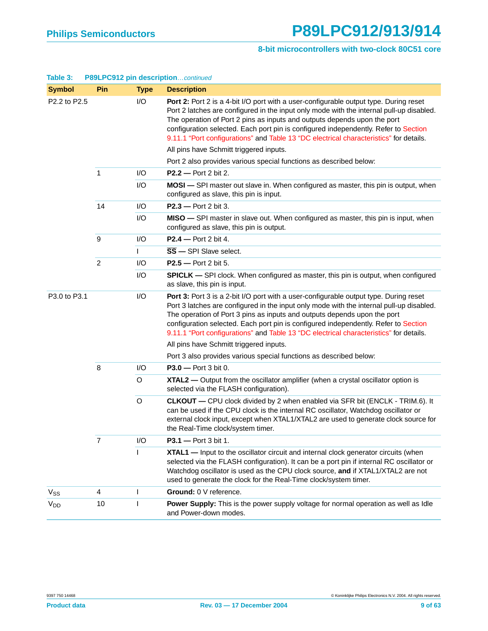| <b>Symbol</b>         | Pin            | <b>Type</b> | <b>Description</b>                                                                                                                                                                                                                                                                                                                                                                                                                                    |
|-----------------------|----------------|-------------|-------------------------------------------------------------------------------------------------------------------------------------------------------------------------------------------------------------------------------------------------------------------------------------------------------------------------------------------------------------------------------------------------------------------------------------------------------|
| P2.2 to P2.5          |                | I/O         | <b>Port 2:</b> Port 2 is a 4-bit I/O port with a user-configurable output type. During reset<br>Port 2 latches are configured in the input only mode with the internal pull-up disabled.<br>The operation of Port 2 pins as inputs and outputs depends upon the port<br>configuration selected. Each port pin is configured independently. Refer to Section<br>9.11.1 "Port configurations" and Table 13 "DC electrical characteristics" for details. |
|                       |                |             | All pins have Schmitt triggered inputs.                                                                                                                                                                                                                                                                                                                                                                                                               |
|                       |                |             | Port 2 also provides various special functions as described below:                                                                                                                                                                                                                                                                                                                                                                                    |
|                       | $\mathbf{1}$   | I/O         | P2.2 - Port 2 bit 2.                                                                                                                                                                                                                                                                                                                                                                                                                                  |
|                       |                | I/O         | MOSI - SPI master out slave in. When configured as master, this pin is output, when<br>configured as slave, this pin is input.                                                                                                                                                                                                                                                                                                                        |
|                       | 14             | I/O         | $P2.3$ - Port 2 bit 3.                                                                                                                                                                                                                                                                                                                                                                                                                                |
|                       |                | I/O         | MISO - SPI master in slave out. When configured as master, this pin is input, when<br>configured as slave, this pin is output.                                                                                                                                                                                                                                                                                                                        |
|                       | 9              | I/O         | $P2.4$ – Port 2 bit 4.                                                                                                                                                                                                                                                                                                                                                                                                                                |
|                       |                |             | $\overline{\text{SS}}$ - SPI Slave select.                                                                                                                                                                                                                                                                                                                                                                                                            |
|                       | $\overline{2}$ | I/O         | P2.5 - Port 2 bit 5.                                                                                                                                                                                                                                                                                                                                                                                                                                  |
|                       |                | I/O         | <b>SPICLK</b> — SPI clock. When configured as master, this pin is output, when configured<br>as slave, this pin is input.                                                                                                                                                                                                                                                                                                                             |
| P3.0 to P3.1          |                | I/O         | Port 3: Port 3 is a 2-bit I/O port with a user-configurable output type. During reset<br>Port 3 latches are configured in the input only mode with the internal pull-up disabled.<br>The operation of Port 3 pins as inputs and outputs depends upon the port<br>configuration selected. Each port pin is configured independently. Refer to Section<br>9.11.1 "Port configurations" and Table 13 "DC electrical characteristics" for details.        |
|                       |                |             | All pins have Schmitt triggered inputs.                                                                                                                                                                                                                                                                                                                                                                                                               |
|                       |                |             | Port 3 also provides various special functions as described below:                                                                                                                                                                                                                                                                                                                                                                                    |
|                       | 8              | I/O         | $P3.0 - Port 3 bit 0.$                                                                                                                                                                                                                                                                                                                                                                                                                                |
|                       |                | O           | XTAL2 - Output from the oscillator amplifier (when a crystal oscillator option is<br>selected via the FLASH configuration).                                                                                                                                                                                                                                                                                                                           |
|                       |                | $\circ$     | <b>CLKOUT</b> — CPU clock divided by 2 when enabled via SFR bit (ENCLK - TRIM.6). It<br>can be used if the CPU clock is the internal RC oscillator, Watchdog oscillator or<br>external clock input, except when XTAL1/XTAL2 are used to generate clock source for<br>the Real-Time clock/system timer.                                                                                                                                                |
|                       | 7              | I/O         | <b>P3.1</b> - Port 3 bit 1.                                                                                                                                                                                                                                                                                                                                                                                                                           |
|                       |                |             | <b>XTAL1</b> — Input to the oscillator circuit and internal clock generator circuits (when<br>selected via the FLASH configuration). It can be a port pin if internal RC oscillator or<br>Watchdog oscillator is used as the CPU clock source, and if XTAL1/XTAL2 are not<br>used to generate the clock for the Real-Time clock/system timer.                                                                                                         |
| $V_{SS}$              | 4              | I           | Ground: 0 V reference.                                                                                                                                                                                                                                                                                                                                                                                                                                |
| <b>V<sub>DD</sub></b> | 10             | I           | Power Supply: This is the power supply voltage for normal operation as well as Idle<br>and Power-down modes.                                                                                                                                                                                                                                                                                                                                          |

#### **Table 3: P89LPC912 pin description**…continued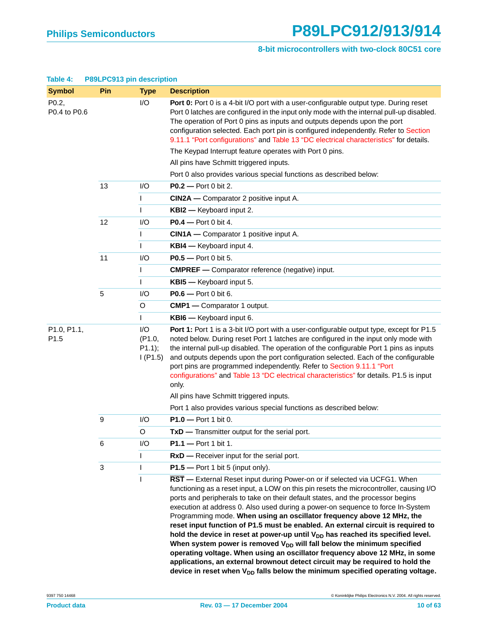| Table 4:                        | P89LPC913 pin description |                                     |                                                                                                                                                                                                                                                                                                                                                                                                                                                                                                                                                                                                                                                                                                                                                                                                                                                                                                                                                     |
|---------------------------------|---------------------------|-------------------------------------|-----------------------------------------------------------------------------------------------------------------------------------------------------------------------------------------------------------------------------------------------------------------------------------------------------------------------------------------------------------------------------------------------------------------------------------------------------------------------------------------------------------------------------------------------------------------------------------------------------------------------------------------------------------------------------------------------------------------------------------------------------------------------------------------------------------------------------------------------------------------------------------------------------------------------------------------------------|
| <b>Symbol</b>                   | Pin                       | <b>Type</b>                         | <b>Description</b>                                                                                                                                                                                                                                                                                                                                                                                                                                                                                                                                                                                                                                                                                                                                                                                                                                                                                                                                  |
| P0.2,<br>P0.4 to P0.6           |                           | I/O                                 | <b>Port 0:</b> Port 0 is a 4-bit I/O port with a user-configurable output type. During reset<br>Port 0 latches are configured in the input only mode with the internal pull-up disabled.<br>The operation of Port 0 pins as inputs and outputs depends upon the port<br>configuration selected. Each port pin is configured independently. Refer to Section<br>9.11.1 "Port configurations" and Table 13 "DC electrical characteristics" for details.                                                                                                                                                                                                                                                                                                                                                                                                                                                                                               |
|                                 |                           |                                     | The Keypad Interrupt feature operates with Port 0 pins.                                                                                                                                                                                                                                                                                                                                                                                                                                                                                                                                                                                                                                                                                                                                                                                                                                                                                             |
|                                 |                           |                                     | All pins have Schmitt triggered inputs.                                                                                                                                                                                                                                                                                                                                                                                                                                                                                                                                                                                                                                                                                                                                                                                                                                                                                                             |
|                                 |                           |                                     | Port 0 also provides various special functions as described below:                                                                                                                                                                                                                                                                                                                                                                                                                                                                                                                                                                                                                                                                                                                                                                                                                                                                                  |
|                                 | 13                        | I/O                                 | $P0.2 - Port 0 bit 2.$                                                                                                                                                                                                                                                                                                                                                                                                                                                                                                                                                                                                                                                                                                                                                                                                                                                                                                                              |
|                                 |                           | $\mathbf{I}$                        | <b>CIN2A</b> — Comparator 2 positive input A.                                                                                                                                                                                                                                                                                                                                                                                                                                                                                                                                                                                                                                                                                                                                                                                                                                                                                                       |
|                                 |                           | $\mathsf{I}$                        | <b>KBI2</b> - Keyboard input 2.                                                                                                                                                                                                                                                                                                                                                                                                                                                                                                                                                                                                                                                                                                                                                                                                                                                                                                                     |
|                                 | 12                        | I/O                                 | <b>P0.4</b> - Port 0 bit 4.                                                                                                                                                                                                                                                                                                                                                                                                                                                                                                                                                                                                                                                                                                                                                                                                                                                                                                                         |
|                                 |                           | $\mathbf{I}$                        | CIN1A - Comparator 1 positive input A.                                                                                                                                                                                                                                                                                                                                                                                                                                                                                                                                                                                                                                                                                                                                                                                                                                                                                                              |
|                                 |                           | $\mathsf{I}$                        | <b>KBI4</b> - Keyboard input 4.                                                                                                                                                                                                                                                                                                                                                                                                                                                                                                                                                                                                                                                                                                                                                                                                                                                                                                                     |
|                                 | 11                        | I/O                                 | $P0.5 -$ Port 0 bit 5.                                                                                                                                                                                                                                                                                                                                                                                                                                                                                                                                                                                                                                                                                                                                                                                                                                                                                                                              |
|                                 |                           | $\mathbf{I}$                        | <b>CMPREF</b> - Comparator reference (negative) input.                                                                                                                                                                                                                                                                                                                                                                                                                                                                                                                                                                                                                                                                                                                                                                                                                                                                                              |
|                                 |                           |                                     | KBI5 - Keyboard input 5.                                                                                                                                                                                                                                                                                                                                                                                                                                                                                                                                                                                                                                                                                                                                                                                                                                                                                                                            |
|                                 | 5                         | I/O                                 | <b>P0.6</b> — Port 0 bit 6.                                                                                                                                                                                                                                                                                                                                                                                                                                                                                                                                                                                                                                                                                                                                                                                                                                                                                                                         |
|                                 |                           | $\circ$                             | <b>CMP1</b> - Comparator 1 output.                                                                                                                                                                                                                                                                                                                                                                                                                                                                                                                                                                                                                                                                                                                                                                                                                                                                                                                  |
|                                 |                           | $\mathsf{L}$                        | KBI6 - Keyboard input 6.                                                                                                                                                                                                                                                                                                                                                                                                                                                                                                                                                                                                                                                                                                                                                                                                                                                                                                                            |
| P1.0, P1.1,<br>P <sub>1.5</sub> |                           | I/O<br>(P1.0,<br>P1.1);<br>I( P1.5) | Port 1: Port 1 is a 3-bit I/O port with a user-configurable output type, except for P1.5<br>noted below. During reset Port 1 latches are configured in the input only mode with<br>the internal pull-up disabled. The operation of the configurable Port 1 pins as inputs<br>and outputs depends upon the port configuration selected. Each of the configurable<br>port pins are programmed independently. Refer to Section 9.11.1 "Port<br>configurations" and Table 13 "DC electrical characteristics" for details. P1.5 is input<br>only.                                                                                                                                                                                                                                                                                                                                                                                                        |
|                                 |                           |                                     | All pins have Schmitt triggered inputs.                                                                                                                                                                                                                                                                                                                                                                                                                                                                                                                                                                                                                                                                                                                                                                                                                                                                                                             |
|                                 |                           |                                     | Port 1 also provides various special functions as described below:                                                                                                                                                                                                                                                                                                                                                                                                                                                                                                                                                                                                                                                                                                                                                                                                                                                                                  |
|                                 | 9                         | I/O                                 | $P1.0 - Port 1 bit 0.$                                                                                                                                                                                                                                                                                                                                                                                                                                                                                                                                                                                                                                                                                                                                                                                                                                                                                                                              |
|                                 |                           | Ő                                   | TxD - Transmitter output for the serial port.                                                                                                                                                                                                                                                                                                                                                                                                                                                                                                                                                                                                                                                                                                                                                                                                                                                                                                       |
|                                 | 6                         | I/O                                 | $P1.1 - Port 1 bit 1.$                                                                                                                                                                                                                                                                                                                                                                                                                                                                                                                                                                                                                                                                                                                                                                                                                                                                                                                              |
|                                 |                           |                                     | <b>RxD</b> — Receiver input for the serial port.                                                                                                                                                                                                                                                                                                                                                                                                                                                                                                                                                                                                                                                                                                                                                                                                                                                                                                    |
|                                 | 3                         |                                     | $P1.5$ – Port 1 bit 5 (input only).                                                                                                                                                                                                                                                                                                                                                                                                                                                                                                                                                                                                                                                                                                                                                                                                                                                                                                                 |
|                                 |                           | ı                                   | RST - External Reset input during Power-on or if selected via UCFG1. When<br>functioning as a reset input, a LOW on this pin resets the microcontroller, causing I/O<br>ports and peripherals to take on their default states, and the processor begins<br>execution at address 0. Also used during a power-on sequence to force In-System<br>Programming mode. When using an oscillator frequency above 12 MHz, the<br>reset input function of P1.5 must be enabled. An external circuit is required to<br>hold the device in reset at power-up until V <sub>DD</sub> has reached its specified level.<br>When system power is removed $V_{DD}$ will fall below the minimum specified<br>operating voltage. When using an oscillator frequency above 12 MHz, in some<br>applications, an external brownout detect circuit may be required to hold the<br>device in reset when V <sub>DD</sub> falls below the minimum specified operating voltage. |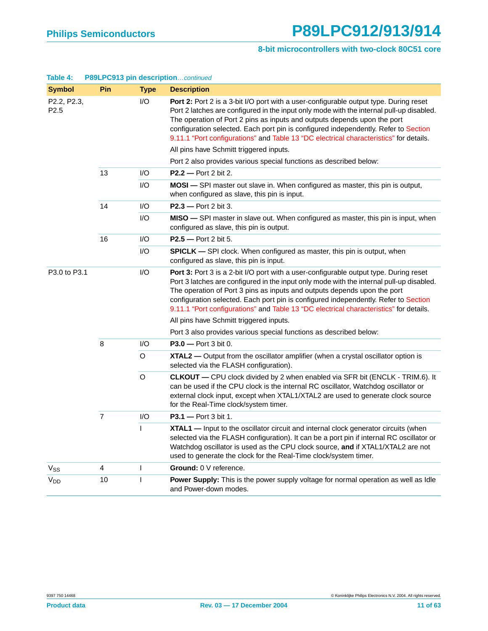#### **8-bit microcontrollers with two-clock 80C51 core**

| <b>Symbol</b>                   | Pin            | <b>Type</b>  | <b>Description</b>                                                                                                                                                                                                                                                                                                                                                                                                                                                                        |
|---------------------------------|----------------|--------------|-------------------------------------------------------------------------------------------------------------------------------------------------------------------------------------------------------------------------------------------------------------------------------------------------------------------------------------------------------------------------------------------------------------------------------------------------------------------------------------------|
| P2.2, P2.3,<br>P <sub>2.5</sub> |                | 1/O          | Port 2: Port 2 is a 3-bit I/O port with a user-configurable output type. During reset<br>Port 2 latches are configured in the input only mode with the internal pull-up disabled.<br>The operation of Port 2 pins as inputs and outputs depends upon the port<br>configuration selected. Each port pin is configured independently. Refer to Section<br>9.11.1 "Port configurations" and Table 13 "DC electrical characteristics" for details.<br>All pins have Schmitt triggered inputs. |
|                                 |                |              | Port 2 also provides various special functions as described below:                                                                                                                                                                                                                                                                                                                                                                                                                        |
|                                 | 13             | I/O          | $P2.2 - Port 2 bit 2.$                                                                                                                                                                                                                                                                                                                                                                                                                                                                    |
|                                 |                | I/O          | MOSI - SPI master out slave in. When configured as master, this pin is output,<br>when configured as slave, this pin is input.                                                                                                                                                                                                                                                                                                                                                            |
|                                 | 14             | I/O          | $P2.3$ - Port 2 bit 3.                                                                                                                                                                                                                                                                                                                                                                                                                                                                    |
|                                 |                | I/O          | MISO - SPI master in slave out. When configured as master, this pin is input, when<br>configured as slave, this pin is output.                                                                                                                                                                                                                                                                                                                                                            |
|                                 | 16             | I/O          | <b>P2.5</b> - Port 2 bit 5.                                                                                                                                                                                                                                                                                                                                                                                                                                                               |
|                                 |                | I/O          | <b>SPICLK</b> - SPI clock. When configured as master, this pin is output, when<br>configured as slave, this pin is input.                                                                                                                                                                                                                                                                                                                                                                 |
| P3.0 to P3.1                    |                | I/O          | Port 3: Port 3 is a 2-bit I/O port with a user-configurable output type. During reset<br>Port 3 latches are configured in the input only mode with the internal pull-up disabled.<br>The operation of Port 3 pins as inputs and outputs depends upon the port<br>configuration selected. Each port pin is configured independently. Refer to Section<br>9.11.1 "Port configurations" and Table 13 "DC electrical characteristics" for details.                                            |
|                                 |                |              | All pins have Schmitt triggered inputs.                                                                                                                                                                                                                                                                                                                                                                                                                                                   |
|                                 |                |              | Port 3 also provides various special functions as described below:                                                                                                                                                                                                                                                                                                                                                                                                                        |
|                                 | 8              | I/O          | $P3.0 - Port 3 bit 0.$                                                                                                                                                                                                                                                                                                                                                                                                                                                                    |
|                                 |                | O            | XTAL2 - Output from the oscillator amplifier (when a crystal oscillator option is<br>selected via the FLASH configuration).                                                                                                                                                                                                                                                                                                                                                               |
|                                 |                | $\circ$      | <b>CLKOUT</b> - CPU clock divided by 2 when enabled via SFR bit (ENCLK - TRIM.6). It<br>can be used if the CPU clock is the internal RC oscillator, Watchdog oscillator or<br>external clock input, except when XTAL1/XTAL2 are used to generate clock source<br>for the Real-Time clock/system timer.                                                                                                                                                                                    |
|                                 | $\overline{7}$ | I/O          | $P3.1 - Port 3 bit 1.$                                                                                                                                                                                                                                                                                                                                                                                                                                                                    |
|                                 |                | $\mathsf{I}$ | <b>XTAL1</b> — Input to the oscillator circuit and internal clock generator circuits (when<br>selected via the FLASH configuration). It can be a port pin if internal RC oscillator or<br>Watchdog oscillator is used as the CPU clock source, and if XTAL1/XTAL2 are not<br>used to generate the clock for the Real-Time clock/system timer.                                                                                                                                             |
| $V_{SS}$                        | 4              | L            | Ground: 0 V reference.                                                                                                                                                                                                                                                                                                                                                                                                                                                                    |
| <b>V<sub>DD</sub></b>           | 10             | L            | Power Supply: This is the power supply voltage for normal operation as well as Idle<br>and Power-down modes.                                                                                                                                                                                                                                                                                                                                                                              |

#### **Table 4: P89LPC913 pin description**…continued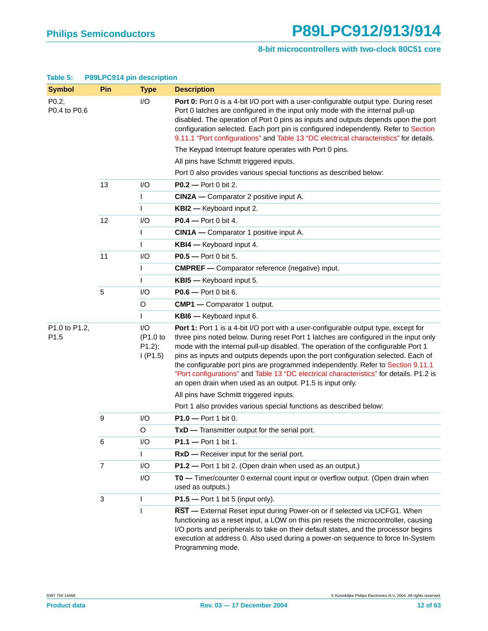#### **8-bit microcontrollers with two-clock 80C51 core**

| <b>Symbol</b>         | Pin            | <b>Type</b>                             | <b>Description</b>                                                                                                                                                                                                                                                                                                                                                                                                                                                                                                                                                                               |
|-----------------------|----------------|-----------------------------------------|--------------------------------------------------------------------------------------------------------------------------------------------------------------------------------------------------------------------------------------------------------------------------------------------------------------------------------------------------------------------------------------------------------------------------------------------------------------------------------------------------------------------------------------------------------------------------------------------------|
| P0.2,<br>P0.4 to P0.6 |                | I/O                                     | <b>Port 0:</b> Port 0 is a 4-bit I/O port with a user-configurable output type. During reset<br>Port 0 latches are configured in the input only mode with the internal pull-up<br>disabled. The operation of Port 0 pins as inputs and outputs depends upon the port<br>configuration selected. Each port pin is configured independently. Refer to Section<br>9.11.1 "Port configurations" and Table 13 "DC electrical characteristics" for details.                                                                                                                                            |
|                       |                |                                         | The Keypad Interrupt feature operates with Port 0 pins.                                                                                                                                                                                                                                                                                                                                                                                                                                                                                                                                          |
|                       |                |                                         | All pins have Schmitt triggered inputs.                                                                                                                                                                                                                                                                                                                                                                                                                                                                                                                                                          |
|                       |                |                                         | Port 0 also provides various special functions as described below:                                                                                                                                                                                                                                                                                                                                                                                                                                                                                                                               |
|                       | 13             | I/O                                     | <b>P0.2</b> - Port 0 bit 2.                                                                                                                                                                                                                                                                                                                                                                                                                                                                                                                                                                      |
|                       |                | L                                       | CIN2A — Comparator 2 positive input A.                                                                                                                                                                                                                                                                                                                                                                                                                                                                                                                                                           |
|                       |                |                                         | <b>KBI2</b> - Keyboard input 2.                                                                                                                                                                                                                                                                                                                                                                                                                                                                                                                                                                  |
|                       | 12             | I/O                                     | $P0.4$ - Port 0 bit 4.                                                                                                                                                                                                                                                                                                                                                                                                                                                                                                                                                                           |
|                       |                |                                         | CIN1A - Comparator 1 positive input A.                                                                                                                                                                                                                                                                                                                                                                                                                                                                                                                                                           |
|                       |                |                                         | <b>KBI4</b> - Keyboard input 4.                                                                                                                                                                                                                                                                                                                                                                                                                                                                                                                                                                  |
|                       | 11             | I/O                                     | <b>P0.5</b> — Port 0 bit 5.                                                                                                                                                                                                                                                                                                                                                                                                                                                                                                                                                                      |
|                       |                | L                                       | <b>CMPREF</b> - Comparator reference (negative) input.                                                                                                                                                                                                                                                                                                                                                                                                                                                                                                                                           |
|                       |                |                                         | KBI5 - Keyboard input 5.                                                                                                                                                                                                                                                                                                                                                                                                                                                                                                                                                                         |
|                       | 5              | I/O                                     | <b>P0.6</b> — Port 0 bit 6.                                                                                                                                                                                                                                                                                                                                                                                                                                                                                                                                                                      |
|                       |                | O                                       | <b>CMP1</b> - Comparator 1 output.                                                                                                                                                                                                                                                                                                                                                                                                                                                                                                                                                               |
|                       |                |                                         | KBI6 - Keyboard input 6.                                                                                                                                                                                                                                                                                                                                                                                                                                                                                                                                                                         |
| P1.0 to P1.2,<br>P1.5 |                | I/O<br>(P1.0 to<br>$P1.2$ );<br>I(P1.5) | Port 1: Port 1 is a 4-bit I/O port with a user-configurable output type, except for<br>three pins noted below. During reset Port 1 latches are configured in the input only<br>mode with the internal pull-up disabled. The operation of the configurable Port 1<br>pins as inputs and outputs depends upon the port configuration selected. Each of<br>the configurable port pins are programmed independently. Refer to Section 9.11.1<br>"Port configurations" and Table 13 "DC electrical characteristics" for details. P1.2 is<br>an open drain when used as an output. P1.5 is input only. |
|                       |                |                                         | All pins have Schmitt triggered inputs.                                                                                                                                                                                                                                                                                                                                                                                                                                                                                                                                                          |
|                       |                |                                         | Port 1 also provides various special functions as described below:                                                                                                                                                                                                                                                                                                                                                                                                                                                                                                                               |
|                       | 9              | I/O                                     | $P1.0 - Port 1 bit 0.$                                                                                                                                                                                                                                                                                                                                                                                                                                                                                                                                                                           |
|                       |                | O                                       | $TxD$ - Transmitter output for the serial port.                                                                                                                                                                                                                                                                                                                                                                                                                                                                                                                                                  |
|                       | 6              | I/O                                     | P1.1 - Port 1 bit 1.                                                                                                                                                                                                                                                                                                                                                                                                                                                                                                                                                                             |
|                       |                |                                         | $RxD$ – Receiver input for the serial port.                                                                                                                                                                                                                                                                                                                                                                                                                                                                                                                                                      |
|                       | $\overline{7}$ | I/O                                     | P1.2 - Port 1 bit 2. (Open drain when used as an output.)                                                                                                                                                                                                                                                                                                                                                                                                                                                                                                                                        |
|                       |                | I/O                                     | TO - Timer/counter 0 external count input or overflow output. (Open drain when<br>used as outputs.)                                                                                                                                                                                                                                                                                                                                                                                                                                                                                              |
|                       | 3              | L                                       | $P1.5$ – Port 1 bit 5 (input only).                                                                                                                                                                                                                                                                                                                                                                                                                                                                                                                                                              |
|                       |                |                                         | RST - External Reset input during Power-on or if selected via UCFG1. When<br>functioning as a reset input, a LOW on this pin resets the microcontroller, causing<br>I/O ports and peripherals to take on their default states, and the processor begins<br>execution at address 0. Also used during a power-on sequence to force In-System<br>Programming mode.                                                                                                                                                                                                                                  |

#### **Table 5: P89LPC914 pin description**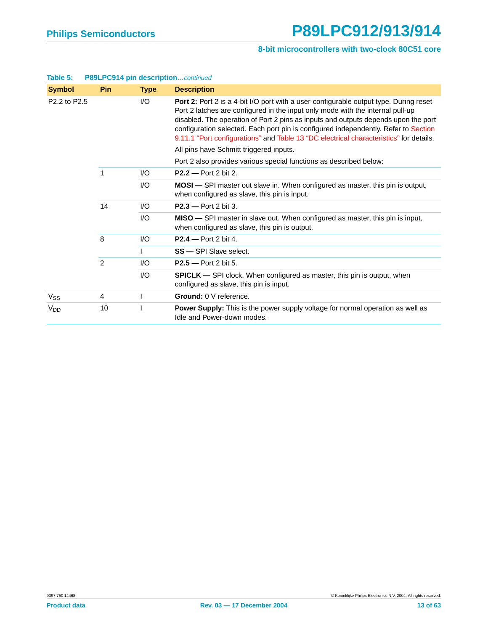| <b>Symbol</b>                        | Pin            | <b>Type</b> | <b>Description</b>                                                                                                                                                                                                                                                                                                                                                                                                                             |
|--------------------------------------|----------------|-------------|------------------------------------------------------------------------------------------------------------------------------------------------------------------------------------------------------------------------------------------------------------------------------------------------------------------------------------------------------------------------------------------------------------------------------------------------|
| P <sub>2.2</sub> to P <sub>2.5</sub> |                | I/O         | Port 2: Port 2 is a 4-bit I/O port with a user-configurable output type. During reset<br>Port 2 latches are configured in the input only mode with the internal pull-up<br>disabled. The operation of Port 2 pins as inputs and outputs depends upon the port<br>configuration selected. Each port pin is configured independently. Refer to Section<br>9.11.1 "Port configurations" and Table 13 "DC electrical characteristics" for details. |
|                                      |                |             | All pins have Schmitt triggered inputs.                                                                                                                                                                                                                                                                                                                                                                                                        |
|                                      |                |             | Port 2 also provides various special functions as described below:                                                                                                                                                                                                                                                                                                                                                                             |
|                                      | 1              | 1/O         | $P2.2 - Port 2 bit 2.$                                                                                                                                                                                                                                                                                                                                                                                                                         |
|                                      |                | I/O         | <b>MOSI</b> — SPI master out slave in. When configured as master, this pin is output,<br>when configured as slave, this pin is input.                                                                                                                                                                                                                                                                                                          |
|                                      | 14             | I/O         | $P2.3$ - Port 2 bit 3.                                                                                                                                                                                                                                                                                                                                                                                                                         |
|                                      |                | 1/O         | MISO - SPI master in slave out. When configured as master, this pin is input,<br>when configured as slave, this pin is output.                                                                                                                                                                                                                                                                                                                 |
|                                      | 8              | I/O         | $P2.4$ – Port 2 bit 4.                                                                                                                                                                                                                                                                                                                                                                                                                         |
|                                      |                |             | $\overline{\text{SS}}$ - SPI Slave select.                                                                                                                                                                                                                                                                                                                                                                                                     |
|                                      | $\overline{2}$ | 1/O         | $P2.5 - Port 2 bit 5.$                                                                                                                                                                                                                                                                                                                                                                                                                         |
|                                      |                | I/O         | <b>SPICLK</b> - SPI clock. When configured as master, this pin is output, when<br>configured as slave, this pin is input.                                                                                                                                                                                                                                                                                                                      |
| $V_{SS}$                             | 4              |             | Ground: 0 V reference.                                                                                                                                                                                                                                                                                                                                                                                                                         |
| <b>V<sub>DD</sub></b>                | 10             |             | <b>Power Supply:</b> This is the power supply voltage for normal operation as well as<br>Idle and Power-down modes.                                                                                                                                                                                                                                                                                                                            |

#### **Table 5: P89LPC914 pin description**…continued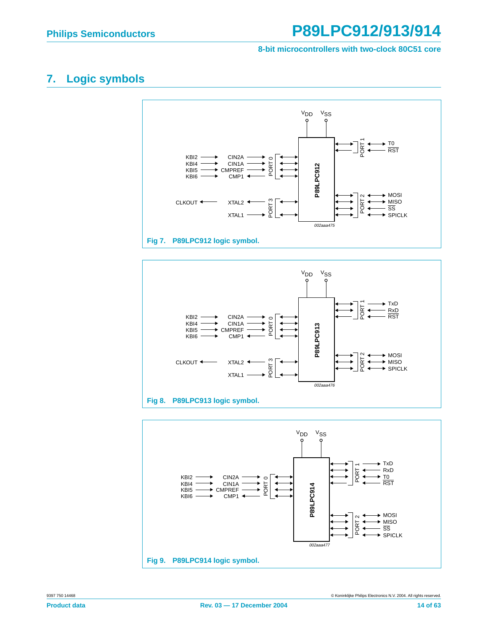#### **8-bit microcontrollers with two-clock 80C51 core**

## <span id="page-13-0"></span>**7. Logic symbols**





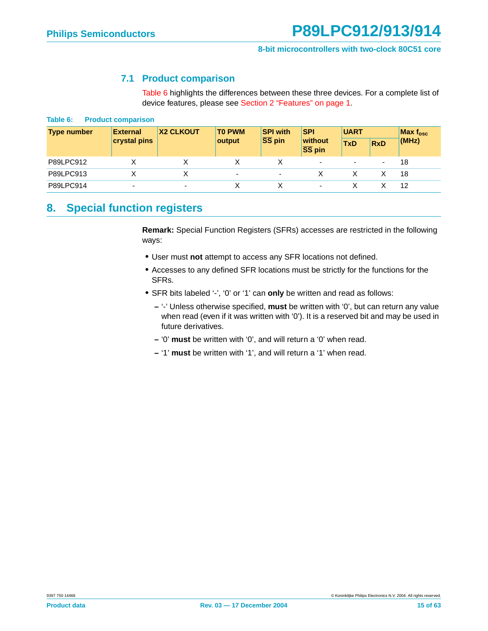#### **7.1 Product comparison**

[Table 6](#page-14-0) highlights the differences between these three devices. For a complete list of device features, please see [Section 2 "Features" on page 1.](#page-0-0)

<span id="page-14-1"></span><span id="page-14-0"></span>

| Table 6: |  | <b>Product comparison</b> |
|----------|--|---------------------------|
|----------|--|---------------------------|

| <b>Type number</b> | <b>External</b>          | <b>X2 CLKOUT</b> | <b>TO PWM</b> | <b>SPI with</b> | <b>SPI</b>                            | <b>UART</b> |                          | Max $f_{osc}$ |  |
|--------------------|--------------------------|------------------|---------------|-----------------|---------------------------------------|-------------|--------------------------|---------------|--|
|                    | crystal pins             |                  | output        | SS pin          | without<br>$\overline{\text{SS}}$ pin | <b>TxD</b>  | <b>RxD</b>               | (MHz)         |  |
| P89LPC912          |                          |                  |               |                 | $\overline{\phantom{a}}$              | $\sim$      | $\overline{\phantom{0}}$ | 18            |  |
| P89LPC913          |                          |                  | ۰             |                 |                                       |             |                          | 18            |  |
| P89LPC914          | $\overline{\phantom{0}}$ | ٠                |               |                 |                                       |             |                          | 12            |  |

### <span id="page-14-2"></span>**8. Special function registers**

**Remark:** Special Function Registers (SFRs) accesses are restricted in the following ways:

- **•** User must **not** attempt to access any SFR locations not defined.
- **•** Accesses to any defined SFR locations must be strictly for the functions for the SFRs.
- **•** SFR bits labeled '-', '0' or '1' can **only** be written and read as follows:
	- **–** '-' Unless otherwise specified, **must** be written with '0', but can return any value when read (even if it was written with '0'). It is a reserved bit and may be used in future derivatives.
	- **–** '0' **must** be written with '0', and will return a '0' when read.
	- **–** '1' **must** be written with '1', and will return a '1' when read.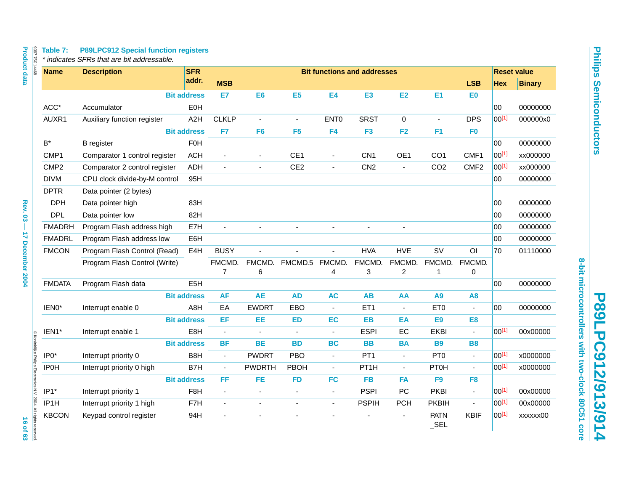# **P89LPC912/913/914** P89LPC912/913/914

**8-bit microcontrollers with two-clock 80C51 core**

8-bit microcontrollers with two-clock 80C51 core

| <b>Name</b>          | <b>Description</b>            | <b>SFR</b>         |                          |                |                 |                          | <b>Bit functions and addresses</b> |                          |                          |                  |            | <b>Reset value</b> |
|----------------------|-------------------------------|--------------------|--------------------------|----------------|-----------------|--------------------------|------------------------------------|--------------------------|--------------------------|------------------|------------|--------------------|
|                      |                               | addr.              | <b>MSB</b>               |                |                 |                          |                                    |                          |                          | <b>LSB</b>       | <b>Hex</b> | <b>Binary</b>      |
|                      |                               | <b>Bit address</b> | E7                       | E <sub>6</sub> | E <sub>5</sub>  | <b>E4</b>                | E <sub>3</sub>                     | <b>E2</b>                | E1                       | E0               |            |                    |
| ACC*                 | Accumulator                   | EOH                |                          |                |                 |                          |                                    |                          |                          |                  | 00         | 00000000           |
| AUXR1                | Auxiliary function register   | A2H                | <b>CLKLP</b>             |                | $\blacksquare$  | ENT <sub>0</sub>         | <b>SRST</b>                        | 0                        | $\blacksquare$           | <b>DPS</b>       | 00[1]      | 000000x0           |
|                      |                               | <b>Bit address</b> | F7                       | F <sub>6</sub> | F <sub>5</sub>  | F4                       | F <sub>3</sub>                     | F2                       | F <sub>1</sub>           | F <sub>0</sub>   |            |                    |
| $\mathsf{B}^{\star}$ | <b>B</b> register             | FOH                |                          |                |                 |                          |                                    |                          |                          |                  | 00         | 00000000           |
| CMP1                 | Comparator 1 control register | <b>ACH</b>         | ÷.                       | ä,             | CE <sub>1</sub> | ä,                       | CN <sub>1</sub>                    | OE1                      | CO <sub>1</sub>          | CMF1             | 00[1]      | xx000000           |
| CMP <sub>2</sub>     | Comparator 2 control register | ADH                | $\blacksquare$           | ä,             | CE <sub>2</sub> | ÷,                       | CN2                                | $\blacksquare$           | CO <sub>2</sub>          | CMF <sub>2</sub> | 00[1]      | xx000000           |
| <b>DIVM</b>          | CPU clock divide-by-M control | 95H                |                          |                |                 |                          |                                    |                          |                          |                  | 00         | 00000000           |
| <b>DPTR</b>          | Data pointer (2 bytes)        |                    |                          |                |                 |                          |                                    |                          |                          |                  |            |                    |
| <b>DPH</b>           | Data pointer high             | 83H                |                          |                |                 |                          |                                    |                          |                          |                  | 00         | 00000000           |
| <b>DPL</b>           | Data pointer low              | 82H                |                          |                |                 |                          |                                    |                          |                          |                  | 00         | 00000000           |
| <b>FMADRH</b>        | Program Flash address high    | E7H                | ä,                       |                |                 | ä,                       |                                    | ÷,                       |                          |                  | 00         | 00000000           |
| <b>FMADRL</b>        | Program Flash address low     | E6H                |                          |                |                 |                          |                                    |                          |                          |                  | 00         | 00000000           |
| <b>FMCON</b>         | Program Flash Control (Read)  | E4H                | <b>BUSY</b>              |                |                 | ÷,                       | <b>HVA</b>                         | <b>HVE</b>               | SV                       | O <sub>l</sub>   | 70         | 01110000           |
|                      | Program Flash Control (Write) |                    | FMCMD.<br>$\overline{7}$ | FMCMD.<br>6    | FMCMD.5         | FMCMD.<br>4              | FMCMD.<br>3                        | FMCMD.<br>$\overline{2}$ | FMCMD.<br>$\overline{1}$ | FMCMD.<br>0      |            |                    |
| <b>FMDATA</b>        | Program Flash data            | E <sub>5</sub> H   |                          |                |                 |                          |                                    |                          |                          |                  | 00         | 00000000           |
|                      |                               | <b>Bit address</b> | AF                       | <b>AE</b>      | <b>AD</b>       | <b>AC</b>                | AB                                 | AA                       | A9                       | A8               |            |                    |
| IEN0*                | Interrupt enable 0            | A8H                | EA                       | <b>EWDRT</b>   | EBO             | $\blacksquare$           | ET <sub>1</sub>                    | $\blacksquare$           | ET <sub>0</sub>          | $\blacksquare$   | 00         | 00000000           |
|                      |                               | <b>Bit address</b> | EF                       | EE             | <b>ED</b>       | EC                       | <b>EB</b>                          | EA                       | E <sub>9</sub>           | E <sub>8</sub>   |            |                    |
| IEN1*                | Interrupt enable 1            | E8H                | $\blacksquare$           | $\blacksquare$ | $\blacksquare$  | $\overline{a}$           | <b>ESPI</b>                        | EC                       | <b>EKBI</b>              | $\mathbb{Z}^2$   | 00[1]      | 00x00000           |
|                      |                               | <b>Bit address</b> | <b>BF</b>                | <b>BE</b>      | <b>BD</b>       | <b>BC</b>                | <b>BB</b>                          | <b>BA</b>                | <b>B9</b>                | <b>B8</b>        |            |                    |
| $IP0*$               | Interrupt priority 0          | B <sub>8</sub> H   | $\blacksquare$           | <b>PWDRT</b>   | PBO             | $\blacksquare$           | PT <sub>1</sub>                    | $\omega$                 | PT <sub>0</sub>          | $\mathbf{r}$     | 00[1]      | x0000000           |
| <b>IP0H</b>          | Interrupt priority 0 high     | B7H                | $\blacksquare$           | <b>PWDRTH</b>  | PBOH            | $\blacksquare$           | PT <sub>1</sub> H                  | $\blacksquare$           | <b>PT0H</b>              | $\mathbf{r}$     | $00^{[1]}$ | x0000000           |
|                      |                               | <b>Bit address</b> | FF                       | FE.            | <b>FD</b>       | <b>FC</b>                | <b>FB</b>                          | <b>FA</b>                | F <sub>9</sub>           | F <sub>8</sub>   |            |                    |
| IP1*                 | Interrupt priority 1          | F8H                | $\blacksquare$           | $\blacksquare$ | $\blacksquare$  | ä,                       | <b>PSPI</b>                        | <b>PC</b>                | <b>PKBI</b>              | $\blacksquare$   | 00[1]      | 00x00000           |
| IP1H                 | Interrupt priority 1 high     | F7H                | ÷,                       | ä,             | ä,              | $\overline{\phantom{a}}$ | <b>PSPIH</b>                       | <b>PCH</b>               | <b>PKBIH</b>             | ä,               | 00[1]      | 00x00000           |
| <b>KBCON</b>         | Keypad control register       | 94H                | L.                       |                |                 |                          |                                    |                          | <b>PATN</b><br>$\_SEL$   | <b>KBIF</b>      | 00[1]      | xxxxxx00           |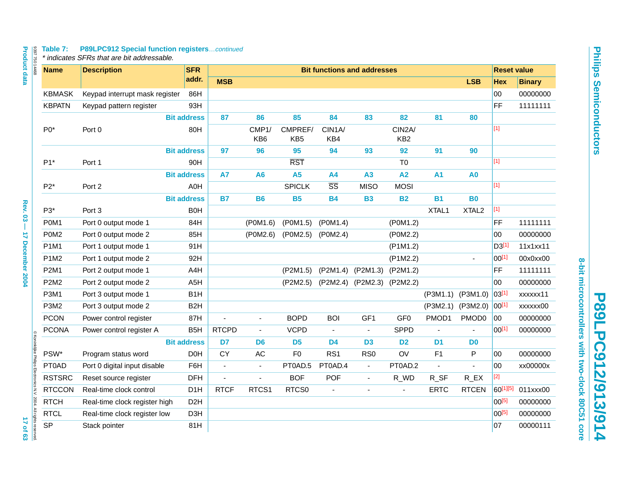# Table 7: P89LPC912 Special function registers...continued<br>\* indicates SFRs that are bit addressable.

| <b>Product data</b><br>839775014468                                          | Table 7:      | <b>P89LPC912 Special function registerscontinued</b><br>* indicates SFRs that are bit addressable. |                    |                                    |                          |                            |                        |                            |                           |                |                          |                   |                    |
|------------------------------------------------------------------------------|---------------|----------------------------------------------------------------------------------------------------|--------------------|------------------------------------|--------------------------|----------------------------|------------------------|----------------------------|---------------------------|----------------|--------------------------|-------------------|--------------------|
|                                                                              | <b>Name</b>   | <b>Description</b>                                                                                 | <b>SFR</b>         | <b>Bit functions and addresses</b> |                          |                            |                        |                            |                           |                |                          |                   | <b>Reset value</b> |
|                                                                              |               |                                                                                                    | addr.              | <b>MSB</b>                         |                          |                            |                        |                            |                           |                | <b>LSB</b>               | <b>Hex</b>        | <b>Binary</b>      |
|                                                                              | <b>KBMASK</b> | Keypad interrupt mask register                                                                     | 86H                |                                    |                          |                            |                        |                            |                           |                |                          | 00                | 00000000           |
|                                                                              | <b>KBPATN</b> | Keypad pattern register                                                                            | 93H                |                                    |                          |                            |                        |                            |                           |                |                          | <b>FF</b>         | 11111111           |
|                                                                              |               |                                                                                                    | <b>Bit address</b> | 87                                 | 86                       | 85                         | 84                     | 83                         | 82                        | 81             | 80                       |                   |                    |
|                                                                              | $P0*$         | Port 0                                                                                             | 80H                |                                    | CMP1/<br>KB <sub>6</sub> | CMPREF/<br>KB <sub>5</sub> | CIN1A/<br>KB4          |                            | CIN2A/<br>KB <sub>2</sub> |                |                          | $[1]$             |                    |
|                                                                              |               |                                                                                                    | <b>Bit address</b> | 97                                 | 96                       | 95                         | 94                     | 93                         | 92                        | 91             | 90                       |                   |                    |
|                                                                              | $P1*$         | Port 1                                                                                             | 90H                |                                    |                          | <b>RST</b>                 |                        |                            | T <sub>0</sub>            |                |                          | $[1]$             |                    |
|                                                                              |               |                                                                                                    | <b>Bit address</b> | <b>A7</b>                          | A <sub>6</sub>           | A <sub>5</sub>             | <b>A4</b>              | A3                         | A2                        | A <sub>1</sub> | A <sub>0</sub>           |                   |                    |
|                                                                              | $P2*$         | Port 2                                                                                             | A0H                |                                    |                          | <b>SPICLK</b>              | $\overline{\text{SS}}$ | <b>MISO</b>                | <b>MOSI</b>               |                |                          | $[1]$             |                    |
|                                                                              |               |                                                                                                    | <b>Bit address</b> | <b>B7</b>                          | <b>B6</b>                | <b>B5</b>                  | <b>B4</b>              | <b>B3</b>                  | <b>B2</b>                 | <b>B1</b>      | <b>B0</b>                |                   |                    |
| <b>Rev. 03</b>                                                               | P3*           | Port <sub>3</sub>                                                                                  | <b>BOH</b>         |                                    |                          |                            |                        |                            |                           | XTAL1          | XTAL <sub>2</sub>        | $[1]$             |                    |
|                                                                              | P0M1          | Port 0 output mode 1                                                                               | 84H                |                                    | (POM1.6)                 | (P0M1.5)                   | (POM1.4)               |                            | (P0M1.2)                  |                |                          | <b>FF</b>         | 11111111           |
|                                                                              | P0M2          | Port 0 output mode 2                                                                               | 85H                |                                    | (P0M2.6)                 | (P0M2.5)                   | (POM2.4)               |                            | (P0M2.2)                  |                |                          | 00                | 00000000           |
| 17 December 2004                                                             | <b>P1M1</b>   | Port 1 output mode 1                                                                               | 91H                |                                    |                          |                            |                        |                            | $($ P1M1.2)               |                |                          | D3 <sup>[1]</sup> | 11x1xx11           |
|                                                                              | P1M2          | Port 1 output mode 2                                                                               | 92H                |                                    |                          |                            |                        |                            | (P1M2.2)                  |                | $\overline{\phantom{a}}$ | $00^{[1]}$        | 00x0xx00           |
|                                                                              | <b>P2M1</b>   | Port 2 output mode 1                                                                               | A4H                |                                    |                          | (P2M1.5)                   | (P2M1.4)               | (P2M1.3)                   | (P2M1.2)                  |                |                          | FF                | 11111111           |
|                                                                              | <b>P2M2</b>   | Port 2 output mode 2                                                                               | A <sub>5</sub> H   |                                    |                          | (P2M2.5)                   |                        | (P2M2.4) (P2M2.3) (P2M2.2) |                           |                |                          | 00                | 00000000           |
|                                                                              | <b>P3M1</b>   | Port 3 output mode 1                                                                               | B <sub>1</sub> H   |                                    |                          |                            |                        |                            |                           | (P3M1.1)       | (P3M1.0)                 | 03[1]             | xxxxxx11           |
|                                                                              | P3M2          | Port 3 output mode 2                                                                               | B <sub>2</sub> H   |                                    |                          |                            |                        |                            |                           | (P3M2.1)       | (P3M2.0)                 | $ 00^{[1]}$       | xxxxxx00           |
|                                                                              | <b>PCON</b>   | Power control register                                                                             | 87H                | ä,                                 | $\overline{\phantom{a}}$ | <b>BOPD</b>                | <b>BOI</b>             | GF <sub>1</sub>            | GF <sub>0</sub>           | PMOD1          | PMOD <sub>0</sub>        | 00                | 00000000           |
|                                                                              | <b>PCONA</b>  | Power control register A                                                                           | B <sub>5</sub> H   | <b>RTCPD</b>                       | $\omega$                 | <b>VCPD</b>                | $\bar{\phantom{a}}$    | $\blacksquare$             | <b>SPPD</b>               |                |                          | $00^{[1]}$        | 00000000           |
|                                                                              |               |                                                                                                    | <b>Bit address</b> | D7                                 | D <sub>6</sub>           | D <sub>5</sub>             | D <sub>4</sub>         | D <sub>3</sub>             | D <sub>2</sub>            | D <sub>1</sub> | D <sub>0</sub>           |                   |                    |
|                                                                              | PSW*          | Program status word                                                                                | D <sub>0</sub> H   | <b>CY</b>                          | $\sf AC$                 | F <sub>0</sub>             | RS <sub>1</sub>        | RS <sub>0</sub>            | OV                        | F1             | P                        | 00                | 00000000           |
|                                                                              | PT0AD         | Port 0 digital input disable                                                                       | F6H                | $\overline{\phantom{a}}$           | $\blacksquare$           | PT0AD.5                    | PT0AD.4                | $\blacksquare$             | PT0AD.2                   | ä,             | ÷.                       | 00                | xx00000x           |
|                                                                              | <b>RSTSRC</b> | Reset source register                                                                              | <b>DFH</b>         | ÷,                                 | $\overline{a}$           | <b>BOF</b>                 | POF                    | $\blacksquare$             | R_WD                      | R_SF           | $R$ <sub>_</sub> $EX$    | $[2]$             |                    |
|                                                                              | <b>RTCCON</b> | Real-time clock control                                                                            | D <sub>1</sub> H   | <b>RTCF</b>                        | RTCS1                    | RTCS0                      | $\blacksquare$         | ä,                         | ä,                        | <b>ERTC</b>    | <b>RTCEN</b>             | 60[1][5]          | 011xxx00           |
|                                                                              | <b>RTCH</b>   | Real-time clock register high                                                                      | D <sub>2</sub> H   |                                    |                          |                            |                        |                            |                           |                |                          | $00^{[5]}$        | 00000000           |
|                                                                              | <b>RTCL</b>   | Real-time clock register low                                                                       | D <sub>3</sub> H   |                                    |                          |                            |                        |                            |                           |                |                          | $00^{[5]}$        | 00000000           |
| © Koninklijke Philips Electronics N.V. 2004. All rights reserved<br>17 of 63 | <b>SP</b>     | Stack pointer                                                                                      | 81H                |                                    |                          |                            |                        |                            |                           |                |                          | 07                | 00000111           |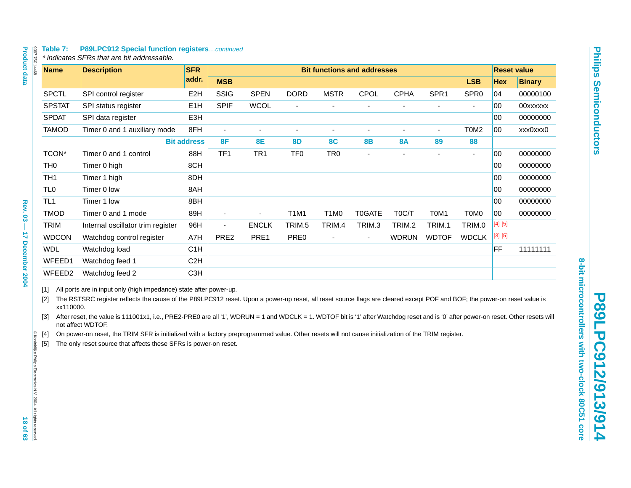| 8397 750 14468                                                               |                                                               | Table 7:           | <b>P89LPC912 Special function registerscontinued</b><br>* indicates SFRs that are bit addressable.                                                                                                                                                                                                                                                                                                                                                                                                                                                                                                                                                                                   |                    |                |                          |                 |                               |                                    |                |                  |                  |            |                    |
|------------------------------------------------------------------------------|---------------------------------------------------------------|--------------------|--------------------------------------------------------------------------------------------------------------------------------------------------------------------------------------------------------------------------------------------------------------------------------------------------------------------------------------------------------------------------------------------------------------------------------------------------------------------------------------------------------------------------------------------------------------------------------------------------------------------------------------------------------------------------------------|--------------------|----------------|--------------------------|-----------------|-------------------------------|------------------------------------|----------------|------------------|------------------|------------|--------------------|
| <b>Product data</b>                                                          |                                                               | <b>Name</b>        | <b>Description</b>                                                                                                                                                                                                                                                                                                                                                                                                                                                                                                                                                                                                                                                                   | <b>SFR</b>         |                |                          |                 |                               | <b>Bit functions and addresses</b> |                |                  |                  |            | <b>Reset value</b> |
|                                                                              |                                                               |                    |                                                                                                                                                                                                                                                                                                                                                                                                                                                                                                                                                                                                                                                                                      | addr.              | <b>MSB</b>     |                          |                 |                               |                                    |                |                  | <b>LSB</b>       | <b>Hex</b> | <b>Binary</b>      |
|                                                                              |                                                               | <b>SPCTL</b>       | SPI control register                                                                                                                                                                                                                                                                                                                                                                                                                                                                                                                                                                                                                                                                 | E <sub>2</sub> H   | <b>SSIG</b>    | <b>SPEN</b>              | <b>DORD</b>     | <b>MSTR</b>                   | CPOL                               | <b>CPHA</b>    | SPR <sub>1</sub> | SPR <sub>0</sub> | 04         | 00000100           |
|                                                                              |                                                               | <b>SPSTAT</b>      | SPI status register                                                                                                                                                                                                                                                                                                                                                                                                                                                                                                                                                                                                                                                                  | E <sub>1</sub> H   | <b>SPIF</b>    | <b>WCOL</b>              | $\frac{1}{2}$   |                               | -                                  | ÷,             | $\overline{a}$   | $\blacksquare$   | 00         | 00xxxxxx           |
|                                                                              |                                                               | <b>SPDAT</b>       | SPI data register                                                                                                                                                                                                                                                                                                                                                                                                                                                                                                                                                                                                                                                                    | E3H                |                |                          |                 |                               |                                    |                |                  |                  | 00         | 00000000           |
|                                                                              |                                                               | <b>TAMOD</b>       | Timer 0 and 1 auxiliary mode                                                                                                                                                                                                                                                                                                                                                                                                                                                                                                                                                                                                                                                         | 8FH                | $\blacksquare$ | $\sim$                   | $\blacksquare$  | $\blacksquare$                | $\blacksquare$                     | $\blacksquare$ | $\blacksquare$   | T0M2             | 00         | xxx0xxx0           |
|                                                                              |                                                               |                    |                                                                                                                                                                                                                                                                                                                                                                                                                                                                                                                                                                                                                                                                                      | <b>Bit address</b> | 8F             | <b>8E</b>                | <b>8D</b>       | <b>8C</b>                     | <b>8B</b>                          | <b>8A</b>      | 89               | 88               |            |                    |
|                                                                              |                                                               | TCON*              | Timer 0 and 1 control                                                                                                                                                                                                                                                                                                                                                                                                                                                                                                                                                                                                                                                                | 88H                | TF1            | TR <sub>1</sub>          | TF <sub>0</sub> | TR <sub>0</sub>               | ä,                                 | ÷,             |                  | $\blacksquare$   | 00         | 00000000           |
|                                                                              | TH <sub>0</sub>                                               |                    | Timer 0 high                                                                                                                                                                                                                                                                                                                                                                                                                                                                                                                                                                                                                                                                         | 8CH                |                |                          |                 |                               |                                    |                |                  |                  | 00         | 00000000           |
|                                                                              | TH <sub>1</sub>                                               |                    | Timer 1 high                                                                                                                                                                                                                                                                                                                                                                                                                                                                                                                                                                                                                                                                         | 8DH                |                |                          |                 |                               |                                    |                |                  |                  | 00         | 00000000           |
|                                                                              | TL <sub>0</sub>                                               |                    | Timer 0 low                                                                                                                                                                                                                                                                                                                                                                                                                                                                                                                                                                                                                                                                          | 8AH                |                |                          |                 |                               |                                    |                |                  |                  | 00         | 00000000           |
|                                                                              | TL <sub>1</sub>                                               |                    | Timer 1 low                                                                                                                                                                                                                                                                                                                                                                                                                                                                                                                                                                                                                                                                          | 8BH                |                |                          |                 |                               |                                    |                |                  |                  | 00         | 00000000           |
| <b>Rev. 03</b>                                                               |                                                               | <b>TMOD</b>        | Timer 0 and 1 mode                                                                                                                                                                                                                                                                                                                                                                                                                                                                                                                                                                                                                                                                   | 89H                | $\blacksquare$ | $\overline{\phantom{a}}$ | <b>T1M1</b>     | T <sub>1</sub> M <sub>0</sub> | T0GATE                             | T0C/T          | T0M1             | T0M0             | 00         | 00000000           |
| T                                                                            |                                                               | TRIM               | Internal oscillator trim register                                                                                                                                                                                                                                                                                                                                                                                                                                                                                                                                                                                                                                                    | 96H                | $\blacksquare$ | <b>ENCLK</b>             | TRIM.5          | TRIM.4                        | TRIM.3                             | TRIM.2         | TRIM.1           | TRIM.0           | $[4] [5]$  |                    |
|                                                                              |                                                               | <b>WDCON</b>       | Watchdog control register                                                                                                                                                                                                                                                                                                                                                                                                                                                                                                                                                                                                                                                            | A7H                | PRE2           | PRE1                     | PRE0            |                               | ÷,                                 | <b>WDRUN</b>   | <b>WDTOF</b>     | <b>WDCLK</b>     | [3] [5]    |                    |
| <b>17 December 2004</b>                                                      |                                                               | <b>WDL</b>         | Watchdog load                                                                                                                                                                                                                                                                                                                                                                                                                                                                                                                                                                                                                                                                        | C1H                |                |                          |                 |                               |                                    |                |                  |                  | <b>FF</b>  | 11111111           |
|                                                                              |                                                               | WFEED1             | Watchdog feed 1                                                                                                                                                                                                                                                                                                                                                                                                                                                                                                                                                                                                                                                                      | C <sub>2</sub> H   |                |                          |                 |                               |                                    |                |                  |                  |            |                    |
|                                                                              |                                                               | WFEED <sub>2</sub> | Watchdog feed 2                                                                                                                                                                                                                                                                                                                                                                                                                                                                                                                                                                                                                                                                      | C <sub>3</sub> H   |                |                          |                 |                               |                                    |                |                  |                  |            |                    |
| © Koninklijke Philips Electronics N.V. 2004. All rights reserved<br>18 of 63 | [1]<br>$\lceil 2 \rceil$<br>$\lceil 3 \rceil$<br>$[4]$<br>[5] | xx110000.          | All ports are in input only (high impedance) state after power-up.<br>The RSTSRC register reflects the cause of the P89LPC912 reset. Upon a power-up reset, all reset source flags are cleared except POF and BOF; the power-on reset value is<br>After reset, the value is 111001x1, i.e., PRE2-PRE0 are all '1', WDRUN = 1 and WDCLK = 1. WDTOF bit is '1' after Watchdog reset and is '0' after power-on reset. Other resets will<br>not affect WDTOF.<br>On power-on reset, the TRIM SFR is initialized with a factory preprogrammed value. Other resets will not cause initialization of the TRIM register.<br>The only reset source that affects these SFRs is power-on reset. |                    |                |                          |                 |                               |                                    |                |                  |                  |            |                    |

<span id="page-17-4"></span><span id="page-17-3"></span><span id="page-17-2"></span><span id="page-17-1"></span><span id="page-17-0"></span>9397 750 14468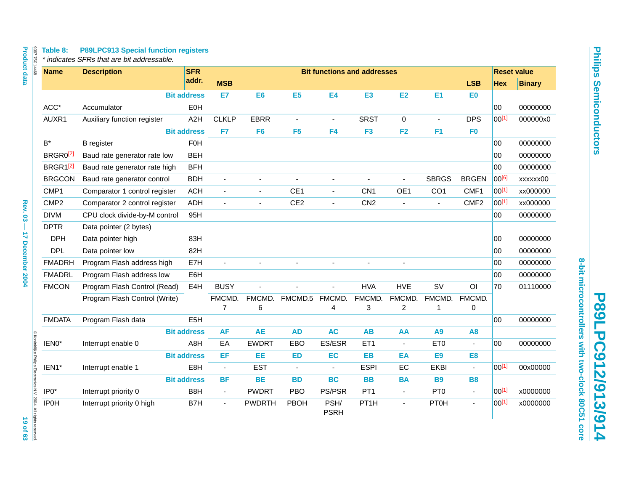| <b>Name</b>          | <b>Description</b>            | <b>SFR</b>         |                |                          |                 |                     | <b>Bit functions and addresses</b> |                |                 |                  |             | <b>Reset value</b> |
|----------------------|-------------------------------|--------------------|----------------|--------------------------|-----------------|---------------------|------------------------------------|----------------|-----------------|------------------|-------------|--------------------|
|                      |                               | addr.              | <b>MSB</b>     |                          |                 |                     |                                    |                |                 | <b>LSB</b>       | Hex         | <b>Binary</b>      |
|                      |                               | <b>Bit address</b> | E7             | E <sub>6</sub>           | E <sub>5</sub>  | <b>E4</b>           | E <sub>3</sub>                     | <b>E2</b>      | E1              | ΕO               |             |                    |
| $ACC*$               | Accumulator                   | EOH                |                |                          |                 |                     |                                    |                |                 |                  | 00          | 00000000           |
| AUXR1                | Auxiliary function register   | A2H                | <b>CLKLP</b>   | <b>EBRR</b>              | ä,              | $\blacksquare$      | <b>SRST</b>                        | 0              |                 | <b>DPS</b>       | $ 00^{[1]}$ | 000000x0           |
|                      |                               | <b>Bit address</b> | F7             | F <sub>6</sub>           | F <sub>5</sub>  | F <sub>4</sub>      | F <sub>3</sub>                     | F <sub>2</sub> | F <sub>1</sub>  | F <sub>0</sub>   |             |                    |
| $B^*$                | <b>B</b> register             | <b>F0H</b>         |                |                          |                 |                     |                                    |                |                 |                  | 00          | 00000000           |
| BRGR0 <sup>[2]</sup> | Baud rate generator rate low  | <b>BEH</b>         |                |                          |                 |                     |                                    |                |                 |                  | 00          | 00000000           |
| BRGR1 <sup>[2]</sup> | Baud rate generator rate high | <b>BFH</b>         |                |                          |                 |                     |                                    |                |                 |                  | 00          | 00000000           |
| <b>BRGCON</b>        | Baud rate generator control   | <b>BDH</b>         | ÷,             | $\blacksquare$           |                 | $\sim$              |                                    | ä,             | <b>SBRGS</b>    | <b>BRGEN</b>     | 00[6]       | xxxxxx00           |
| CMP1                 | Comparator 1 control register | <b>ACH</b>         | $\blacksquare$ | $\blacksquare$           | CE <sub>1</sub> | $\blacksquare$      | CN <sub>1</sub>                    | OE1            | CO <sub>1</sub> | CMF1             | $00^{[1]}$  | xx000000           |
| CMP <sub>2</sub>     | Comparator 2 control register | <b>ADH</b>         | $\blacksquare$ | $\overline{\phantom{a}}$ | CE <sub>2</sub> | ä,                  | CN <sub>2</sub>                    | $\blacksquare$ | $\blacksquare$  | CMF <sub>2</sub> | 00[1]       | xx000000           |
| <b>DIVM</b>          | CPU clock divide-by-M control | 95H                |                |                          |                 |                     |                                    |                |                 |                  | 00          | 00000000           |
| <b>DPTR</b>          | Data pointer (2 bytes)        |                    |                |                          |                 |                     |                                    |                |                 |                  |             |                    |
| <b>DPH</b>           | Data pointer high             | 83H                |                |                          |                 |                     |                                    |                |                 |                  | 00          | 00000000           |
| <b>DPL</b>           | Data pointer low              | 82H                |                |                          |                 |                     |                                    |                |                 |                  | 00          | 00000000           |
| <b>FMADRH</b>        | Program Flash address high    | E7H                |                |                          |                 |                     |                                    |                |                 |                  | 00          | 00000000           |
| <b>FMADRL</b>        | Program Flash address low     | E6H                |                |                          |                 |                     |                                    |                |                 |                  | 00          | 00000000           |
| <b>FMCON</b>         | Program Flash Control (Read)  | E4H                | <b>BUSY</b>    |                          |                 |                     | <b>HVA</b>                         | <b>HVE</b>     | <b>SV</b>       | O <sub>l</sub>   | 70          | 01110000           |
|                      | Program Flash Control (Write) |                    | FMCMD.         | FMCMD.                   | FMCMD.5         | FMCMD.              | FMCMD.                             | FMCMD.         | FMCMD.          | FMCMD.           |             |                    |
|                      |                               |                    | 7              | 6                        |                 | 4                   | 3                                  | $\overline{c}$ | 1               | 0                |             |                    |
| <b>FMDATA</b>        | Program Flash data            | E <sub>5</sub> H   |                |                          |                 |                     |                                    |                |                 |                  | $00\,$      | 00000000           |
|                      |                               | <b>Bit address</b> | <b>AF</b>      | <b>AE</b>                | <b>AD</b>       | <b>AC</b>           | <b>AB</b>                          | AA             | <b>A9</b>       | A <sub>8</sub>   |             |                    |
| IEN0*                | Interrupt enable 0            | A8H                | EA             | <b>EWDRT</b>             | EBO             | ES/ESR              | ET1                                | $\blacksquare$ | ET <sub>0</sub> | $\blacksquare$   | 00          | 00000000           |
|                      |                               | <b>Bit address</b> | EF             | EE                       | <b>ED</b>       | EC                  | EB                                 | EA             | E <sub>9</sub>  | E <sub>8</sub>   |             |                    |
| IEN1*                | Interrupt enable 1            | E8H                | $\omega$       | <b>EST</b>               | $\blacksquare$  | $\blacksquare$      | <b>ESPI</b>                        | EC             | <b>EKBI</b>     | $\mathbf{r}$     | $00^{[1]}$  | 00x00000           |
|                      |                               | <b>Bit address</b> | <b>BF</b>      | <b>BE</b>                | <b>BD</b>       | <b>BC</b>           | <b>BB</b>                          | <b>BA</b>      | <b>B9</b>       | <b>B8</b>        |             |                    |
| $IP0*$               | Interrupt priority 0          | B8H                | $\blacksquare$ | <b>PWDRT</b>             | <b>PBO</b>      | PS/PSR              | PT <sub>1</sub>                    | $\blacksquare$ | PT <sub>0</sub> | $\blacksquare$   | $00^{[1]}$  | x0000000           |
| <b>IP0H</b>          | Interrupt priority 0 high     | B7H                | $\blacksquare$ | <b>PWDRTH</b>            | PBOH            | PSH/<br><b>PSRH</b> | PT <sub>1</sub> H                  | ä,             | <b>PT0H</b>     | $\blacksquare$   | 00[1]       | x0000000           |

8-bit microcontrollers with two-clock 80C51 core **8-bit microcontrollers with two-clock 80C51 core P89LPC912/913/914**

P89LPC912/913/914

9397 750 14468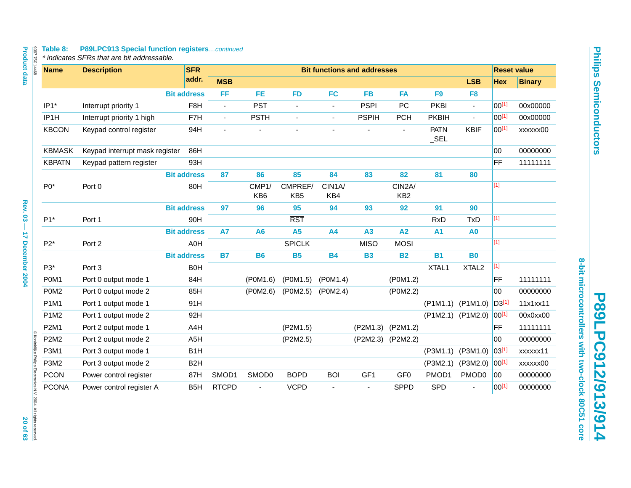# Table 8: P89LPC913 Special function registers...continued<br>\* indicates SFRs that are bit addressable.

| <b>Name</b>      | <b>Description</b>             | <b>SFR</b>         |                |                |                            | <b>Bit functions and addresses</b> |                       |                           |                        |                                         | <b>Reset value</b> |               |
|------------------|--------------------------------|--------------------|----------------|----------------|----------------------------|------------------------------------|-----------------------|---------------------------|------------------------|-----------------------------------------|--------------------|---------------|
|                  |                                | addr.              | <b>MSB</b>     |                |                            |                                    |                       |                           |                        | <b>LSB</b>                              | <b>Hex</b>         | <b>Binary</b> |
|                  |                                | <b>Bit address</b> | FF.            | <b>FE</b>      | <b>FD</b>                  | <b>FC</b>                          | <b>FB</b>             | <b>FA</b>                 | F <sub>9</sub>         | F <sub>8</sub>                          |                    |               |
| IP1*             | Interrupt priority 1           | F <sub>8</sub> H   | $\blacksquare$ | <b>PST</b>     | $\blacksquare$             | $\blacksquare$                     | <b>PSPI</b>           | PC                        | <b>PKBI</b>            | $\blacksquare$                          | $00^{[1]}$         | 00x00000      |
| IP1H             | Interrupt priority 1 high      | F7H                | $\blacksquare$ | <b>PSTH</b>    | $\overline{\phantom{a}}$   | $\blacksquare$                     | <b>PSPIH</b>          | <b>PCH</b>                | <b>PKBIH</b>           | $\blacksquare$                          | $00^{[1]}$         | 00x00000      |
| <b>KBCON</b>     | Keypad control register        | 94H                | $\blacksquare$ |                | $\blacksquare$             | ä,                                 | $\tilde{\phantom{a}}$ | $\blacksquare$            | <b>PATN</b><br>$\_SEL$ | <b>KBIF</b>                             | $00^{[1]}$         | xxxxxx00      |
| <b>KBMASK</b>    | Keypad interrupt mask register | 86H                |                |                |                            |                                    |                       |                           |                        |                                         | 00                 | 00000000      |
| <b>KBPATN</b>    | Keypad pattern register        | 93H                |                |                |                            |                                    |                       |                           |                        |                                         | <b>FF</b>          | 11111111      |
|                  |                                | <b>Bit address</b> | 87             | 86             | 85                         | 84                                 | 83                    | 82                        | 81                     | 80                                      |                    |               |
| $P0*$            | Port 0                         | 80H                |                | CMP1/<br>KB6   | CMPREF/<br>KB <sub>5</sub> | CIN1A/<br>KB4                      |                       | CIN2A/<br>KB <sub>2</sub> |                        |                                         | $[1]$              |               |
|                  |                                | <b>Bit address</b> | 97             | 96             | 95                         | 94                                 | 93                    | 92                        | 91                     | 90                                      |                    |               |
| $P1*$            | Port 1                         | 90H                |                |                | <b>RST</b>                 |                                    |                       |                           | <b>RxD</b>             | <b>TxD</b>                              | $[1]$              |               |
|                  |                                | <b>Bit address</b> | <b>A7</b>      | A <sub>6</sub> | <b>A5</b>                  | <b>A4</b>                          | A3                    | A2                        | <b>A1</b>              | A <sub>0</sub>                          |                    |               |
| $P2*$            | Port 2                         | A0H                |                |                | <b>SPICLK</b>              |                                    | <b>MISO</b>           | <b>MOSI</b>               |                        |                                         | $[1]$              |               |
|                  |                                | <b>Bit address</b> | <b>B7</b>      | <b>B6</b>      | <b>B5</b>                  | <b>B4</b>                          | <b>B3</b>             | <b>B2</b>                 | <b>B1</b>              | <b>B0</b>                               |                    |               |
| P3*              | Port 3                         | <b>B0H</b>         |                |                |                            |                                    |                       |                           | XTAL1                  | XTAL <sub>2</sub>                       | $[1]$              |               |
| P0M1             | Port 0 output mode 1           | 84H                |                | (P0M1.6)       | (P0M1.5)                   | (P0M1.4)                           |                       | (P0M1.2)                  |                        |                                         | FF                 | 11111111      |
| P0M <sub>2</sub> | Port 0 output mode 2           | 85H                |                | (P0M2.6)       | (P0M2.5)                   | (P0M2.4)                           |                       | (P0M2.2)                  |                        |                                         | 00                 | 00000000      |
| P1M1             | Port 1 output mode 1           | 91H                |                |                |                            |                                    |                       |                           | (P1M1.1)               | (P1M1.0)                                | $D3^{[1]}$         | 11x1xx11      |
| P1M2             | Port 1 output mode 2           | 92H                |                |                |                            |                                    |                       |                           |                        | $(P1M2.1)$ $(P1M2.0)$ 00 <sup>[1]</sup> |                    | 00x0xx00      |
| <b>P2M1</b>      | Port 2 output mode 1           | A4H                |                |                | (P2M1.5)                   |                                    | (P2M1.3)              | (P2M1.2)                  |                        |                                         | <b>FF</b>          | 11111111      |
| <b>P2M2</b>      | Port 2 output mode 2           | A <sub>5</sub> H   |                |                | (P2M2.5)                   |                                    | (P2M2.3)              | (P2M2.2)                  |                        |                                         | 00                 | 00000000      |
| P3M1             | Port 3 output mode 1           | B <sub>1</sub> H   |                |                |                            |                                    |                       |                           | (P3M1.1)               | (P3M1.0)                                | 03[1]              | xxxxxx11      |
| <b>P3M2</b>      | Port 3 output mode 2           | B <sub>2</sub> H   |                |                |                            |                                    |                       |                           | (P3M2.1)               | (P3M2.0)                                | 00[1]              | xxxxxx00      |
| <b>PCON</b>      | Power control register         | 87H                | SMOD1          | SMOD0          | <b>BOPD</b>                | <b>BOI</b>                         | GF1                   | GF <sub>0</sub>           | PMOD1                  | PMOD0                                   | 00                 | 00000000      |
| <b>PCONA</b>     | Power control register A       | B <sub>5</sub> H   | <b>RTCPD</b>   |                | <b>VCPD</b>                | $\blacksquare$                     | $\blacksquare$        | <b>SPPD</b>               | SPD                    |                                         | $00^{[1]}$         | 00000000      |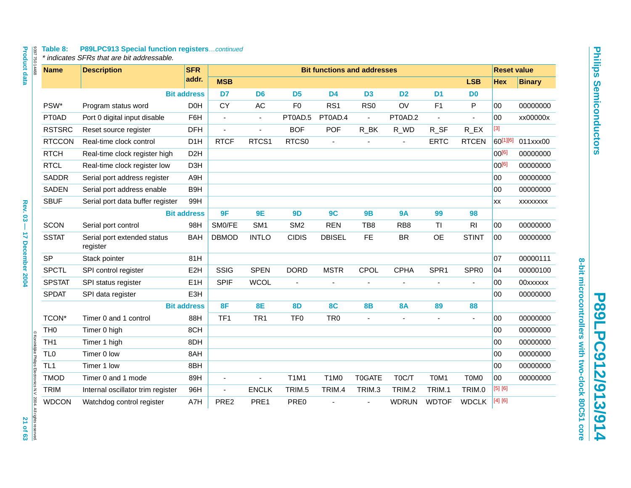# Table 8: P89LPC913 Special function registers...continued<br>\* indicates SFRs that are bit addressable.

| 839775014468                                                     | <b>Name</b>     | <b>Description</b>                      | <b>SFR</b>         |                 |                 |                 |                               | <b>Bit functions and addresses</b> |                 |                  |                       | <b>Reset value</b> |                 |
|------------------------------------------------------------------|-----------------|-----------------------------------------|--------------------|-----------------|-----------------|-----------------|-------------------------------|------------------------------------|-----------------|------------------|-----------------------|--------------------|-----------------|
|                                                                  |                 |                                         | addr.              | <b>MSB</b>      |                 |                 |                               |                                    |                 |                  | <b>LSB</b>            | <b>Hex</b>         | <b>Binary</b>   |
|                                                                  |                 |                                         | <b>Bit address</b> | D <sub>7</sub>  | D <sub>6</sub>  | D <sub>5</sub>  | <b>D4</b>                     | D <sub>3</sub>                     | D <sub>2</sub>  | D <sub>1</sub>   | D <sub>0</sub>        |                    |                 |
|                                                                  | PSW*            | Program status word                     | D <sub>0</sub> H   | <b>CY</b>       | AC              | F <sub>0</sub>  | RS <sub>1</sub>               | RS <sub>0</sub>                    | OV              | F1               | P                     | 00                 | 00000000        |
|                                                                  | PT0AD           | Port 0 digital input disable            | F6H                | $\blacksquare$  | $\blacksquare$  | PT0AD.5         | PT0AD.4                       | $\blacksquare$                     | PT0AD.2         | ä,               | ä,                    | 00                 | xx00000x        |
|                                                                  | <b>RSTSRC</b>   | Reset source register                   | <b>DFH</b>         | ä,              | $\blacksquare$  | <b>BOF</b>      | <b>POF</b>                    | $R$ _BK                            | R_WD            | R_SF             | $R$ <sub>_</sub> $EX$ | $[3]$              |                 |
|                                                                  | <b>RTCCON</b>   | Real-time clock control                 | D <sub>1</sub> H   | <b>RTCF</b>     | RTCS1           | RTCS0           | ä,                            |                                    |                 | <b>ERTC</b>      | <b>RTCEN</b>          | 60[1][6]           | 011xxx00        |
|                                                                  | <b>RTCH</b>     | Real-time clock register high           | D <sub>2</sub> H   |                 |                 |                 |                               |                                    |                 |                  |                       | $00^{[6]}$         | 00000000        |
|                                                                  | <b>RTCL</b>     | Real-time clock register low            | D <sub>3</sub> H   |                 |                 |                 |                               |                                    |                 |                  |                       | $00^{[6]}$         | 00000000        |
|                                                                  | <b>SADDR</b>    | Serial port address register            | A9H                |                 |                 |                 |                               |                                    |                 |                  |                       | $00\,$             | 00000000        |
|                                                                  | <b>SADEN</b>    | Serial port address enable              | B9H                |                 |                 |                 |                               |                                    |                 |                  |                       | 00                 | 00000000        |
|                                                                  | <b>SBUF</b>     | Serial port data buffer register        | 99H                |                 |                 |                 |                               |                                    |                 |                  |                       | XX                 | <b>XXXXXXXX</b> |
|                                                                  |                 |                                         | <b>Bit address</b> | 9F              | <b>9E</b>       | 9D              | 9C                            | <b>9B</b>                          | <b>9A</b>       | 99               | 98                    |                    |                 |
|                                                                  | <b>SCON</b>     | Serial port control                     | 98H                | SM0/FE          | SM <sub>1</sub> | SM <sub>2</sub> | <b>REN</b>                    | TB8                                | RB <sub>8</sub> | TI               | RI                    | $00\,$             | 00000000        |
|                                                                  | <b>SSTAT</b>    | Serial port extended status<br>register | <b>BAH</b>         | <b>DBMOD</b>    | <b>INTLO</b>    | <b>CIDIS</b>    | <b>DBISEL</b>                 | FE.                                | <b>BR</b>       | OE               | <b>STINT</b>          | 00                 | 00000000        |
|                                                                  | <b>SP</b>       | Stack pointer                           | 81H                |                 |                 |                 |                               |                                    |                 |                  |                       | 07                 | 00000111        |
|                                                                  | <b>SPCTL</b>    | SPI control register                    | E <sub>2</sub> H   | SSIG            | <b>SPEN</b>     | <b>DORD</b>     | <b>MSTR</b>                   | CPOL                               | <b>CPHA</b>     | SPR <sub>1</sub> | SPR <sub>0</sub>      | 04                 | 00000100        |
|                                                                  | <b>SPSTAT</b>   | SPI status register                     | E <sub>1</sub> H   | <b>SPIF</b>     | <b>WCOL</b>     | $\blacksquare$  | ä,                            | ÷,                                 |                 |                  | ÷,                    | 00                 | 00xxxxxx        |
|                                                                  | <b>SPDAT</b>    | SPI data register                       | E3H                |                 |                 |                 |                               |                                    |                 |                  |                       | 00                 | 00000000        |
|                                                                  |                 |                                         | <b>Bit address</b> | 8F              | <b>8E</b>       | <b>8D</b>       | 8C                            | <b>8B</b>                          | <b>8A</b>       | 89               | 88                    |                    |                 |
|                                                                  | TCON*           | Timer 0 and 1 control                   | 88H                | TF <sub>1</sub> | TR <sub>1</sub> | TF <sub>0</sub> | TR <sub>0</sub>               | $\blacksquare$                     | ä,              | $\blacksquare$   | $\blacksquare$        | 00                 | 00000000        |
|                                                                  | TH <sub>0</sub> | Timer 0 high                            | 8CH                |                 |                 |                 |                               |                                    |                 |                  |                       | 00                 | 00000000        |
|                                                                  | TH <sub>1</sub> | Timer 1 high                            | 8DH                |                 |                 |                 |                               |                                    |                 |                  |                       | 00                 | 00000000        |
|                                                                  | TL <sub>0</sub> | Timer 0 low                             | 8AH                |                 |                 |                 |                               |                                    |                 |                  |                       | $00\,$             | 00000000        |
|                                                                  | TL <sub>1</sub> | Timer 1 low                             | 8BH                |                 |                 |                 |                               |                                    |                 |                  |                       | 00                 | 00000000        |
|                                                                  | <b>TMOD</b>     | Timer 0 and 1 mode                      | 89H                | $\overline{a}$  | $\overline{a}$  | <b>T1M1</b>     | T <sub>1</sub> M <sub>0</sub> | T0GATE                             | T0C/T           | T0M1             | T0M0                  | 00                 | 00000000        |
|                                                                  | TRIM            | Internal oscillator trim register       | 96H                | $\blacksquare$  | <b>ENCLK</b>    | TRIM.5          | TRIM.4                        | TRIM.3                             | TRIM.2          | TRIM.1           | TRIM.0                | [5] [6]            |                 |
| © Koninklijke Philips Electronics N.V. 2004. All rights reserved | <b>WDCON</b>    | Watchdog control register               | A7H                | PRE2            | PRE1            | PRE0            |                               |                                    | <b>WDRUN</b>    | <b>WDTOF</b>     | <b>WDCLK</b>          | [4] [6]            |                 |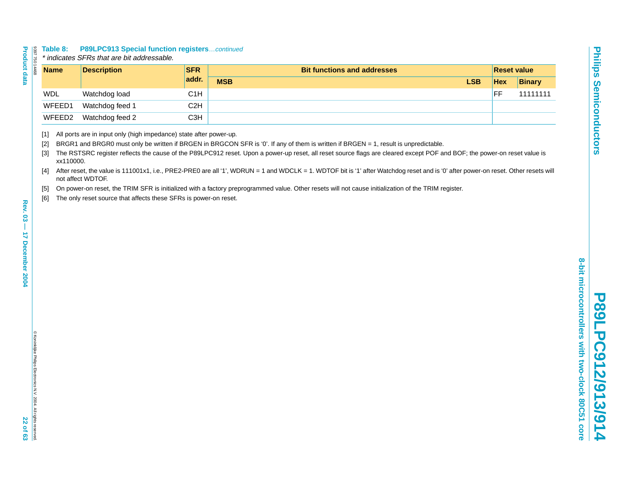<span id="page-21-5"></span><span id="page-21-4"></span><span id="page-21-3"></span><span id="page-21-2"></span><span id="page-21-1"></span><span id="page-21-0"></span>

| <b>Product data</b>                 | Table 8:<br>8397 750 14468                                       |           | <b>P89LPC913 Special function registerscontinued</b><br>* indicates SFRs that are bit addressable.                                                          |                  |                                                                                                                                                                                                                                                                                                                                                                                                                                                                                                                                                                                                                                                               |            |                    |
|-------------------------------------|------------------------------------------------------------------|-----------|-------------------------------------------------------------------------------------------------------------------------------------------------------------|------------------|---------------------------------------------------------------------------------------------------------------------------------------------------------------------------------------------------------------------------------------------------------------------------------------------------------------------------------------------------------------------------------------------------------------------------------------------------------------------------------------------------------------------------------------------------------------------------------------------------------------------------------------------------------------|------------|--------------------|
|                                     | <b>Name</b>                                                      |           | <b>Description</b>                                                                                                                                          | <b>SFR</b>       | <b>Bit functions and addresses</b>                                                                                                                                                                                                                                                                                                                                                                                                                                                                                                                                                                                                                            |            | <b>Reset value</b> |
|                                     |                                                                  |           |                                                                                                                                                             | addr.            | <b>MSB</b><br><b>LSB</b>                                                                                                                                                                                                                                                                                                                                                                                                                                                                                                                                                                                                                                      | <b>Hex</b> | <b>Binary</b>      |
|                                     | WDL                                                              |           | Watchdog load                                                                                                                                               | C1H              |                                                                                                                                                                                                                                                                                                                                                                                                                                                                                                                                                                                                                                                               | FF         | 11111111           |
|                                     |                                                                  | WFEED1    | Watchdog feed 1                                                                                                                                             | C2H              |                                                                                                                                                                                                                                                                                                                                                                                                                                                                                                                                                                                                                                                               |            |                    |
|                                     |                                                                  | WFEED2    | Watchdog feed 2                                                                                                                                             | C <sub>3</sub> H |                                                                                                                                                                                                                                                                                                                                                                                                                                                                                                                                                                                                                                                               |            |                    |
| Rev. 03-<br><b>17 December 2004</b> | $[1]$<br>$[2]$<br>$[3]$<br>[4]<br>$[5]$<br>[6]                   | xx110000. | All ports are in input only (high impedance) state after power-up.<br>not affect WDTOF.<br>The only reset source that affects these SFRs is power-on reset. |                  | BRGR1 and BRGR0 must only be written if BRGEN in BRGCON SFR is '0'. If any of them is written if BRGEN = 1, result is unpredictable.<br>The RSTSRC register reflects the cause of the P89LPC912 reset. Upon a power-up reset, all reset source flags are cleared except POF and BOF; the power-on reset value is<br>After reset, the value is 111001x1, i.e., PRE2-PRE0 are all '1', WDRUN = 1 and WDCLK = 1. WDTOF bit is '1' after Watchdog reset and is '0' after power-on reset. Other resets will<br>On power-on reset, the TRIM SFR is initialized with a factory preprogrammed value. Other resets will not cause initialization of the TRIM register. |            |                    |
| 22 of 63                            | C Koninklijke Philips Electronics N.V. 2004. All rights reserved |           |                                                                                                                                                             |                  |                                                                                                                                                                                                                                                                                                                                                                                                                                                                                                                                                                                                                                                               |            |                    |

ŢŪ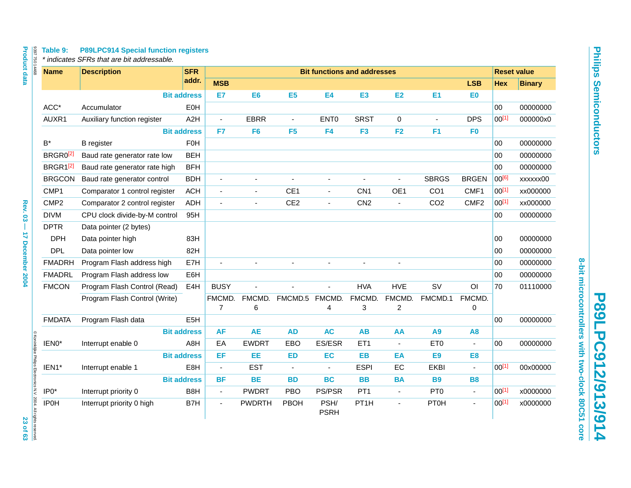# **P89LPC912/913/914** P89LPC912/913/914

**8-bit microcontrollers with two-clock 80C51 core**

8-bit microcontrollers with two-clock 80C51 core

| <b>Name</b>          | <b>Description</b>            |                    | <b>SFR</b>       |                          |                          |                 |                          | <b>Bit functions and addresses</b> |                          |                 |                          |            | <b>Reset value</b> |
|----------------------|-------------------------------|--------------------|------------------|--------------------------|--------------------------|-----------------|--------------------------|------------------------------------|--------------------------|-----------------|--------------------------|------------|--------------------|
|                      |                               |                    | addr.            | <b>MSB</b>               |                          |                 |                          |                                    |                          |                 | <b>LSB</b>               | <b>Hex</b> | <b>Binary</b>      |
|                      |                               | <b>Bit address</b> |                  | E7                       | E6                       | E <sub>5</sub>  | E4                       | E3                                 | <b>E2</b>                | E1              | E <sub>0</sub>           |            |                    |
| ACC*                 | Accumulator                   |                    | EOH              |                          |                          |                 |                          |                                    |                          |                 |                          | $00\,$     | 00000000           |
| AUXR1                | Auxiliary function register   |                    | A <sub>2</sub> H | $\blacksquare$           | <b>EBRR</b>              | $\blacksquare$  | ENT <sub>0</sub>         | <b>SRST</b>                        | 0                        |                 | <b>DPS</b>               | $00^{[1]}$ | 000000x0           |
|                      |                               | <b>Bit address</b> |                  | F7                       | F <sub>6</sub>           | F <sub>5</sub>  | F <sub>4</sub>           | F <sub>3</sub>                     | F2                       | F <sub>1</sub>  | F <sub>0</sub>           |            |                    |
| $\mathsf{B}^*$       | <b>B</b> register             |                    | <b>F0H</b>       |                          |                          |                 |                          |                                    |                          |                 |                          | 00         | 00000000           |
| BRGR0 <sup>[2]</sup> | Baud rate generator rate low  |                    | <b>BEH</b>       |                          |                          |                 |                          |                                    |                          |                 |                          | 00         | 00000000           |
| BRGR1 <sup>[2]</sup> | Baud rate generator rate high |                    | <b>BFH</b>       |                          |                          |                 |                          |                                    |                          |                 |                          | 00         | 00000000           |
| <b>BRGCON</b>        | Baud rate generator control   |                    | <b>BDH</b>       | $\overline{\phantom{a}}$ | ä,                       | ÷,              | ä,                       |                                    |                          | <b>SBRGS</b>    | <b>BRGEN</b>             | 00[6]      | xxxxxx00           |
| CMP1                 | Comparator 1 control register |                    | <b>ACH</b>       | $\blacksquare$           | ä,                       | CE1             | $\overline{\phantom{a}}$ | CN <sub>1</sub>                    | OE1                      | CO <sub>1</sub> | CMF1                     | $00^{[1]}$ | xx000000           |
| CMP <sub>2</sub>     | Comparator 2 control register |                    | <b>ADH</b>       | ÷.                       | $\overline{\phantom{a}}$ | CE <sub>2</sub> | $\blacksquare$           | CN <sub>2</sub>                    | $\blacksquare$           | CO <sub>2</sub> | CMF <sub>2</sub>         | $00^{[1]}$ | xx000000           |
| <b>DIVM</b>          | CPU clock divide-by-M control |                    | 95H              |                          |                          |                 |                          |                                    |                          |                 |                          | $00\,$     | 00000000           |
| <b>DPTR</b>          | Data pointer (2 bytes)        |                    |                  |                          |                          |                 |                          |                                    |                          |                 |                          |            |                    |
| <b>DPH</b>           | Data pointer high             |                    | 83H              |                          |                          |                 |                          |                                    |                          |                 |                          | 00         | 00000000           |
| <b>DPL</b>           | Data pointer low              |                    | 82H              |                          |                          |                 |                          |                                    |                          |                 |                          | 00         | 00000000           |
| <b>FMADRH</b>        | Program Flash address high    |                    | E7H              |                          |                          |                 |                          |                                    |                          |                 |                          | 00         | 00000000           |
| <b>FMADRL</b>        | Program Flash address low     |                    | E6H              |                          |                          |                 |                          |                                    |                          |                 |                          | 00         | 00000000           |
| <b>FMCON</b>         | Program Flash Control (Read)  |                    | E4H              | <b>BUSY</b>              |                          |                 |                          | <b>HVA</b>                         | <b>HVE</b>               | <b>SV</b>       | O <sub>l</sub>           | 70         | 01110000           |
|                      | Program Flash Control (Write) |                    |                  | FMCMD.                   | FMCMD.                   | FMCMD.5         | FMCMD.                   | FMCMD.                             | FMCMD.                   | FMCMD.1         | FMCMD.                   |            |                    |
|                      |                               |                    |                  | $\overline{7}$           | 6                        |                 | 4                        | 3                                  | $\overline{c}$           |                 | 0                        |            |                    |
| <b>FMDATA</b>        | Program Flash data            |                    | E <sub>5</sub> H |                          |                          |                 |                          |                                    |                          |                 |                          | 00         | 00000000           |
|                      |                               | <b>Bit address</b> |                  | <b>AF</b>                | <b>AE</b>                | <b>AD</b>       | <b>AC</b>                | <b>AB</b>                          | AA                       | A <sub>9</sub>  | A <sub>8</sub>           |            |                    |
| IEN0*                | Interrupt enable 0            |                    | A8H              | EA                       | <b>EWDRT</b>             | EBO             | ES/ESR                   | ET1                                | $\overline{\phantom{a}}$ | ET <sub>0</sub> | $\overline{\phantom{a}}$ | $00\,$     | 00000000           |
|                      |                               | <b>Bit address</b> |                  | EF.                      | EE.                      | <b>ED</b>       | EC                       | <b>EB</b>                          | EA                       | E <sub>9</sub>  | E <sub>8</sub>           |            |                    |
| IEN1*                | Interrupt enable 1            |                    | E8H              | $\blacksquare$           | <b>EST</b>               | $\blacksquare$  | $\blacksquare$           | <b>ESPI</b>                        | EC                       | <b>EKBI</b>     |                          | $00^{[1]}$ | 00x00000           |
|                      |                               | <b>Bit address</b> |                  | <b>BF</b>                | <b>BE</b>                | <b>BD</b>       | <b>BC</b>                | <b>BB</b>                          | <b>BA</b>                | <b>B9</b>       | <b>B8</b>                |            |                    |
| IP0*                 | Interrupt priority 0          |                    | B8H              | $\blacksquare$           | <b>PWDRT</b>             | <b>PBO</b>      | PS/PSR                   | PT <sub>1</sub>                    | $\overline{\phantom{a}}$ | PT <sub>0</sub> | $\blacksquare$           | $00^{[1]}$ | x0000000           |
| <b>IP0H</b>          | Interrupt priority 0 high     |                    | B7H              | ÷,                       | <b>PWDRTH</b>            | PBOH            | PSH/<br><b>PSRH</b>      | PT1H                               | $\blacksquare$           | <b>PT0H</b>     | $\blacksquare$           | $00^{[1]}$ | x0000000           |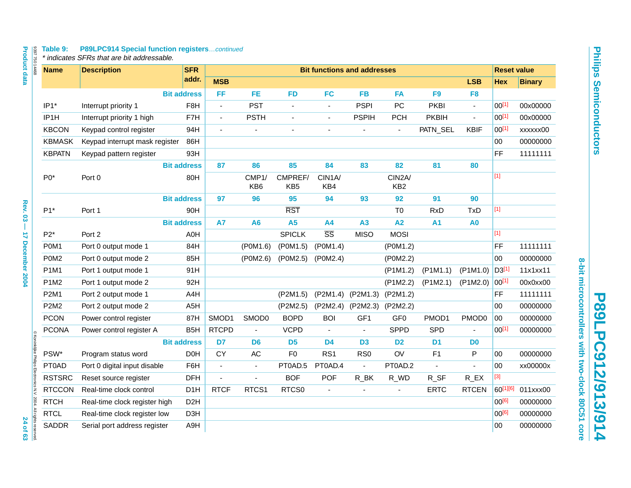# Table 9: P89LPC914 Special function registers...continued<br>\* indicates SFRs that are bit addressable.

| 839775014468<br><b>Name</b>                                                     | <b>Description</b>             | <b>SFR</b>         |                          |                          |                            |                        | <b>Bit functions and addresses</b> |                           |                |                       | <b>Reset value</b>                                                                                                                                                                                            |               |
|---------------------------------------------------------------------------------|--------------------------------|--------------------|--------------------------|--------------------------|----------------------------|------------------------|------------------------------------|---------------------------|----------------|-----------------------|---------------------------------------------------------------------------------------------------------------------------------------------------------------------------------------------------------------|---------------|
|                                                                                 |                                | addr.              | <b>MSB</b>               |                          |                            |                        |                                    |                           |                | <b>LSB</b>            | <b>Hex</b>                                                                                                                                                                                                    | <b>Binary</b> |
|                                                                                 |                                | <b>Bit address</b> | FF                       | <b>FE</b>                | <b>FD</b>                  | <b>FC</b>              | <b>FB</b>                          | <b>FA</b>                 | F <sub>9</sub> | F <sub>8</sub>        |                                                                                                                                                                                                               |               |
| IP1*                                                                            | Interrupt priority 1           | F <sub>8</sub> H   | ÷,                       | <b>PST</b>               |                            | $\ddot{\phantom{1}}$   | <b>PSPI</b>                        | PC                        | <b>PKBI</b>    | $\blacksquare$        | $00^{[1]}$                                                                                                                                                                                                    | 00x00000      |
| IP <sub>1</sub> H                                                               | Interrupt priority 1 high      | F7H                | $\blacksquare$           | <b>PSTH</b>              | $\sim$                     | $\blacksquare$         | <b>PSPIH</b>                       | <b>PCH</b>                | <b>PKBIH</b>   | $\omega$              | $00^{[1]}$                                                                                                                                                                                                    | 00x00000      |
| <b>KBCON</b>                                                                    | Keypad control register        | 94H                | $\overline{\phantom{a}}$ | ÷,                       | ä,                         | $\tilde{\phantom{a}}$  |                                    | $\blacksquare$            | PATN_SEL       | <b>KBIF</b>           | $00^{[1]}$                                                                                                                                                                                                    | xxxxxx00      |
| <b>KBMASK</b>                                                                   | Keypad interrupt mask register | 86H                |                          |                          |                            |                        |                                    |                           |                |                       | 00                                                                                                                                                                                                            | 00000000      |
| <b>KBPATN</b>                                                                   | Keypad pattern register        | 93H                |                          |                          |                            |                        |                                    |                           |                |                       | FF.                                                                                                                                                                                                           | 11111111      |
|                                                                                 |                                | <b>Bit address</b> | 87                       | 86                       | 85                         | 84                     | 83                                 | 82                        | 81             | 80                    |                                                                                                                                                                                                               |               |
| $P0*$                                                                           | Port 0                         | 80H                |                          | CMP1/<br>KB <sub>6</sub> | CMPREF/<br>KB <sub>5</sub> | CIN1A/<br>KB4          |                                    | CIN2A/<br>KB <sub>2</sub> |                |                       | $[1]$                                                                                                                                                                                                         |               |
|                                                                                 |                                | <b>Bit address</b> | 97                       | 96                       | 95                         | 94                     | 93                                 | 92                        | 91             | 90                    |                                                                                                                                                                                                               |               |
| $P1*$                                                                           | Port 1                         | 90H                |                          |                          | <b>RST</b>                 |                        |                                    | T <sub>0</sub>            | <b>RxD</b>     | <b>TxD</b>            | $[1]$                                                                                                                                                                                                         |               |
|                                                                                 |                                | <b>Bit address</b> | <b>A7</b>                | A <sub>6</sub>           | <b>A5</b>                  | <b>A4</b>              | A3                                 | A2                        | <b>A1</b>      | A <sub>0</sub>        |                                                                                                                                                                                                               |               |
| $P2*$                                                                           | Port 2                         | A0H                |                          |                          | <b>SPICLK</b>              | $\overline{\text{SS}}$ | <b>MISO</b>                        | <b>MOSI</b>               |                |                       | $[1]$                                                                                                                                                                                                         |               |
| P0M1                                                                            | Port 0 output mode 1           | 84H                |                          | (P0M1.6)                 | (P0M1.5)                   | (POM1.4)               |                                    | (P0M1.2)                  |                |                       | FF                                                                                                                                                                                                            | 11111111      |
| P0M <sub>2</sub>                                                                | Port 0 output mode 2           | 85H                |                          | (POM2.6)                 | (P0M2.5)                   | (P0M2.4)               |                                    | (P0M2.2)                  |                |                       | 00                                                                                                                                                                                                            | 00000000      |
| P1M1                                                                            | Port 1 output mode 1           | 91H                |                          |                          |                            |                        |                                    | $($ P1M1.2)               | $($ P1M1.1)    | (P1M1.0)              | D3 <sup>[1]</sup>                                                                                                                                                                                             | 11x1xx11      |
| P1M2                                                                            | Port 1 output mode 2           | 92H                |                          |                          |                            |                        |                                    | (P1M2.2)                  | (P1M2.1)       | (P1M2.0)              | 00[1]                                                                                                                                                                                                         | 00x0xx00      |
| P2M1                                                                            | Port 2 output mode 1           | A4H                |                          |                          | (P2M1.5)                   | (P2M1.4)               | (P2M1.3)                           | (P2M1.2)                  |                |                       | FF                                                                                                                                                                                                            | 11111111      |
| <b>P2M2</b>                                                                     | Port 2 output mode 2           | A <sub>5</sub> H   |                          |                          | (P2M2.5)                   | (P2M2.4)               | (P2M2.3)                           | (P2M2.2)                  |                |                       | 00                                                                                                                                                                                                            | 00000000      |
| <b>PCON</b>                                                                     | Power control register         | 87H                | SMOD1                    | SMOD0                    | <b>BOPD</b>                | <b>BOI</b>             | GF <sub>1</sub>                    | GF <sub>0</sub>           | PMOD1          | PMOD <sub>0</sub>     | 00                                                                                                                                                                                                            | 00000000      |
| <b>PCONA</b>                                                                    | Power control register A       | B <sub>5</sub> H   | <b>RTCPD</b>             | ÷,                       | <b>VCPD</b>                |                        | $\overline{a}$                     | <b>SPPD</b>               | SPD            |                       | $00^{[1]}$                                                                                                                                                                                                    | 00000000      |
|                                                                                 |                                | <b>Bit address</b> | D7                       | D <sub>6</sub>           | D <sub>5</sub>             | D <sub>4</sub>         | D <sub>3</sub>                     | D <sub>2</sub>            | D <sub>1</sub> | D <sub>0</sub>        |                                                                                                                                                                                                               |               |
| PSW*                                                                            | Program status word            | D <sub>0</sub> H   | <b>CY</b>                | AC                       | F <sub>0</sub>             | RS <sub>1</sub>        | RS <sub>0</sub>                    | OV                        | F1             | P                     | 00                                                                                                                                                                                                            | 00000000      |
| PT0AD                                                                           | Port 0 digital input disable   | F6H                | $\blacksquare$           | $\blacksquare$           | PT0AD.5                    | PT0AD.4                | $\blacksquare$                     | PT0AD.2                   | ÷,             | $\blacksquare$        | 00                                                                                                                                                                                                            | xx00000x      |
| <b>RSTSRC</b>                                                                   | Reset source register          | <b>DFH</b>         | $\sim$                   | ÷.                       | <b>BOF</b>                 | POF                    | $R$ _BK                            | R_WD                      | $R_SF$         | $R$ <sub>_</sub> $EX$ | $[3] % \begin{center} \includegraphics[width=\linewidth]{imagesSupplemental/Imh} \end{center} % \vspace{-1em} \caption{The image shows the number of parameters in the left and right.} \label{fig:limsub} %$ |               |
| <b>RTCCON</b>                                                                   | Real-time clock control        | D <sub>1</sub> H   | <b>RTCF</b>              | RTCS1                    | RTCS0                      | $\tilde{\phantom{a}}$  | $\blacksquare$                     | L.                        | <b>ERTC</b>    | <b>RTCEN</b>          | 60[1][6]                                                                                                                                                                                                      | 011xxx00      |
| © Koninklijke Philips Electronics N.V. 2004. All rights reserved<br><b>RTCH</b> | Real-time clock register high  | D <sub>2</sub> H   |                          |                          |                            |                        |                                    |                           |                |                       | $00^{[6]}$                                                                                                                                                                                                    | 00000000      |
| <b>RTCL</b>                                                                     | Real-time clock register low   | D <sub>3</sub> H   |                          |                          |                            |                        |                                    |                           |                |                       | 00[6]                                                                                                                                                                                                         | 00000000      |
| SADDR                                                                           | Serial port address register   | A9H                |                          |                          |                            |                        |                                    |                           |                |                       | 00                                                                                                                                                                                                            | 00000000      |

8-bit microcontrollers with two-clock 80C51 core **8-bit microcontrollers with two-clock 80C51 core P89LPC912/913/914** P89LPC912/913/914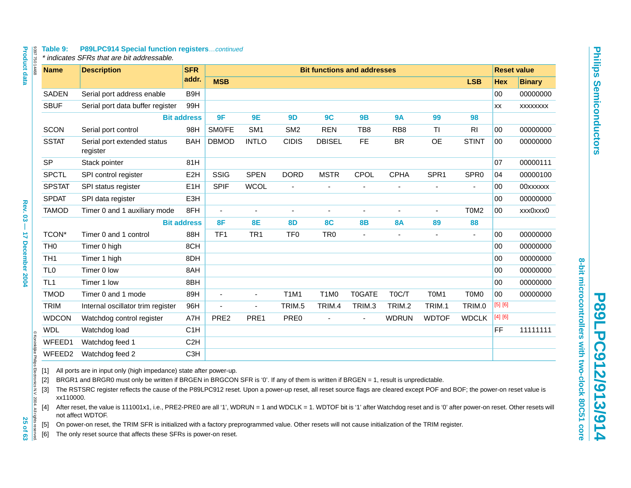<span id="page-24-5"></span><span id="page-24-4"></span><span id="page-24-3"></span><span id="page-24-2"></span><span id="page-24-1"></span><span id="page-24-0"></span>

| <b>Product data</b><br>839775014468                                                                                                                                                                                                                                                                                                                                                                                                                                                                                                                                                                                                                                                                                                                                                                                                                                                                                                                                         | Table 9:        | <b>P89LPC914 Special function registerscontinued</b><br>* indicates SFRs that are bit addressable. |                    |                  |                 |                  |                                    |                |                          |                               |                               |            |                    |
|-----------------------------------------------------------------------------------------------------------------------------------------------------------------------------------------------------------------------------------------------------------------------------------------------------------------------------------------------------------------------------------------------------------------------------------------------------------------------------------------------------------------------------------------------------------------------------------------------------------------------------------------------------------------------------------------------------------------------------------------------------------------------------------------------------------------------------------------------------------------------------------------------------------------------------------------------------------------------------|-----------------|----------------------------------------------------------------------------------------------------|--------------------|------------------|-----------------|------------------|------------------------------------|----------------|--------------------------|-------------------------------|-------------------------------|------------|--------------------|
|                                                                                                                                                                                                                                                                                                                                                                                                                                                                                                                                                                                                                                                                                                                                                                                                                                                                                                                                                                             | <b>Name</b>     | <b>Description</b>                                                                                 | <b>SFR</b>         |                  |                 |                  | <b>Bit functions and addresses</b> |                |                          |                               |                               |            | <b>Reset value</b> |
|                                                                                                                                                                                                                                                                                                                                                                                                                                                                                                                                                                                                                                                                                                                                                                                                                                                                                                                                                                             |                 |                                                                                                    | addr.              | <b>MSB</b>       |                 |                  |                                    |                |                          |                               | <b>LSB</b>                    | <b>Hex</b> | <b>Binary</b>      |
|                                                                                                                                                                                                                                                                                                                                                                                                                                                                                                                                                                                                                                                                                                                                                                                                                                                                                                                                                                             | <b>SADEN</b>    | Serial port address enable                                                                         | B <sub>9H</sub>    |                  |                 |                  |                                    |                |                          |                               |                               | 00         | 00000000           |
|                                                                                                                                                                                                                                                                                                                                                                                                                                                                                                                                                                                                                                                                                                                                                                                                                                                                                                                                                                             | <b>SBUF</b>     | Serial port data buffer register                                                                   | 99H                |                  |                 |                  |                                    |                |                          |                               |                               | <b>XX</b>  | XXXXXXXX           |
|                                                                                                                                                                                                                                                                                                                                                                                                                                                                                                                                                                                                                                                                                                                                                                                                                                                                                                                                                                             |                 |                                                                                                    | <b>Bit address</b> | 9F               | 9E              | 9D               | 9C                                 | <b>9B</b>      | <b>9A</b>                | 99                            | 98                            |            |                    |
|                                                                                                                                                                                                                                                                                                                                                                                                                                                                                                                                                                                                                                                                                                                                                                                                                                                                                                                                                                             | SCON            | Serial port control                                                                                | 98H                | SMO/FE           | SM <sub>1</sub> | SM <sub>2</sub>  | <b>REN</b>                         | TB8            | RB <sub>8</sub>          | ΤI                            | R <sub>l</sub>                | 00         | 00000000           |
|                                                                                                                                                                                                                                                                                                                                                                                                                                                                                                                                                                                                                                                                                                                                                                                                                                                                                                                                                                             | <b>SSTAT</b>    | Serial port extended status<br>register                                                            | <b>BAH</b>         | <b>DBMOD</b>     | <b>INTLO</b>    | <b>CIDIS</b>     | <b>DBISEL</b>                      | <b>FE</b>      | <b>BR</b>                | <b>OE</b>                     | <b>STINT</b>                  | 00         | 00000000           |
|                                                                                                                                                                                                                                                                                                                                                                                                                                                                                                                                                                                                                                                                                                                                                                                                                                                                                                                                                                             | <b>SP</b>       | Stack pointer                                                                                      | 81H                |                  |                 |                  |                                    |                |                          |                               |                               | 07         | 00000111           |
|                                                                                                                                                                                                                                                                                                                                                                                                                                                                                                                                                                                                                                                                                                                                                                                                                                                                                                                                                                             | <b>SPCTL</b>    | SPI control register                                                                               | E <sub>2</sub> H   | SSIG             | <b>SPEN</b>     | <b>DORD</b>      | <b>MSTR</b>                        | CPOL           | <b>CPHA</b>              | SPR <sub>1</sub>              | SPR <sub>0</sub>              | 04         | 00000100           |
|                                                                                                                                                                                                                                                                                                                                                                                                                                                                                                                                                                                                                                                                                                                                                                                                                                                                                                                                                                             | <b>SPSTAT</b>   | SPI status register                                                                                | E <sub>1</sub> H   | <b>SPIF</b>      | <b>WCOL</b>     | ÷,               |                                    |                |                          |                               | $\overline{a}$                | 00         | 00xxxxxx           |
|                                                                                                                                                                                                                                                                                                                                                                                                                                                                                                                                                                                                                                                                                                                                                                                                                                                                                                                                                                             | <b>SPDAT</b>    | SPI data register                                                                                  | E3H                |                  |                 |                  |                                    |                |                          |                               |                               | 00         | 00000000           |
| <b>Rev. 03</b>                                                                                                                                                                                                                                                                                                                                                                                                                                                                                                                                                                                                                                                                                                                                                                                                                                                                                                                                                              | <b>TAMOD</b>    | Timer 0 and 1 auxiliary mode                                                                       | 8FH                | $\blacksquare$   | $\blacksquare$  | $\overline{a}$   | $\blacksquare$                     | $\overline{a}$ | $\blacksquare$           |                               | T <sub>0</sub> M <sub>2</sub> | 00         | xxx0xxx0           |
| T                                                                                                                                                                                                                                                                                                                                                                                                                                                                                                                                                                                                                                                                                                                                                                                                                                                                                                                                                                           |                 |                                                                                                    | <b>Bit address</b> | 8F               | <b>8E</b>       | 8D               | <b>8C</b>                          | <b>8B</b>      | <b>8A</b>                | 89                            | 88                            |            |                    |
|                                                                                                                                                                                                                                                                                                                                                                                                                                                                                                                                                                                                                                                                                                                                                                                                                                                                                                                                                                             | TCON*           | Timer 0 and 1 control                                                                              | 88H                | TF1              | TR <sub>1</sub> | TF <sub>0</sub>  | TR <sub>0</sub>                    | $\mathbf{r}$   | $\overline{\phantom{a}}$ | $\mathbf{r}$                  | ÷,                            | 00         | 00000000           |
|                                                                                                                                                                                                                                                                                                                                                                                                                                                                                                                                                                                                                                                                                                                                                                                                                                                                                                                                                                             | TH <sub>0</sub> | Timer 0 high                                                                                       | 8CH                |                  |                 |                  |                                    |                |                          |                               |                               | 00         | 00000000           |
|                                                                                                                                                                                                                                                                                                                                                                                                                                                                                                                                                                                                                                                                                                                                                                                                                                                                                                                                                                             | TH <sub>1</sub> | Timer 1 high                                                                                       | 8DH                |                  |                 |                  |                                    |                |                          |                               |                               | 00         | 00000000           |
| 17 December 2004                                                                                                                                                                                                                                                                                                                                                                                                                                                                                                                                                                                                                                                                                                                                                                                                                                                                                                                                                            | TL <sub>0</sub> | Timer 0 low                                                                                        | 8AH                |                  |                 |                  |                                    |                |                          |                               |                               | 00         | 00000000           |
|                                                                                                                                                                                                                                                                                                                                                                                                                                                                                                                                                                                                                                                                                                                                                                                                                                                                                                                                                                             | TL <sub>1</sub> | Timer 1 low                                                                                        | 8BH                |                  |                 |                  |                                    |                |                          |                               |                               | 00         | 00000000           |
|                                                                                                                                                                                                                                                                                                                                                                                                                                                                                                                                                                                                                                                                                                                                                                                                                                                                                                                                                                             | <b>TMOD</b>     | Timer 0 and 1 mode                                                                                 | 89H                |                  | $\sim$          | <b>T1M1</b>      | T <sub>1</sub> M <sub>0</sub>      | T0GATE         | T0C/T                    | T <sub>0</sub> M <sub>1</sub> | T0M0                          | 00         | 00000000           |
|                                                                                                                                                                                                                                                                                                                                                                                                                                                                                                                                                                                                                                                                                                                                                                                                                                                                                                                                                                             | <b>TRIM</b>     | Internal oscillator trim register                                                                  | 96H                |                  |                 | TRIM.5           | TRIM.4                             | TRIM.3         | TRIM.2                   | TRIM.1                        | TRIM.0                        | [5] [6]    |                    |
|                                                                                                                                                                                                                                                                                                                                                                                                                                                                                                                                                                                                                                                                                                                                                                                                                                                                                                                                                                             | <b>WDCON</b>    | Watchdog control register                                                                          | A7H                | PRE <sub>2</sub> | PRE1            | PRE <sub>0</sub> |                                    | ÷.             | <b>WDRUN</b>             | <b>WDTOF</b>                  | <b>WDCLK</b>                  | [4] [6]    |                    |
|                                                                                                                                                                                                                                                                                                                                                                                                                                                                                                                                                                                                                                                                                                                                                                                                                                                                                                                                                                             | <b>WDL</b>      | Watchdog load                                                                                      | C <sub>1</sub> H   |                  |                 |                  |                                    |                |                          |                               |                               | FF         | 11111111           |
|                                                                                                                                                                                                                                                                                                                                                                                                                                                                                                                                                                                                                                                                                                                                                                                                                                                                                                                                                                             | WFEED1          | Watchdog feed 1                                                                                    | C <sub>2</sub> H   |                  |                 |                  |                                    |                |                          |                               |                               |            |                    |
|                                                                                                                                                                                                                                                                                                                                                                                                                                                                                                                                                                                                                                                                                                                                                                                                                                                                                                                                                                             | WFEED2          | Watchdog feed 2                                                                                    | C <sub>3</sub> H   |                  |                 |                  |                                    |                |                          |                               |                               |            |                    |
| @ Koninklijke Philips Electronics N.V. 2004. All rights reserved<br>All ports are in input only (high impedance) state after power-up.<br>$[1]$<br>$[2]$<br>BRGR1 and BRGR0 must only be written if BRGEN in BRGCON SFR is '0'. If any of them is written if BRGEN = 1, result is unpredictable.<br>$[3]$<br>The RSTSRC register reflects the cause of the P89LPC912 reset. Upon a power-up reset, all reset source flags are cleared except POF and BOF; the power-on reset value is<br>xx110000.<br>After reset, the value is 111001x1, i.e., PRE2-PRE0 are all '1', WDRUN = 1 and WDCLK = 1. WDTOF bit is '1' after Watchdog reset and is '0' after power-on reset. Other resets will<br>[4]<br>not affect WDTOF.<br>25 of 63<br>On power-on reset, the TRIM SFR is initialized with a factory preprogrammed value. Other resets will not cause initialization of the TRIM register.<br>$[5]$<br>The only reset source that affects these SFRs is power-on reset.<br>[6] |                 |                                                                                                    |                    |                  |                 |                  |                                    |                |                          |                               |                               |            |                    |

ŢŪ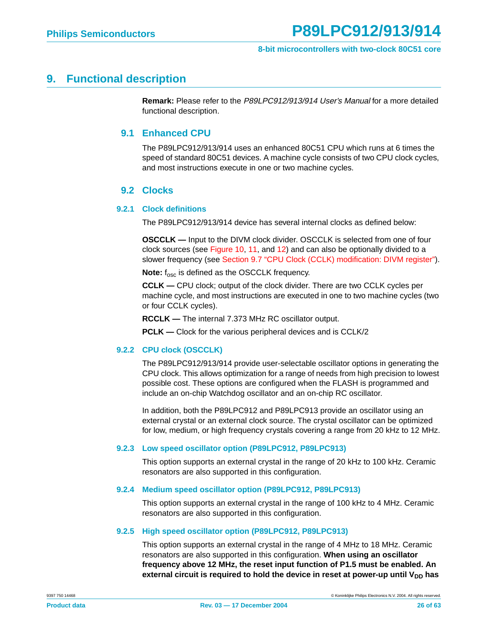#### <span id="page-25-1"></span><span id="page-25-0"></span>**9. Functional description**

**Remark:** Please refer to the P89LPC912/913/914 User's Manual for a more detailed functional description.

#### **9.1 Enhanced CPU**

The P89LPC912/913/914 uses an enhanced 80C51 CPU which runs at 6 times the speed of standard 80C51 devices. A machine cycle consists of two CPU clock cycles, and most instructions execute in one or two machine cycles.

#### **9.2 Clocks**

#### <span id="page-25-3"></span><span id="page-25-2"></span>**9.2.1 Clock definitions**

The P89LPC912/913/914 device has several internal clocks as defined below:

**OSCCLK** — Input to the DIVM clock divider. OSCCLK is selected from one of four clock sources (see [Figure 10](#page-27-0), [11,](#page-27-1) and [12\)](#page-28-0) and can also be optionally divided to a slower frequency (see [Section 9.7 "CPU Clock \(CCLK\) modification: DIVM register"\)](#page-28-1).

**Note:** f<sub>osc</sub> is defined as the OSCCLK frequency.

**CCLK —** CPU clock; output of the clock divider. There are two CCLK cycles per machine cycle, and most instructions are executed in one to two machine cycles (two or four CCLK cycles).

**RCCLK —** The internal 7.373 MHz RC oscillator output.

**PCLK —** Clock for the various peripheral devices and is CCLK/2

#### <span id="page-25-4"></span>**9.2.2 CPU clock (OSCCLK)**

The P89LPC912/913/914 provide user-selectable oscillator options in generating the CPU clock. This allows optimization for a range of needs from high precision to lowest possible cost. These options are configured when the FLASH is programmed and include an on-chip Watchdog oscillator and an on-chip RC oscillator.

In addition, both the P89LPC912 and P89LPC913 provide an oscillator using an external crystal or an external clock source. The crystal oscillator can be optimized for low, medium, or high frequency crystals covering a range from 20 kHz to 12 MHz.

#### <span id="page-25-5"></span>**9.2.3 Low speed oscillator option (P89LPC912, P89LPC913)**

This option supports an external crystal in the range of 20 kHz to 100 kHz. Ceramic resonators are also supported in this configuration.

#### <span id="page-25-6"></span>**9.2.4 Medium speed oscillator option (P89LPC912, P89LPC913)**

This option supports an external crystal in the range of 100 kHz to 4 MHz. Ceramic resonators are also supported in this configuration.

#### <span id="page-25-7"></span>**9.2.5 High speed oscillator option (P89LPC912, P89LPC913)**

This option supports an external crystal in the range of 4 MHz to 18 MHz. Ceramic resonators are also supported in this configuration. **When using an oscillator frequency above 12 MHz, the reset input function of P1.5 must be enabled. An** external circuit is required to hold the device in reset at power-up until V<sub>DD</sub> has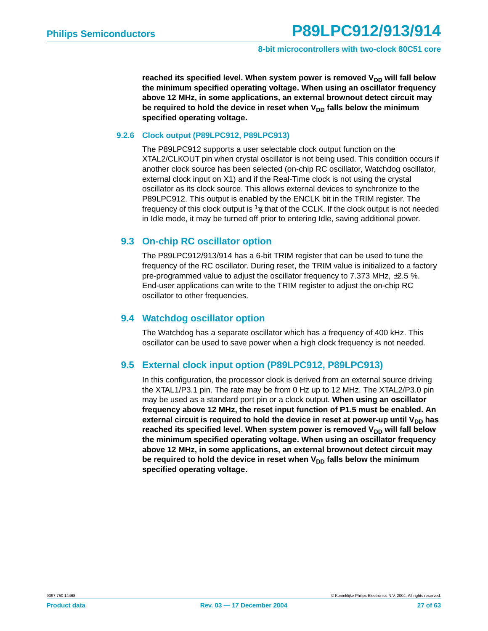reached its specified level. When system power is removed V<sub>DD</sub> will fall below **the minimum specified operating voltage. When using an oscillator frequency above 12 MHz, in some applications, an external brownout detect circuit may** be required to hold the device in reset when V<sub>DD</sub> falls below the minimum **specified operating voltage.**

#### <span id="page-26-0"></span>**9.2.6 Clock output (P89LPC912, P89LPC913)**

The P89LPC912 supports a user selectable clock output function on the XTAL2/CLKOUT pin when crystal oscillator is not being used. This condition occurs if another clock source has been selected (on-chip RC oscillator, Watchdog oscillator, external clock input on X1) and if the Real-Time clock is not using the crystal oscillator as its clock source. This allows external devices to synchronize to the P89LPC912. This output is enabled by the ENCLK bit in the TRIM register. The frequency of this clock output is  $\frac{1}{2}$  that of the CCLK. If the clock output is not needed in Idle mode, it may be turned off prior to entering Idle, saving additional power.

#### <span id="page-26-1"></span>**9.3 On-chip RC oscillator option**

The P89LPC912/913/914 has a 6-bit TRIM register that can be used to tune the frequency of the RC oscillator. During reset, the TRIM value is initialized to a factory pre-programmed value to adjust the oscillator frequency to 7.373 MHz, ±2.5 %. End-user applications can write to the TRIM register to adjust the on-chip RC oscillator to other frequencies.

#### <span id="page-26-2"></span>**9.4 Watchdog oscillator option**

The Watchdog has a separate oscillator which has a frequency of 400 kHz. This oscillator can be used to save power when a high clock frequency is not needed.

#### <span id="page-26-3"></span>**9.5 External clock input option (P89LPC912, P89LPC913)**

In this configuration, the processor clock is derived from an external source driving the XTAL1/P3.1 pin. The rate may be from 0 Hz up to 12 MHz. The XTAL2/P3.0 pin may be used as a standard port pin or a clock output. **When using an oscillator frequency above 12 MHz, the reset input function of P1.5 must be enabled. An** external circuit is required to hold the device in reset at power-up until V<sub>DD</sub> has reached its specified level. When system power is removed V<sub>DD</sub> will fall below **the minimum specified operating voltage. When using an oscillator frequency above 12 MHz, in some applications, an external brownout detect circuit may** be required to hold the device in reset when V<sub>DD</sub> falls below the minimum **specified operating voltage.**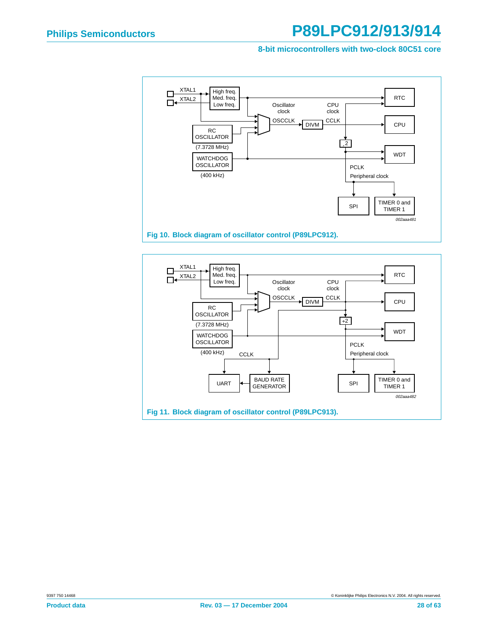#### **8-bit microcontrollers with two-clock 80C51 core**



<span id="page-27-1"></span><span id="page-27-0"></span>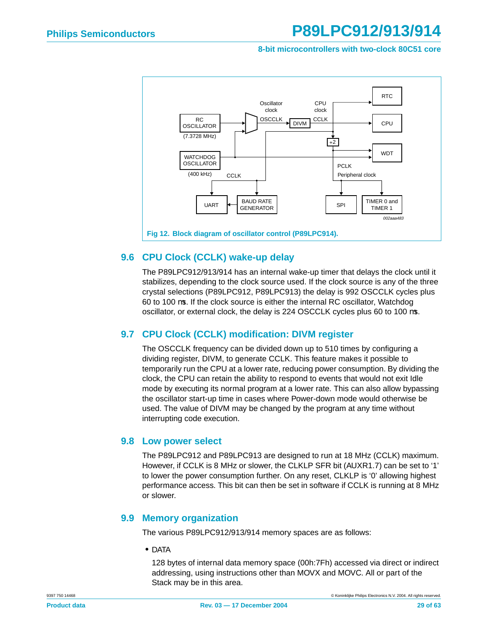#### **8-bit microcontrollers with two-clock 80C51 core**



#### <span id="page-28-2"></span><span id="page-28-0"></span>**9.6 CPU Clock (CCLK) wake-up delay**

The P89LPC912/913/914 has an internal wake-up timer that delays the clock until it stabilizes, depending to the clock source used. If the clock source is any of the three crystal selections (P89LPC912, P89LPC913) the delay is 992 OSCCLK cycles plus 60 to 100 µs. If the clock source is either the internal RC oscillator, Watchdog oscillator, or external clock, the delay is 224 OSCCLK cycles plus 60 to 100 µs.

#### <span id="page-28-1"></span>**9.7 CPU Clock (CCLK) modification: DIVM register**

The OSCCLK frequency can be divided down up to 510 times by configuring a dividing register, DIVM, to generate CCLK. This feature makes it possible to temporarily run the CPU at a lower rate, reducing power consumption. By dividing the clock, the CPU can retain the ability to respond to events that would not exit Idle mode by executing its normal program at a lower rate. This can also allow bypassing the oscillator start-up time in cases where Power-down mode would otherwise be used. The value of DIVM may be changed by the program at any time without interrupting code execution.

#### <span id="page-28-3"></span>**9.8 Low power select**

The P89LPC912 and P89LPC913 are designed to run at 18 MHz (CCLK) maximum. However, if CCLK is 8 MHz or slower, the CLKLP SFR bit (AUXR1.7) can be set to '1' to lower the power consumption further. On any reset, CLKLP is '0' allowing highest performance access. This bit can then be set in software if CCLK is running at 8 MHz or slower.

#### <span id="page-28-4"></span>**9.9 Memory organization**

The various P89LPC912/913/914 memory spaces are as follows:

**•** DATA

128 bytes of internal data memory space (00h:7Fh) accessed via direct or indirect addressing, using instructions other than MOVX and MOVC. All or part of the Stack may be in this area.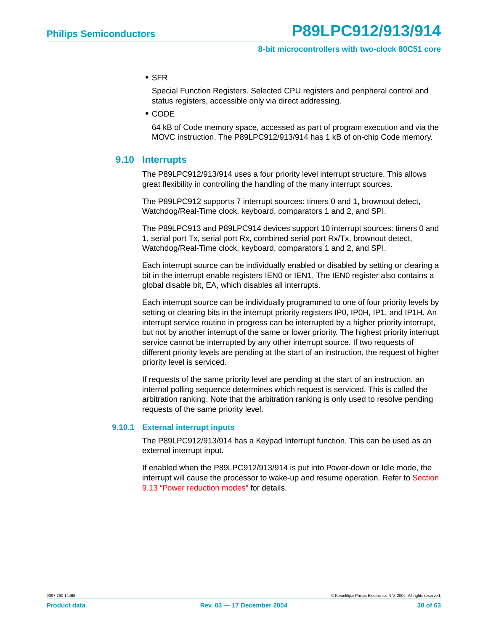**•** SFR

Special Function Registers. Selected CPU registers and peripheral control and status registers, accessible only via direct addressing.

**•** CODE

64 kB of Code memory space, accessed as part of program execution and via the MOVC instruction. The P89LPC912/913/914 has 1 kB of on-chip Code memory.

#### <span id="page-29-0"></span>**9.10 Interrupts**

The P89LPC912/913/914 uses a four priority level interrupt structure. This allows great flexibility in controlling the handling of the many interrupt sources.

The P89LPC912 supports 7 interrupt sources: timers 0 and 1, brownout detect, Watchdog/Real-Time clock, keyboard, comparators 1 and 2, and SPI.

The P89LPC913 and P89LPC914 devices support 10 interrupt sources: timers 0 and 1, serial port Tx, serial port Rx, combined serial port Rx/Tx, brownout detect, Watchdog/Real-Time clock, keyboard, comparators 1 and 2, and SPI.

Each interrupt source can be individually enabled or disabled by setting or clearing a bit in the interrupt enable registers IEN0 or IEN1. The IEN0 register also contains a global disable bit, EA, which disables all interrupts.

Each interrupt source can be individually programmed to one of four priority levels by setting or clearing bits in the interrupt priority registers IP0, IP0H, IP1, and IP1H. An interrupt service routine in progress can be interrupted by a higher priority interrupt, but not by another interrupt of the same or lower priority. The highest priority interrupt service cannot be interrupted by any other interrupt source. If two requests of different priority levels are pending at the start of an instruction, the request of higher priority level is serviced.

If requests of the same priority level are pending at the start of an instruction, an internal polling sequence determines which request is serviced. This is called the arbitration ranking. Note that the arbitration ranking is only used to resolve pending requests of the same priority level.

#### <span id="page-29-1"></span>**9.10.1 External interrupt inputs**

The P89LPC912/913/914 has a Keypad Interrupt function. This can be used as an external interrupt input.

If enabled when the P89LPC912/913/914 is put into Power-down or Idle mode, the interrupt will cause the processor to wake-up and resume operation. Refer to [Section](#page-33-0) [9.13 "Power reduction modes"](#page-33-0) for details.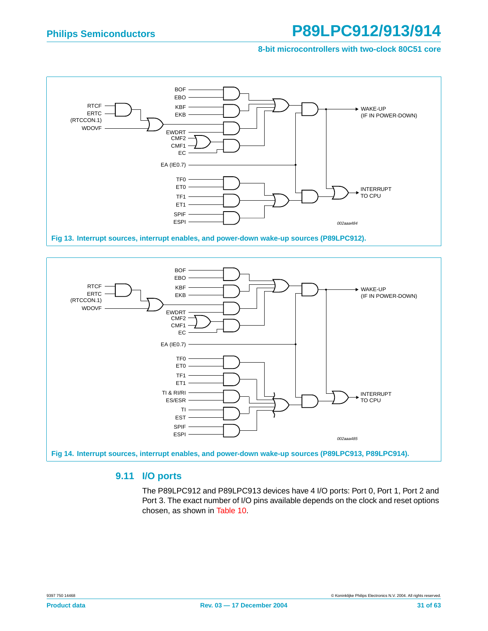#### **8-bit microcontrollers with two-clock 80C51 core**





#### <span id="page-30-0"></span>**9.11 I/O ports**

The P89LPC912 and P89LPC913 devices have 4 I/O ports: Port 0, Port 1, Port 2 and Port 3. The exact number of I/O pins available depends on the clock and reset options chosen, as shown in [Table 10](#page-31-1).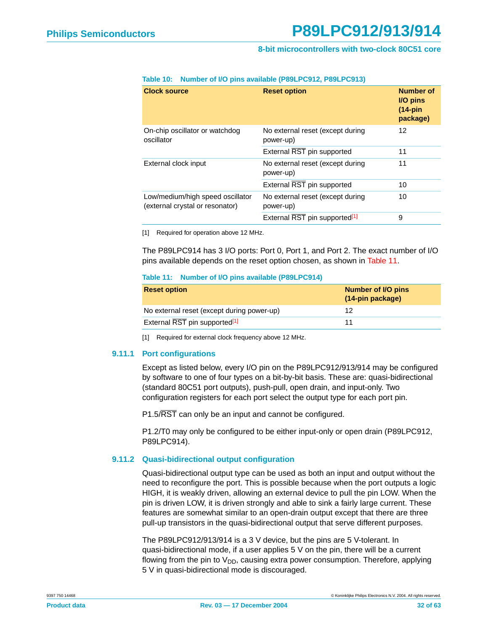| <b>Clock source</b>                                                 | <b>Reset option</b>                           | Number of<br>I/O pins<br>$(14-pin)$<br>package) |
|---------------------------------------------------------------------|-----------------------------------------------|-------------------------------------------------|
| On-chip oscillator or watchdog<br>oscillator                        | No external reset (except during<br>power-up) | 12                                              |
|                                                                     | External RST pin supported                    | 11                                              |
| External clock input                                                | No external reset (except during<br>power-up) | 11                                              |
|                                                                     | External RST pin supported                    | 10                                              |
| Low/medium/high speed oscillator<br>(external crystal or resonator) | No external reset (except during<br>power-up) | 10                                              |
|                                                                     | External RST pin supported <sup>[1]</sup>     | 9                                               |

#### <span id="page-31-1"></span>**Table 10: Number of I/O pins available (P89LPC912, P89LPC913)**

<span id="page-31-3"></span>[1] Required for operation above 12 MHz.

The P89LPC914 has 3 I/O ports: Port 0, Port 1, and Port 2. The exact number of I/O pins available depends on the reset option chosen, as shown in [Table 11.](#page-31-2)

#### <span id="page-31-2"></span>**Table 11: Number of I/O pins available (P89LPC914)**

| <b>Reset option</b>                        | Number of I/O pins<br>(14-pin package) |
|--------------------------------------------|----------------------------------------|
| No external reset (except during power-up) | 12                                     |
| External RST pin supported <sup>[1]</sup>  |                                        |

[1] Required for external clock frequency above 12 MHz.

#### <span id="page-31-0"></span>**9.11.1 Port configurations**

Except as listed below, every I/O pin on the P89LPC912/913/914 may be configured by software to one of four types on a bit-by-bit basis. These are: quasi-bidirectional (standard 80C51 port outputs), push-pull, open drain, and input-only. Two configuration registers for each port select the output type for each port pin.

P1.5/RST can only be an input and cannot be configured.

P1.2/T0 may only be configured to be either input-only or open drain (P89LPC912, P89LPC914).

#### <span id="page-31-4"></span>**9.11.2 Quasi-bidirectional output configuration**

Quasi-bidirectional output type can be used as both an input and output without the need to reconfigure the port. This is possible because when the port outputs a logic HIGH, it is weakly driven, allowing an external device to pull the pin LOW. When the pin is driven LOW, it is driven strongly and able to sink a fairly large current. These features are somewhat similar to an open-drain output except that there are three pull-up transistors in the quasi-bidirectional output that serve different purposes.

The P89LPC912/913/914 is a 3 V device, but the pins are 5 V-tolerant. In quasi-bidirectional mode, if a user applies 5 V on the pin, there will be a current flowing from the pin to  $V_{DD}$ , causing extra power consumption. Therefore, applying 5 V in quasi-bidirectional mode is discouraged.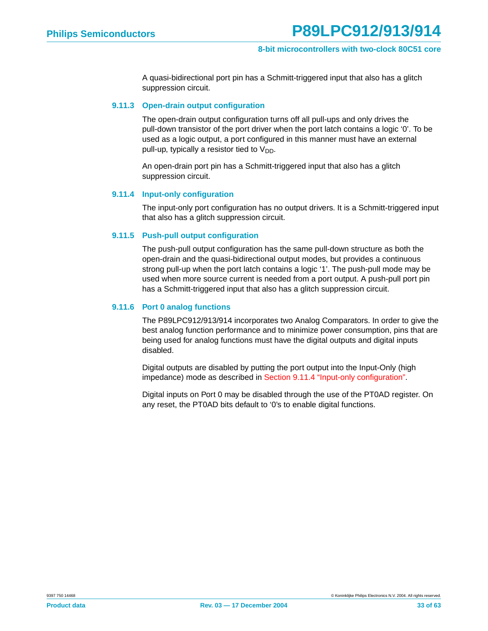A quasi-bidirectional port pin has a Schmitt-triggered input that also has a glitch suppression circuit.

#### <span id="page-32-1"></span>**9.11.3 Open-drain output configuration**

The open-drain output configuration turns off all pull-ups and only drives the pull-down transistor of the port driver when the port latch contains a logic '0'. To be used as a logic output, a port configured in this manner must have an external pull-up, typically a resistor tied to  $V_{DD}$ .

An open-drain port pin has a Schmitt-triggered input that also has a glitch suppression circuit.

#### <span id="page-32-0"></span>**9.11.4 Input-only configuration**

The input-only port configuration has no output drivers. It is a Schmitt-triggered input that also has a glitch suppression circuit.

#### <span id="page-32-2"></span>**9.11.5 Push-pull output configuration**

The push-pull output configuration has the same pull-down structure as both the open-drain and the quasi-bidirectional output modes, but provides a continuous strong pull-up when the port latch contains a logic '1'. The push-pull mode may be used when more source current is needed from a port output. A push-pull port pin has a Schmitt-triggered input that also has a glitch suppression circuit.

#### <span id="page-32-3"></span>**9.11.6 Port 0 analog functions**

The P89LPC912/913/914 incorporates two Analog Comparators. In order to give the best analog function performance and to minimize power consumption, pins that are being used for analog functions must have the digital outputs and digital inputs disabled.

Digital outputs are disabled by putting the port output into the Input-Only (high impedance) mode as described in [Section 9.11.4 "Input-only configuration".](#page-32-0)

Digital inputs on Port 0 may be disabled through the use of the PT0AD register. On any reset, the PT0AD bits default to '0's to enable digital functions.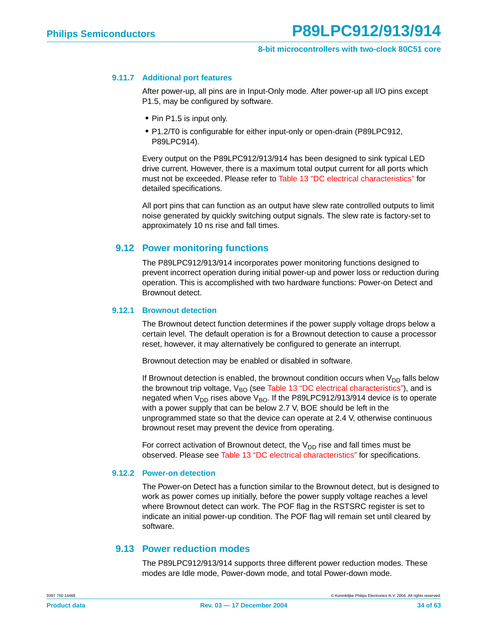#### <span id="page-33-1"></span>**9.11.7 Additional port features**

After power-up, all pins are in Input-Only mode. After power-up all I/O pins except P1.5, may be configured by software.

- **•** Pin P1.5 is input only.
- **•** P1.2/T0 is configurable for either input-only or open-drain (P89LPC912, P89LPC914).

Every output on the P89LPC912/913/914 has been designed to sink typical LED drive current. However, there is a maximum total output current for all ports which must not be exceeded. Please refer to [Table 13 "DC electrical characteristics"](#page-48-0) for detailed specifications.

All port pins that can function as an output have slew rate controlled outputs to limit noise generated by quickly switching output signals. The slew rate is factory-set to approximately 10 ns rise and fall times.

#### <span id="page-33-2"></span>**9.12 Power monitoring functions**

The P89LPC912/913/914 incorporates power monitoring functions designed to prevent incorrect operation during initial power-up and power loss or reduction during operation. This is accomplished with two hardware functions: Power-on Detect and Brownout detect.

#### <span id="page-33-3"></span>**9.12.1 Brownout detection**

The Brownout detect function determines if the power supply voltage drops below a certain level. The default operation is for a Brownout detection to cause a processor reset, however, it may alternatively be configured to generate an interrupt.

Brownout detection may be enabled or disabled in software.

If Brownout detection is enabled, the brownout condition occurs when  $V_{DD}$  falls below the brownout trip voltage,  $V_{BO}$  (see [Table 13 "DC electrical characteristics"](#page-48-0)), and is negated when  $V_{DD}$  rises above  $V_{BO}$ . If the P89LPC912/913/914 device is to operate with a power supply that can be below 2.7 V, BOE should be left in the unprogrammed state so that the device can operate at 2.4 V, otherwise continuous brownout reset may prevent the device from operating.

For correct activation of Brownout detect, the  $V_{DD}$  rise and fall times must be observed. Please see [Table 13 "DC electrical characteristics"](#page-48-0) for specifications.

#### <span id="page-33-4"></span>**9.12.2 Power-on detection**

The Power-on Detect has a function similar to the Brownout detect, but is designed to work as power comes up initially, before the power supply voltage reaches a level where Brownout detect can work. The POF flag in the RSTSRC register is set to indicate an initial power-up condition. The POF flag will remain set until cleared by software.

#### <span id="page-33-0"></span>**9.13 Power reduction modes**

The P89LPC912/913/914 supports three different power reduction modes. These modes are Idle mode, Power-down mode, and total Power-down mode.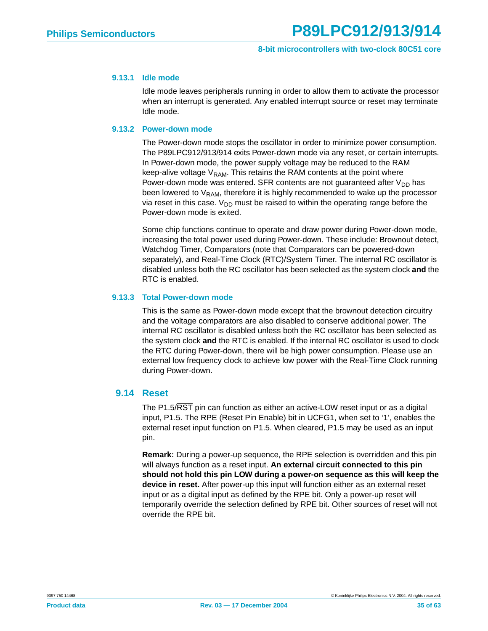#### <span id="page-34-0"></span>**9.13.1 Idle mode**

Idle mode leaves peripherals running in order to allow them to activate the processor when an interrupt is generated. Any enabled interrupt source or reset may terminate Idle mode.

#### <span id="page-34-1"></span>**9.13.2 Power-down mode**

The Power-down mode stops the oscillator in order to minimize power consumption. The P89LPC912/913/914 exits Power-down mode via any reset, or certain interrupts. In Power-down mode, the power supply voltage may be reduced to the RAM keep-alive voltage  $V_{RAM}$ . This retains the RAM contents at the point where Power-down mode was entered. SFR contents are not guaranteed after  $V_{DD}$  has been lowered to  $V_{RAM}$ , therefore it is highly recommended to wake up the processor via reset in this case.  $V_{DD}$  must be raised to within the operating range before the Power-down mode is exited.

Some chip functions continue to operate and draw power during Power-down mode, increasing the total power used during Power-down. These include: Brownout detect, Watchdog Timer, Comparators (note that Comparators can be powered-down separately), and Real-Time Clock (RTC)/System Timer. The internal RC oscillator is disabled unless both the RC oscillator has been selected as the system clock **and** the RTC is enabled.

#### <span id="page-34-2"></span>**9.13.3 Total Power-down mode**

This is the same as Power-down mode except that the brownout detection circuitry and the voltage comparators are also disabled to conserve additional power. The internal RC oscillator is disabled unless both the RC oscillator has been selected as the system clock **and** the RTC is enabled. If the internal RC oscillator is used to clock the RTC during Power-down, there will be high power consumption. Please use an external low frequency clock to achieve low power with the Real-Time Clock running during Power-down.

#### <span id="page-34-3"></span>**9.14 Reset**

The P1.5/RST pin can function as either an active-LOW reset input or as a digital input, P1.5. The RPE (Reset Pin Enable) bit in UCFG1, when set to '1', enables the external reset input function on P1.5. When cleared, P1.5 may be used as an input pin.

**Remark:** During a power-up sequence, the RPE selection is overridden and this pin will always function as a reset input. **An external circuit connected to this pin should not hold this pin LOW during a power-on sequence as this will keep the device in reset.** After power-up this input will function either as an external reset input or as a digital input as defined by the RPE bit. Only a power-up reset will temporarily override the selection defined by RPE bit. Other sources of reset will not override the RPE bit.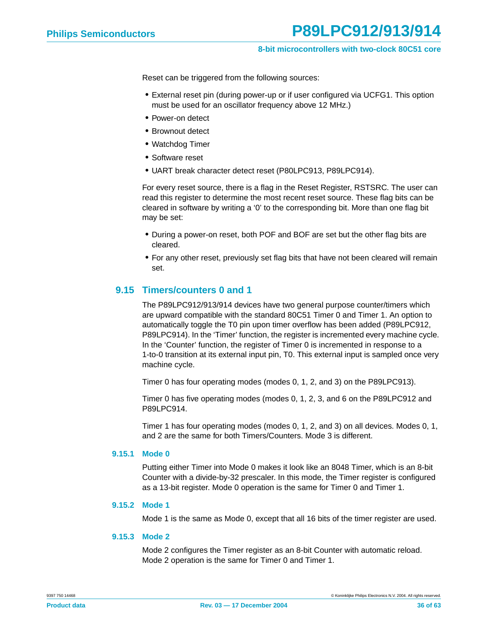Reset can be triggered from the following sources:

- **•** External reset pin (during power-up or if user configured via UCFG1. This option must be used for an oscillator frequency above 12 MHz.)
- **•** Power-on detect
- **•** Brownout detect
- **•** Watchdog Timer
- **•** Software reset
- **•** UART break character detect reset (P80LPC913, P89LPC914).

For every reset source, there is a flag in the Reset Register, RSTSRC. The user can read this register to determine the most recent reset source. These flag bits can be cleared in software by writing a '0' to the corresponding bit. More than one flag bit may be set:

- **•** During a power-on reset, both POF and BOF are set but the other flag bits are cleared.
- **•** For any other reset, previously set flag bits that have not been cleared will remain set.

#### <span id="page-35-0"></span>**9.15 Timers/counters 0 and 1**

The P89LPC912/913/914 devices have two general purpose counter/timers which are upward compatible with the standard 80C51 Timer 0 and Timer 1. An option to automatically toggle the T0 pin upon timer overflow has been added (P89LPC912, P89LPC914). In the 'Timer' function, the register is incremented every machine cycle. In the 'Counter' function, the register of Timer 0 is incremented in response to a 1-to-0 transition at its external input pin, T0. This external input is sampled once very machine cycle.

Timer 0 has four operating modes (modes 0, 1, 2, and 3) on the P89LPC913).

Timer 0 has five operating modes (modes 0, 1, 2, 3, and 6 on the P89LPC912 and P89LPC914.

Timer 1 has four operating modes (modes 0, 1, 2, and 3) on all devices. Modes 0, 1, and 2 are the same for both Timers/Counters. Mode 3 is different.

#### <span id="page-35-1"></span>**9.15.1 Mode 0**

Putting either Timer into Mode 0 makes it look like an 8048 Timer, which is an 8-bit Counter with a divide-by-32 prescaler. In this mode, the Timer register is configured as a 13-bit register. Mode 0 operation is the same for Timer 0 and Timer 1.

#### <span id="page-35-2"></span>**9.15.2 Mode 1**

Mode 1 is the same as Mode 0, except that all 16 bits of the timer register are used.

#### <span id="page-35-3"></span>**9.15.3 Mode 2**

Mode 2 configures the Timer register as an 8-bit Counter with automatic reload. Mode 2 operation is the same for Timer 0 and Timer 1.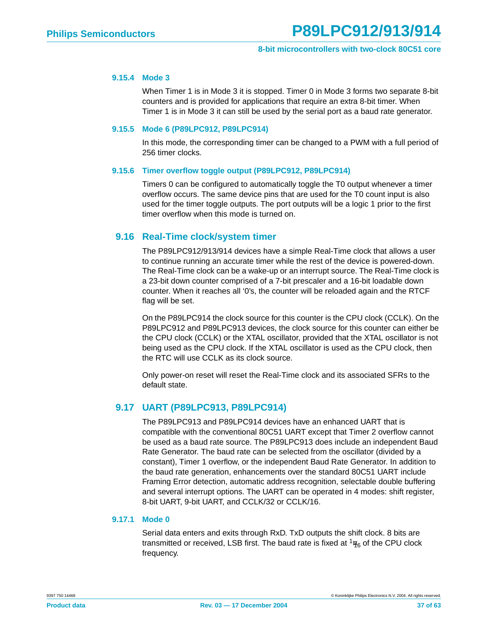#### <span id="page-36-0"></span>**9.15.4 Mode 3**

When Timer 1 is in Mode 3 it is stopped. Timer 0 in Mode 3 forms two separate 8-bit counters and is provided for applications that require an extra 8-bit timer. When Timer 1 is in Mode 3 it can still be used by the serial port as a baud rate generator.

#### <span id="page-36-1"></span>**9.15.5 Mode 6 (P89LPC912, P89LPC914)**

In this mode, the corresponding timer can be changed to a PWM with a full period of 256 timer clocks.

#### <span id="page-36-2"></span>**9.15.6 Timer overflow toggle output (P89LPC912, P89LPC914)**

Timers 0 can be configured to automatically toggle the T0 output whenever a timer overflow occurs. The same device pins that are used for the T0 count input is also used for the timer toggle outputs. The port outputs will be a logic 1 prior to the first timer overflow when this mode is turned on.

#### <span id="page-36-3"></span>**9.16 Real-Time clock/system timer**

The P89LPC912/913/914 devices have a simple Real-Time clock that allows a user to continue running an accurate timer while the rest of the device is powered-down. The Real-Time clock can be a wake-up or an interrupt source. The Real-Time clock is a 23-bit down counter comprised of a 7-bit prescaler and a 16-bit loadable down counter. When it reaches all '0's, the counter will be reloaded again and the RTCF flag will be set.

On the P89LPC914 the clock source for this counter is the CPU clock (CCLK). On the P89LPC912 and P89LPC913 devices, the clock source for this counter can either be the CPU clock (CCLK) or the XTAL oscillator, provided that the XTAL oscillator is not being used as the CPU clock. If the XTAL oscillator is used as the CPU clock, then the RTC will use CCLK as its clock source.

Only power-on reset will reset the Real-Time clock and its associated SFRs to the default state.

#### <span id="page-36-4"></span>**9.17 UART (P89LPC913, P89LPC914)**

The P89LPC913 and P89LPC914 devices have an enhanced UART that is compatible with the conventional 80C51 UART except that Timer 2 overflow cannot be used as a baud rate source. The P89LPC913 does include an independent Baud Rate Generator. The baud rate can be selected from the oscillator (divided by a constant), Timer 1 overflow, or the independent Baud Rate Generator. In addition to the baud rate generation, enhancements over the standard 80C51 UART include Framing Error detection, automatic address recognition, selectable double buffering and several interrupt options. The UART can be operated in 4 modes: shift register, 8-bit UART, 9-bit UART, and CCLK/32 or CCLK/16.

#### <span id="page-36-5"></span>**9.17.1 Mode 0**

Serial data enters and exits through RxD. TxD outputs the shift clock. 8 bits are transmitted or received, LSB first. The baud rate is fixed at  $\frac{1}{16}$  of the CPU clock frequency.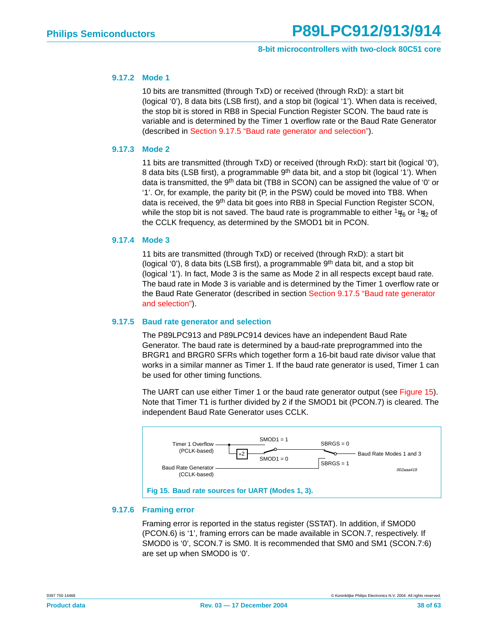#### <span id="page-37-2"></span>**9.17.2 Mode 1**

10 bits are transmitted (through TxD) or received (through RxD): a start bit (logical '0'), 8 data bits (LSB first), and a stop bit (logical '1'). When data is received, the stop bit is stored in RB8 in Special Function Register SCON. The baud rate is variable and is determined by the Timer 1 overflow rate or the Baud Rate Generator (described in [Section 9.17.5 "Baud rate generator and selection"](#page-37-0)).

#### <span id="page-37-3"></span>**9.17.3 Mode 2**

11 bits are transmitted (through TxD) or received (through RxD): start bit (logical '0'), 8 data bits (LSB first), a programmable 9<sup>th</sup> data bit, and a stop bit (logical '1'). When data is transmitted, the 9<sup>th</sup> data bit (TB8 in SCON) can be assigned the value of '0' or '1'. Or, for example, the parity bit (P, in the PSW) could be moved into TB8. When data is received, the 9<sup>th</sup> data bit goes into RB8 in Special Function Register SCON, while the stop bit is not saved. The baud rate is programmable to either  $\frac{1}{16}$  or  $\frac{1}{32}$  of the CCLK frequency, as determined by the SMOD1 bit in PCON.

#### <span id="page-37-4"></span>**9.17.4 Mode 3**

11 bits are transmitted (through TxD) or received (through RxD): a start bit (logical '0'), 8 data bits (LSB first), a programmable  $9<sup>th</sup>$  data bit, and a stop bit (logical '1'). In fact, Mode 3 is the same as Mode 2 in all respects except baud rate. The baud rate in Mode 3 is variable and is determined by the Timer 1 overflow rate or the Baud Rate Generator (described in section [Section 9.17.5 "Baud rate generator](#page-37-0) [and selection"\)](#page-37-0).

#### <span id="page-37-0"></span>**9.17.5 Baud rate generator and selection**

The P89LPC913 and P89LPC914 devices have an independent Baud Rate Generator. The baud rate is determined by a baud-rate preprogrammed into the BRGR1 and BRGR0 SFRs which together form a 16-bit baud rate divisor value that works in a similar manner as Timer 1. If the baud rate generator is used, Timer 1 can be used for other timing functions.

The UART can use either Timer 1 or the baud rate generator output (see [Figure 15\)](#page-37-1). Note that Timer T1 is further divided by 2 if the SMOD1 bit (PCON.7) is cleared. The independent Baud Rate Generator uses CCLK.



#### <span id="page-37-5"></span><span id="page-37-1"></span>**9.17.6 Framing error**

Framing error is reported in the status register (SSTAT). In addition, if SMOD0 (PCON.6) is '1', framing errors can be made available in SCON.7, respectively. If SMOD0 is '0', SCON.7 is SM0. It is recommended that SM0 and SM1 (SCON.7:6) are set up when SMOD0 is '0'.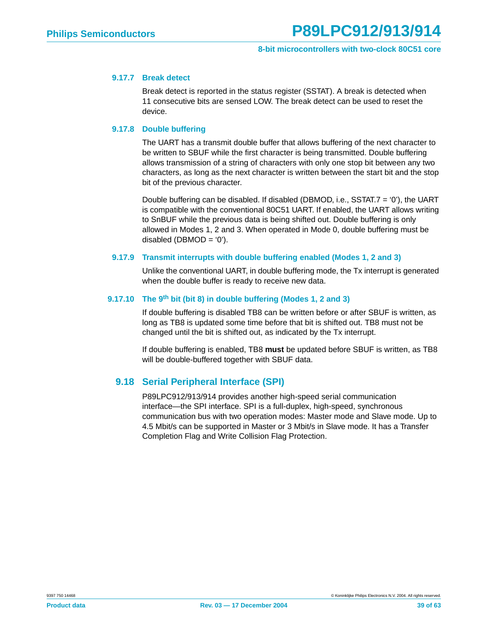#### <span id="page-38-0"></span>**9.17.7 Break detect**

Break detect is reported in the status register (SSTAT). A break is detected when 11 consecutive bits are sensed LOW. The break detect can be used to reset the device.

#### <span id="page-38-1"></span>**9.17.8 Double buffering**

The UART has a transmit double buffer that allows buffering of the next character to be written to SBUF while the first character is being transmitted. Double buffering allows transmission of a string of characters with only one stop bit between any two characters, as long as the next character is written between the start bit and the stop bit of the previous character.

Double buffering can be disabled. If disabled (DBMOD, i.e., SSTAT.7 = '0'), the UART is compatible with the conventional 80C51 UART. If enabled, the UART allows writing to SnBUF while the previous data is being shifted out. Double buffering is only allowed in Modes 1, 2 and 3. When operated in Mode 0, double buffering must be disabled (DBMOD =  $0$ ).

#### <span id="page-38-2"></span>**9.17.9 Transmit interrupts with double buffering enabled (Modes 1, 2 and 3)**

Unlike the conventional UART, in double buffering mode, the Tx interrupt is generated when the double buffer is ready to receive new data.

#### <span id="page-38-3"></span>**9.17.10 The 9th bit (bit 8) in double buffering (Modes 1, 2 and 3)**

If double buffering is disabled TB8 can be written before or after SBUF is written, as long as TB8 is updated some time before that bit is shifted out. TB8 must not be changed until the bit is shifted out, as indicated by the Tx interrupt.

If double buffering is enabled, TB8 **must** be updated before SBUF is written, as TB8 will be double-buffered together with SBUF data.

#### <span id="page-38-4"></span>**9.18 Serial Peripheral Interface (SPI)**

P89LPC912/913/914 provides another high-speed serial communication interface—the SPI interface. SPI is a full-duplex, high-speed, synchronous communication bus with two operation modes: Master mode and Slave mode. Up to 4.5 Mbit/s can be supported in Master or 3 Mbit/s in Slave mode. It has a Transfer Completion Flag and Write Collision Flag Protection.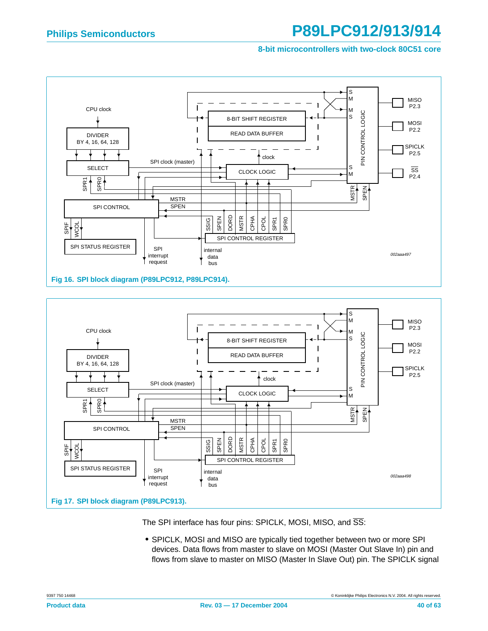**8-bit microcontrollers with two-clock 80C51 core**





The SPI interface has four pins: SPICLK, MOSI, MISO, and  $\overline{\text{SS}}$ :

**•** SPICLK, MOSI and MISO are typically tied together between two or more SPI devices. Data flows from master to slave on MOSI (Master Out Slave In) pin and flows from slave to master on MISO (Master In Slave Out) pin. The SPICLK signal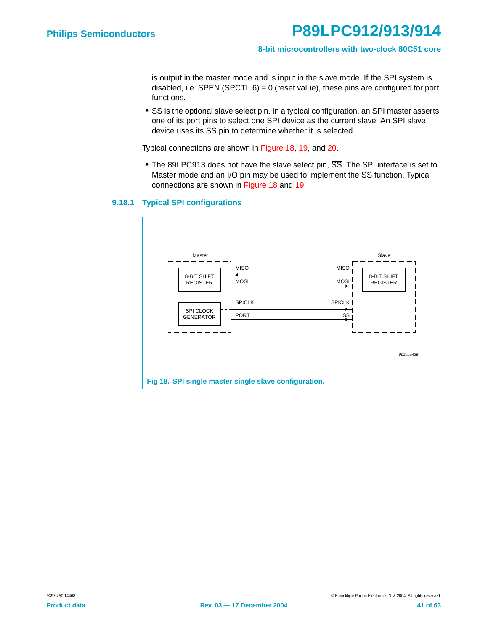is output in the master mode and is input in the slave mode. If the SPI system is disabled, i.e. SPEN (SPCTL.6) =  $0$  (reset value), these pins are configured for port functions.

**•** SS is the optional slave select pin. In a typical configuration, an SPI master asserts one of its port pins to select one SPI device as the current slave. An SPI slave device uses its  $\overline{SS}$  pin to determine whether it is selected.

Typical connections are shown in [Figure 18](#page-40-0), [19](#page-41-0), and [20](#page-41-1).

**•** The 89LPC913 does not have the slave select pin, SS. The SPI interface is set to Master mode and an I/O pin may be used to implement the  $\overline{\text{SS}}$  function. Typical connections are shown in [Figure 18](#page-40-0) and [19.](#page-41-0)

#### <span id="page-40-1"></span>**9.18.1 Typical SPI configurations**

<span id="page-40-0"></span>![](_page_40_Figure_8.jpeg)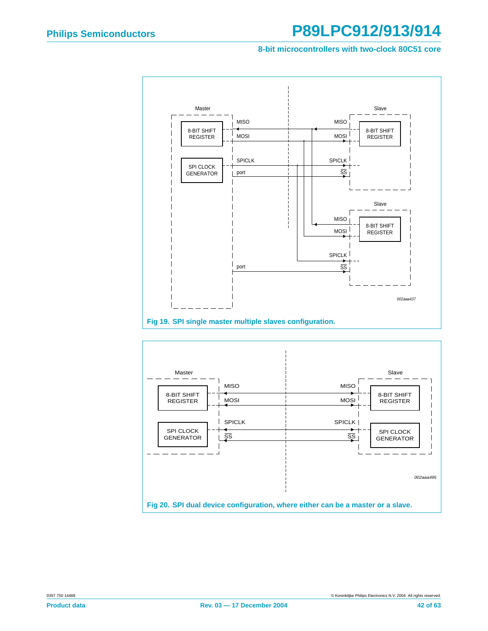#### **8-bit microcontrollers with two-clock 80C51 core**

![](_page_41_Figure_3.jpeg)

<span id="page-41-1"></span><span id="page-41-0"></span>![](_page_41_Figure_4.jpeg)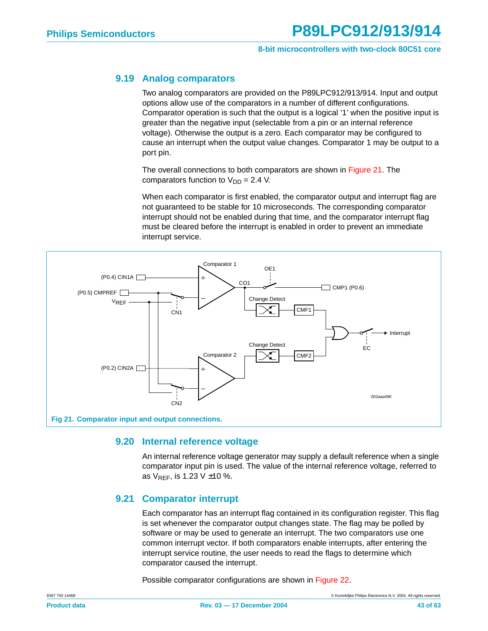#### <span id="page-42-1"></span>**9.19 Analog comparators**

Two analog comparators are provided on the P89LPC912/913/914. Input and output options allow use of the comparators in a number of different configurations. Comparator operation is such that the output is a logical '1' when the positive input is greater than the negative input (selectable from a pin or an internal reference voltage). Otherwise the output is a zero. Each comparator may be configured to cause an interrupt when the output value changes. Comparator 1 may be output to a port pin.

The overall connections to both comparators are shown in [Figure 21.](#page-42-0) The comparators function to  $V_{DD} = 2.4$  V.

When each comparator is first enabled, the comparator output and interrupt flag are not guaranteed to be stable for 10 microseconds. The corresponding comparator interrupt should not be enabled during that time, and the comparator interrupt flag must be cleared before the interrupt is enabled in order to prevent an immediate interrupt service.

![](_page_42_Figure_7.jpeg)

#### <span id="page-42-2"></span><span id="page-42-0"></span>**9.20 Internal reference voltage**

An internal reference voltage generator may supply a default reference when a single comparator input pin is used. The value of the internal reference voltage, referred to as  $V_{REF}$ , is 1.23 V  $\pm$ 10 %.

#### <span id="page-42-3"></span>**9.21 Comparator interrupt**

Each comparator has an interrupt flag contained in its configuration register. This flag is set whenever the comparator output changes state. The flag may be polled by software or may be used to generate an interrupt. The two comparators use one common interrupt vector. If both comparators enable interrupts, after entering the interrupt service routine, the user needs to read the flags to determine which comparator caused the interrupt.

Possible comparator configurations are shown in [Figure 22](#page-43-0).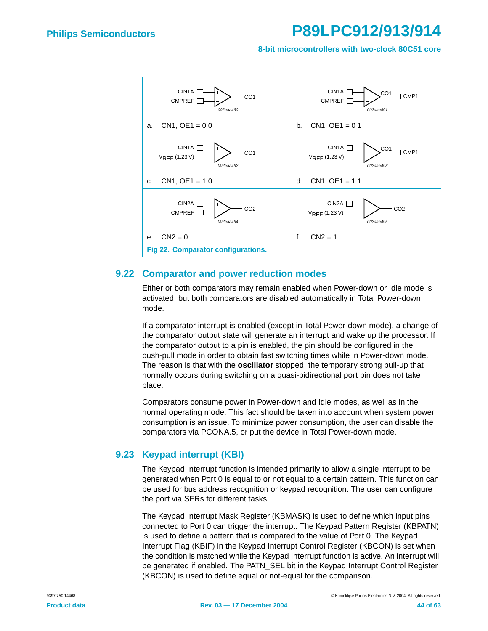#### **8-bit microcontrollers with two-clock 80C51 core**

![](_page_43_Figure_3.jpeg)

#### <span id="page-43-1"></span><span id="page-43-0"></span>**9.22 Comparator and power reduction modes**

Either or both comparators may remain enabled when Power-down or Idle mode is activated, but both comparators are disabled automatically in Total Power-down mode.

If a comparator interrupt is enabled (except in Total Power-down mode), a change of the comparator output state will generate an interrupt and wake up the processor. If the comparator output to a pin is enabled, the pin should be configured in the push-pull mode in order to obtain fast switching times while in Power-down mode. The reason is that with the **oscillator** stopped, the temporary strong pull-up that normally occurs during switching on a quasi-bidirectional port pin does not take place.

Comparators consume power in Power-down and Idle modes, as well as in the normal operating mode. This fact should be taken into account when system power consumption is an issue. To minimize power consumption, the user can disable the comparators via PCONA.5, or put the device in Total Power-down mode.

#### <span id="page-43-2"></span>**9.23 Keypad interrupt (KBI)**

The Keypad Interrupt function is intended primarily to allow a single interrupt to be generated when Port 0 is equal to or not equal to a certain pattern. This function can be used for bus address recognition or keypad recognition. The user can configure the port via SFRs for different tasks.

The Keypad Interrupt Mask Register (KBMASK) is used to define which input pins connected to Port 0 can trigger the interrupt. The Keypad Pattern Register (KBPATN) is used to define a pattern that is compared to the value of Port 0. The Keypad Interrupt Flag (KBIF) in the Keypad Interrupt Control Register (KBCON) is set when the condition is matched while the Keypad Interrupt function is active. An interrupt will be generated if enabled. The PATN SEL bit in the Keypad Interrupt Control Register (KBCON) is used to define equal or not-equal for the comparison.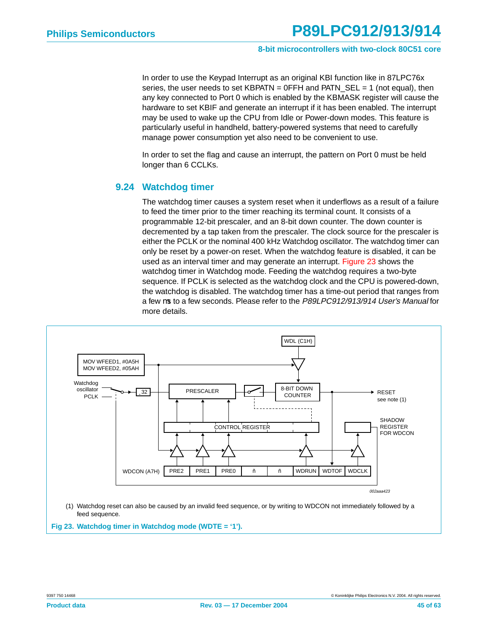In order to use the Keypad Interrupt as an original KBI function like in 87LPC76x series, the user needs to set  $KBPATH = 0FFH$  and  $PATH\_SEL = 1$  (not equal), then any key connected to Port 0 which is enabled by the KBMASK register will cause the hardware to set KBIF and generate an interrupt if it has been enabled. The interrupt may be used to wake up the CPU from Idle or Power-down modes. This feature is particularly useful in handheld, battery-powered systems that need to carefully manage power consumption yet also need to be convenient to use.

In order to set the flag and cause an interrupt, the pattern on Port 0 must be held longer than 6 CCLKs.

#### <span id="page-44-1"></span>**9.24 Watchdog timer**

The watchdog timer causes a system reset when it underflows as a result of a failure to feed the timer prior to the timer reaching its terminal count. It consists of a programmable 12-bit prescaler, and an 8-bit down counter. The down counter is decremented by a tap taken from the prescaler. The clock source for the prescaler is either the PCLK or the nominal 400 kHz Watchdog oscillator. The watchdog timer can only be reset by a power-on reset. When the watchdog feature is disabled, it can be used as an interval timer and may generate an interrupt. [Figure 23](#page-44-0) shows the watchdog timer in Watchdog mode. Feeding the watchdog requires a two-byte sequence. If PCLK is selected as the watchdog clock and the CPU is powered-down, the watchdog is disabled. The watchdog timer has a time-out period that ranges from a few µs to a few seconds. Please refer to the P89LPC912/913/914 User's Manual for more details.

![](_page_44_Figure_7.jpeg)

<span id="page-44-0"></span>**Fig 23. Watchdog timer in Watchdog mode (WDTE = '1').**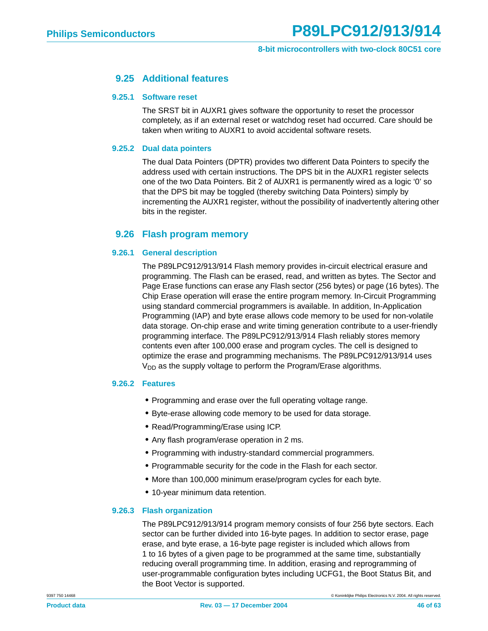#### **9.25 Additional features**

#### <span id="page-45-1"></span><span id="page-45-0"></span>**9.25.1 Software reset**

The SRST bit in AUXR1 gives software the opportunity to reset the processor completely, as if an external reset or watchdog reset had occurred. Care should be taken when writing to AUXR1 to avoid accidental software resets.

#### <span id="page-45-2"></span>**9.25.2 Dual data pointers**

The dual Data Pointers (DPTR) provides two different Data Pointers to specify the address used with certain instructions. The DPS bit in the AUXR1 register selects one of the two Data Pointers. Bit 2 of AUXR1 is permanently wired as a logic '0' so that the DPS bit may be toggled (thereby switching Data Pointers) simply by incrementing the AUXR1 register, without the possibility of inadvertently altering other bits in the register.

#### <span id="page-45-3"></span>**9.26 Flash program memory**

#### <span id="page-45-4"></span>**9.26.1 General description**

The P89LPC912/913/914 Flash memory provides in-circuit electrical erasure and programming. The Flash can be erased, read, and written as bytes. The Sector and Page Erase functions can erase any Flash sector (256 bytes) or page (16 bytes). The Chip Erase operation will erase the entire program memory. In-Circuit Programming using standard commercial programmers is available. In addition, In-Application Programming (IAP) and byte erase allows code memory to be used for non-volatile data storage. On-chip erase and write timing generation contribute to a user-friendly programming interface. The P89LPC912/913/914 Flash reliably stores memory contents even after 100,000 erase and program cycles. The cell is designed to optimize the erase and programming mechanisms. The P89LPC912/913/914 uses  $V_{DD}$  as the supply voltage to perform the Program/Erase algorithms.

#### <span id="page-45-5"></span>**9.26.2 Features**

- **•** Programming and erase over the full operating voltage range.
- **•** Byte-erase allowing code memory to be used for data storage.
- **•** Read/Programming/Erase using ICP.
- **•** Any flash program/erase operation in 2 ms.
- **•** Programming with industry-standard commercial programmers.
- **•** Programmable security for the code in the Flash for each sector.
- **•** More than 100,000 minimum erase/program cycles for each byte.
- **•** 10-year minimum data retention.

#### <span id="page-45-6"></span>**9.26.3 Flash organization**

The P89LPC912/913/914 program memory consists of four 256 byte sectors. Each sector can be further divided into 16-byte pages. In addition to sector erase, page erase, and byte erase, a 16-byte page register is included which allows from 1 to 16 bytes of a given page to be programmed at the same time, substantially reducing overall programming time. In addition, erasing and reprogramming of user-programmable configuration bytes including UCFG1, the Boot Status Bit, and the Boot Vector is supported.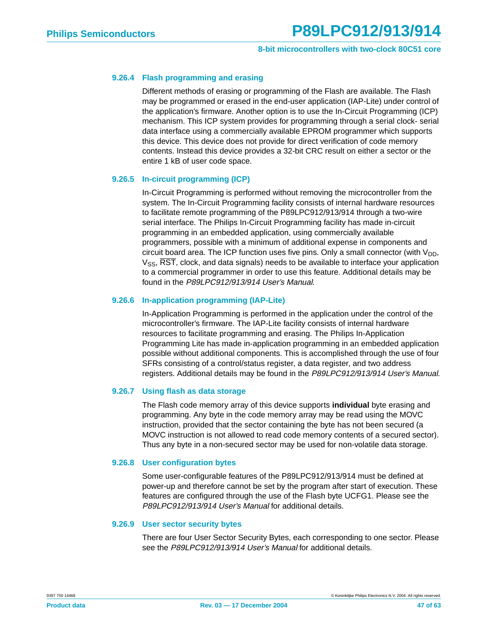#### <span id="page-46-0"></span>**9.26.4 Flash programming and erasing**

Different methods of erasing or programming of the Flash are available. The Flash may be programmed or erased in the end-user application (IAP-Lite) under control of the application's firmware. Another option is to use the In-Circuit Programming (ICP) mechanism. This ICP system provides for programming through a serial clock- serial data interface using a commercially available EPROM programmer which supports this device. This device does not provide for direct verification of code memory contents. Instead this device provides a 32-bit CRC result on either a sector or the entire 1 kB of user code space.

#### <span id="page-46-1"></span>**9.26.5 In-circuit programming (ICP)**

In-Circuit Programming is performed without removing the microcontroller from the system. The In-Circuit Programming facility consists of internal hardware resources to facilitate remote programming of the P89LPC912/913/914 through a two-wire serial interface. The Philips In-Circuit Programming facility has made in-circuit programming in an embedded application, using commercially available programmers, possible with a minimum of additional expense in components and circuit board area. The ICP function uses five pins. Only a small connector (with  $V_{DD}$ ,  $V_{SS}$ ,  $\overline{RST}$ , clock, and data signals) needs to be available to interface your application to a commercial programmer in order to use this feature. Additional details may be found in the P89LPC912/913/914 User's Manual.

#### <span id="page-46-2"></span>**9.26.6 In-application programming (IAP-Lite)**

In-Application Programming is performed in the application under the control of the microcontroller's firmware. The IAP-Lite facility consists of internal hardware resources to facilitate programming and erasing. The Philips In-Application Programming Lite has made in-application programming in an embedded application possible without additional components. This is accomplished through the use of four SFRs consisting of a control/status register, a data register, and two address registers. Additional details may be found in the P89LPC912/913/914 User's Manual.

#### <span id="page-46-3"></span>**9.26.7 Using flash as data storage**

The Flash code memory array of this device supports **individual** byte erasing and programming. Any byte in the code memory array may be read using the MOVC instruction, provided that the sector containing the byte has not been secured (a MOVC instruction is not allowed to read code memory contents of a secured sector). Thus any byte in a non-secured sector may be used for non-volatile data storage.

#### <span id="page-46-4"></span>**9.26.8 User configuration bytes**

Some user-configurable features of the P89LPC912/913/914 must be defined at power-up and therefore cannot be set by the program after start of execution. These features are configured through the use of the Flash byte UCFG1. Please see the P89LPC912/913/914 User's Manual for additional details.

#### <span id="page-46-5"></span>**9.26.9 User sector security bytes**

There are four User Sector Security Bytes, each corresponding to one sector. Please see the P89LPC912/913/914 User's Manual for additional details.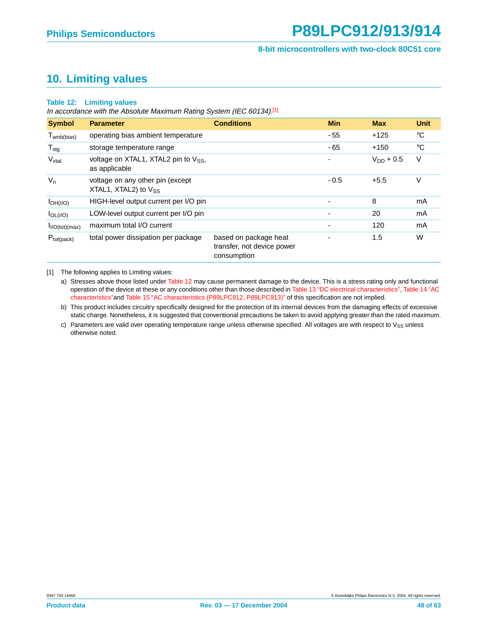### <span id="page-47-0"></span>**10. Limiting values**

#### **Table 12: Limiting values**

In accordance with the Absolute Maximum Rating System (IEC 60134).<sup>[1]</sup>

| <b>Symbol</b>               | <b>Parameter</b>                                              | <b>Conditions</b>                                                  | <b>Min</b>               | <b>Max</b>     | <b>Unit</b> |
|-----------------------------|---------------------------------------------------------------|--------------------------------------------------------------------|--------------------------|----------------|-------------|
| $T_{amb(bias)}$             | operating bias ambient temperature                            |                                                                    | $-55$                    | $+125$         | $^{\circ}C$ |
| $T_{\text{stg}}$            | storage temperature range                                     |                                                                    | $-65$                    | $+150$         | $^{\circ}C$ |
| $V_{xtal}$                  | voltage on XTAL1, XTAL2 pin to $V_{SS}$ ,<br>as applicable    |                                                                    | ۰                        | $V_{DD} + 0.5$ | V           |
| $V_n$                       | voltage on any other pin (except<br>XTAL1, XTAL2) to $V_{SS}$ |                                                                    | $-0.5$                   | $+5.5$         | V           |
| $I_{OH(I/O)}$               | HIGH-level output current per I/O pin                         |                                                                    | $\overline{\phantom{a}}$ | 8              | mA          |
| $I_{OL(1/O)}$               | LOW-level output current per I/O pin                          |                                                                    | $\overline{\phantom{a}}$ | 20             | mA          |
| I <sub>I/O</sub> (tot)(max) | maximum total I/O current                                     |                                                                    | ٠                        | 120            | mA          |
| $P_{tot(pack)}$             | total power dissipation per package                           | based on package heat<br>transfer, not device power<br>consumption | -                        | 1.5            | W           |

[1] The following applies to Limiting values:

a) Stresses above those listed under Table 12 may cause permanent damage to the device. This is a stress rating only and functional operation of the device at these or any conditions other than those described in [Table 13 "DC electrical characteristics"](#page-48-0), Table 14 "AC characteristics"and [Table 15 "AC characteristics \(P89LPC912, P89LPC913\)"](#page-53-0) of this specification are not implied.

b) This product includes circuitry specifically designed for the protection of its internal devices from the damaging effects of excessive static charge. Nonetheless, it is suggested that conventional precautions be taken to avoid applying greater than the rated maximum.

c) Parameters are valid over operating temperature range unless otherwise specified. All voltages are with respect to  $V_{SS}$  unless otherwise noted.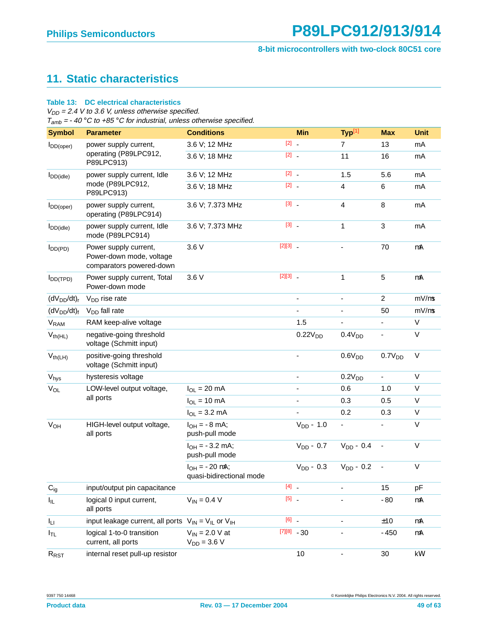## <span id="page-48-1"></span>**11. Static characteristics**

#### <span id="page-48-0"></span>**Table 13: DC electrical characteristics**

 $V_{DD}$  = 2.4 V to 3.6 V, unless otherwise specified.

 $T_{amb} = -40$  °C to +85 °C for industrial, unless otherwise specified.

| <b>Symbol</b>          | <b>Parameter</b>                                                              | <b>Conditions</b>                                 |              | <b>Min</b>          | Typ <sup>[1]</sup>      | <b>Max</b>                   | <b>Unit</b> |
|------------------------|-------------------------------------------------------------------------------|---------------------------------------------------|--------------|---------------------|-------------------------|------------------------------|-------------|
| $I_{DD(open)}$         | power supply current,                                                         | 3.6 V; 12 MHz                                     | $[2]$ .      |                     | $\overline{7}$          | 13                           | mA          |
|                        | operating (P89LPC912,<br>P89LPC913)                                           | 3.6 V; 18 MHz                                     | $[2]$ .      |                     | 11                      | 16                           | mA          |
| $I_{DD(idle)}$         | power supply current, Idle                                                    | 3.6 V; 12 MHz                                     | $[2]$ .      |                     | 1.5                     | 5.6                          | mA          |
|                        | mode (P89LPC912,<br>P89LPC913)                                                | 3.6 V; 18 MHz                                     | $[2]$ .      |                     | 4                       | $\,6$                        | mA          |
| $I_{DD(open)}$         | power supply current,<br>operating (P89LPC914)                                | 3.6 V; 7.373 MHz                                  | $[3]$ .      |                     | $\overline{\mathbf{4}}$ | $\bf8$                       | mA          |
| $I_{DD(idle)}$         | power supply current, Idle<br>mode (P89LPC914)                                | 3.6 V; 7.373 MHz                                  | $[3]$        |                     | 1                       | 3                            | mA          |
| $I_{DD(PD)}$           | Power supply current,<br>Power-down mode, voltage<br>comparators powered-down | 3.6 V                                             | $[2][3]$ _   |                     |                         | 70                           | $\mu$ A     |
| $I_{DD(TPD)}$          | Power supply current, Total<br>Power-down mode                                | 3.6 V                                             | $[2][3]$ $-$ |                     | $\mathbf{1}$            | 5                            | μA          |
| $(dV_{DD}/dt)r$        | $V_{DD}$ rise rate                                                            |                                                   |              |                     |                         | $\overline{2}$               | $mV/\mu s$  |
| $(dV_{DD}/dt)f$        | V <sub>DD</sub> fall rate                                                     |                                                   |              | L.                  |                         | 50                           | $mV/\mu s$  |
| <b>V<sub>RAM</sub></b> | RAM keep-alive voltage                                                        |                                                   |              | 1.5                 |                         |                              | V           |
| $V_{th(HL)}$           | negative-going threshold<br>voltage (Schmitt input)                           |                                                   |              | 0.22V <sub>DD</sub> | 0.4V <sub>DD</sub>      | $\qquad \qquad \blacksquare$ | V           |
| $V_{th(LH)}$           | positive-going threshold<br>voltage (Schmitt input)                           |                                                   |              |                     | 0.6V <sub>DD</sub>      | 0.7V <sub>DD</sub>           | $\vee$      |
| $V_{\text{hys}}$       | hysteresis voltage                                                            |                                                   |              | ä,                  | 0.2V <sub>DD</sub>      | -                            | V           |
| $V_{OL}$               | LOW-level output voltage,                                                     | $I_{OL}$ = 20 mA                                  |              |                     | 0.6                     | 1.0                          | V           |
|                        | all ports                                                                     | $I_{OL}$ = 10 mA                                  |              |                     | 0.3                     | 0.5                          | V           |
|                        |                                                                               | $I_{OL} = 3.2$ mA                                 |              |                     | 0.2                     | 0.3                          | V           |
| $V_{OH}$               | HIGH-level output voltage,<br>all ports                                       | $I_{OH} = -8$ mA;<br>push-pull mode               |              | $V_{DD} - 1.0$      | ÷,                      |                              | V           |
|                        |                                                                               | $I_{OH} = -3.2$ mA;<br>push-pull mode             |              | $V_{DD}$ – 0.7      | $V_{DD} - 0.4$          | $\blacksquare$               | V           |
|                        |                                                                               | $I_{OH} = -20 \mu A;$<br>quasi-bidirectional mode |              | $V_{DD}$ – 0.3      | $V_{DD} - 0.2$          | $\blacksquare$               | $\vee$      |
| $C_{ig}$               | input/output pin capacitance                                                  |                                                   | $[4]$ .      |                     |                         | 15                           | pF          |
| $I_{IL}$               | logical 0 input current,<br>all ports                                         | $V_{IN} = 0.4 V$                                  | $[5]$ .      |                     |                         | $-80$                        | μA          |
| Ιu                     | input leakage current, all ports $V_{IN} = V_{IL}$ or $V_{IH}$                |                                                   | $[6]$ .      |                     |                         | ±10                          | μA          |
| $I_{TL}$               | logical 1-to-0 transition<br>current, all ports                               | $V_{IN}$ = 2.0 V at<br>$V_{DD} = 3.6 V$           |              | $[7][8] -30$        |                         | $-450$                       | μA          |
| $R_{RST}$              | internal reset pull-up resistor                                               |                                                   |              | 10                  | $\blacksquare$          | 30                           | k $\Omega$  |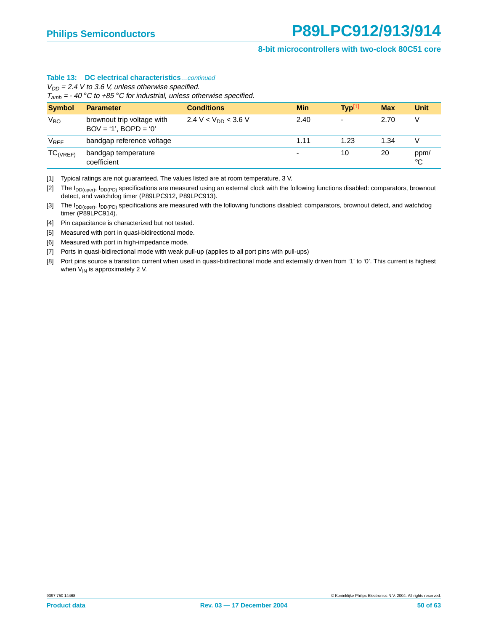#### **Table 13: DC electrical characteristics**…continued

 $V_{DD}$  = 2.4 V to 3.6 V, unless otherwise specified.

 $T_{amb} = -40$  °C to +85 °C for industrial, unless otherwise specified.

| <b>Symbol</b>   | <b>Parameter</b>                                      | <b>Conditions</b>        | <b>Min</b>               | Typ <sup>[1]</sup>       | <b>Max</b> | <b>Unit</b>         |
|-----------------|-------------------------------------------------------|--------------------------|--------------------------|--------------------------|------------|---------------------|
| V <sub>BO</sub> | brownout trip voltage with<br>$BOV = '1', BOPD = '0'$ | 2.4 V < $V_{DD}$ < 3.6 V | 2.40                     | $\overline{\phantom{0}}$ | 2.70       | V                   |
| $V_{REF}$       | bandgap reference voltage                             |                          | 1.11                     | 1.23                     | 1.34       | V                   |
| $TC_{(VREF)}$   | bandgap temperature<br>coefficient                    |                          | $\overline{\phantom{0}}$ | 10                       | 20         | ppm/<br>$^{\circ}C$ |

<span id="page-49-0"></span>[1] Typical ratings are not guaranteed. The values listed are at room temperature, 3 V.

<span id="page-49-2"></span>[2] The I<sub>DD(oper)</sub>, I<sub>DD(PD)</sub> specifications are measured using an external clock with the following functions disabled: comparators, brownout detect, and watchdog timer (P89LPC912, P89LPC913).

<span id="page-49-1"></span>[3] The I<sub>DD(oper)</sub>, I<sub>DD(PD)</sub> specifications are measured with the following functions disabled: comparators, brownout detect, and watchdog timer (P89LPC914).

[4] Pin capacitance is characterized but not tested.

<span id="page-49-3"></span>[5] Measured with port in quasi-bidirectional mode.

[6] Measured with port in high-impedance mode.

[7] Ports in quasi-bidirectional mode with weak pull-up (applies to all port pins with pull-ups)

<span id="page-49-4"></span>[8] Port pins source a transition current when used in quasi-bidirectional mode and externally driven from '1' to '0'. This current is highest when  $V_{IN}$  is approximately 2 V.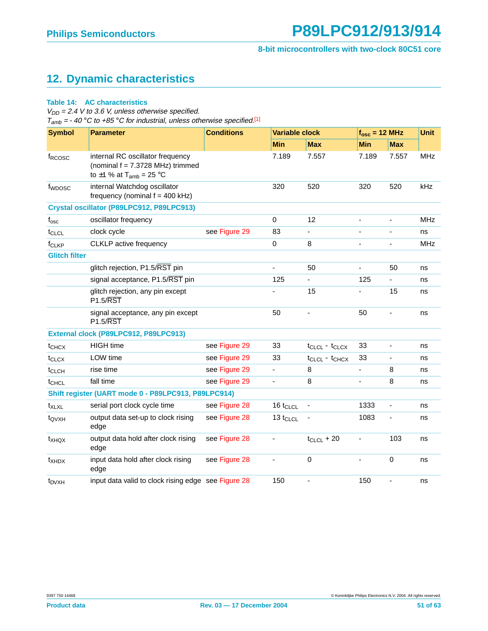## <span id="page-50-0"></span>**12. Dynamic characteristics**

#### **Table 14: AC characteristics**

 $V_{DD}$  = 2.4 V to 3.6 V, unless otherwise specified.  $T_{amb} = -40$  °C to +85 °C for industrial, unless otherwise specified.<sup>[\[1\]](#page-52-0)</sup>

| <b>Symbol</b>        | <b>Parameter</b>                                                                                                   | <b>Conditions</b> | <b>Variable clock</b> |                       | $f_{osc}$ = 12 MHz       |                              | <b>Unit</b> |
|----------------------|--------------------------------------------------------------------------------------------------------------------|-------------------|-----------------------|-----------------------|--------------------------|------------------------------|-------------|
|                      |                                                                                                                    |                   | <b>Min</b>            | <b>Max</b>            | <b>Min</b>               | <b>Max</b>                   |             |
| f <sub>RCOSC</sub>   | internal RC oscillator frequency<br>(nominal $f = 7.3728$ MHz) trimmed<br>to $\pm$ 1 % at T <sub>amb</sub> = 25 °C |                   | 7.189                 | 7.557                 | 7.189                    | 7.557                        | <b>MHz</b>  |
| f <sub>WDOSC</sub>   | internal Watchdog oscillator<br>frequency (nominal $f = 400$ kHz)                                                  |                   | 320                   | 520                   | 320                      | 520                          | kHz         |
|                      | Crystal oscillator (P89LPC912, P89LPC913)                                                                          |                   |                       |                       |                          |                              |             |
| $f_{\rm osc}$        | oscillator frequency                                                                                               |                   | $\Omega$              | 12                    | $\overline{\phantom{0}}$ | $\blacksquare$               | <b>MHz</b>  |
| t <sub>CLCL</sub>    | clock cycle                                                                                                        | see Figure 29     | 83                    |                       |                          |                              | ns          |
| f <sub>CLKP</sub>    | CLKLP active frequency                                                                                             |                   | $\mathbf 0$           | 8                     | ÷,                       | $\qquad \qquad \blacksquare$ | <b>MHz</b>  |
| <b>Glitch filter</b> |                                                                                                                    |                   |                       |                       |                          |                              |             |
|                      | glitch rejection, P1.5/RST pin                                                                                     |                   | L,                    | 50                    | ÷,                       | 50                           | ns          |
|                      | signal acceptance, P1.5/RST pin                                                                                    |                   | 125                   |                       | 125                      | ä,                           | ns          |
|                      | glitch rejection, any pin except<br>$P1.5/\overline{RST}$                                                          |                   | ä,                    | 15                    | ٠                        | 15                           | ns          |
|                      | signal acceptance, any pin except<br><b>P1.5/RST</b>                                                               |                   | 50                    | ÷,                    | 50                       | ä,                           | ns          |
|                      | External clock (P89LPC912, P89LPC913)                                                                              |                   |                       |                       |                          |                              |             |
| $t_{CHCX}$           | <b>HIGH</b> time                                                                                                   | see Figure 29     | 33                    | $t_{CLCL} - t_{CLCX}$ | 33                       | $\blacksquare$               | ns          |
| t <sub>CLCX</sub>    | LOW time                                                                                                           | see Figure 29     | 33                    | $t_{CLCL} - t_{CHCX}$ | 33                       |                              | ns          |
| t <sub>CLCH</sub>    | rise time                                                                                                          | see Figure 29     | $\blacksquare$        | 8                     | $\overline{\phantom{0}}$ | 8                            | ns          |
| t <sub>CHCL</sub>    | fall time                                                                                                          | see Figure 29     |                       | 8                     |                          | 8                            | ns          |
|                      | Shift register (UART mode 0 - P89LPC913, P89LPC914)                                                                |                   |                       |                       |                          |                              |             |
| $t_{XLXL}$           | serial port clock cycle time                                                                                       | see Figure 28     | 16 $t_{CLCL}$         |                       | 1333                     | ä,                           | ns          |
| t <sub>QVXH</sub>    | output data set-up to clock rising<br>edge                                                                         | see Figure 28     | 13 $t_{CLCL}$         |                       | 1083                     | $\overline{\phantom{a}}$     | ns          |
| $t_{XHQX}$           | output data hold after clock rising<br>edge                                                                        | see Figure 28     | ä,                    | $t_{CLCL}$ + 20       | ä,                       | 103                          | ns          |
| $t_{XHDX}$           | input data hold after clock rising<br>edge                                                                         | see Figure 28     |                       | 0                     |                          | $\mathbf 0$                  | ns          |
| $t_{DVXH}$           | input data valid to clock rising edge see Figure 28                                                                |                   | 150                   | ÷,                    | 150                      | ä,                           | ns          |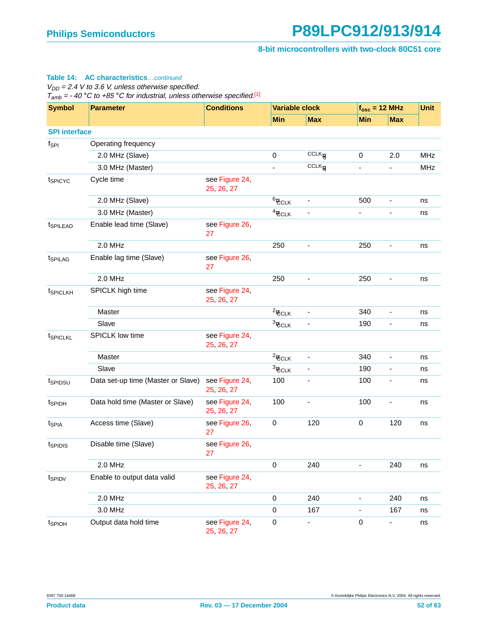#### **Table 14: AC characteristics**…continued

 $V_{DD} = 2.4$  V to 3.6 V, unless otherwise specified.

 $T_{amb} = -40 °C$  to +85 °C for industrial, unless otherwise specified.<sup>[1]</sup>

| <b>Symbol</b>        | <b>Parameter</b>                   | <b>Conditions</b>            | <b>Variable clock</b>   |                              |                              | $f_{\rm osc}$ = 12 MHz   | <b>Unit</b> |
|----------------------|------------------------------------|------------------------------|-------------------------|------------------------------|------------------------------|--------------------------|-------------|
|                      |                                    |                              | <b>Min</b>              | <b>Max</b>                   | <b>Min</b>                   | <b>Max</b>               |             |
| <b>SPI</b> interface |                                    |                              |                         |                              |                              |                          |             |
| $f_{\mathsf{SPI}}$   | Operating frequency                |                              |                         |                              |                              |                          |             |
|                      | 2.0 MHz (Slave)                    |                              | $\mathbf 0$             | $CCLK$ <sup>6</sup>          | $\mathbf 0$                  | 2.0                      | <b>MHz</b>  |
|                      | 3.0 MHz (Master)                   |                              |                         | $CCLK$ /4                    | $\qquad \qquad \blacksquare$ | $\blacksquare$           | <b>MHz</b>  |
| t <sub>SPICYC</sub>  | Cycle time                         | see Figure 24,<br>25, 26, 27 |                         |                              |                              |                          |             |
|                      | 2.0 MHz (Slave)                    |                              | $6/$ CCLK               |                              | 500                          | $\overline{\phantom{0}}$ | ns          |
|                      | 3.0 MHz (Master)                   |                              | $4/$ CCLK               |                              | $\blacksquare$               | ÷,                       | ns          |
| t <sub>SPILEAD</sub> | Enable lead time (Slave)           | see Figure 26,<br>27         |                         |                              |                              |                          |             |
|                      | 2.0 MHz                            |                              | 250                     | $\blacksquare$               | 250                          | $\blacksquare$           | ns          |
| t <sub>SPILAG</sub>  | Enable lag time (Slave)            | see Figure 26,<br>27         |                         |                              |                              |                          |             |
|                      | 2.0 MHz                            |                              | 250                     | $\qquad \qquad \blacksquare$ | 250                          | $\overline{\phantom{a}}$ | ns          |
| t <sub>SPICLKH</sub> | SPICLK high time                   | see Figure 24,<br>25, 26, 27 |                         |                              |                              |                          |             |
|                      | Master                             |                              | $\frac{2}{\sqrt{CCLK}}$ |                              | 340                          | $\blacksquare$           | ns          |
|                      | Slave                              |                              | $\frac{3}{2}$ CCLK      |                              | 190                          |                          | ns          |
| t <sub>SPICLKL</sub> | SPICLK low time                    | see Figure 24,<br>25, 26, 27 |                         |                              |                              |                          |             |
|                      | Master                             |                              | $\frac{2}{\sqrt{CCLK}}$ |                              | 340                          | $\overline{\phantom{a}}$ | ns          |
|                      | Slave                              |                              | $\frac{3}{2}$ CCLK      |                              | 190                          | ۰                        | ns          |
| tspipsu              | Data set-up time (Master or Slave) | see Figure 24,<br>25, 26, 27 | 100                     |                              | 100                          | $\overline{\phantom{a}}$ | ns          |
| t <sub>SPIDH</sub>   | Data hold time (Master or Slave)   | see Figure 24,<br>25, 26, 27 | 100                     | -                            | 100                          | $\overline{\phantom{a}}$ | ns          |
| t <sub>SPIA</sub>    | Access time (Slave)                | see Figure 26,<br>27         | 0                       | 120                          | 0                            | 120                      | ns          |
| tspidis              | Disable time (Slave)               | see Figure 26,<br>27         |                         |                              |                              |                          |             |
|                      | 2.0 MHz                            |                              | $\mathbf 0$             | 240                          | ä,                           | 240                      | ns          |
| t <sub>SPIDV</sub>   | Enable to output data valid        | see Figure 24,<br>25, 26, 27 |                         |                              |                              |                          |             |
|                      | 2.0 MHz                            |                              | 0                       | 240                          | $\overline{\phantom{a}}$     | 240                      | ns          |
|                      | 3.0 MHz                            |                              | $\mathbf 0$             | 167                          |                              | 167                      | ns          |
| t <sub>SPIOH</sub>   | Output data hold time              | see Figure 24,<br>25, 26, 27 | 0                       | ٠                            | $\pmb{0}$                    | Ξ.                       | ns          |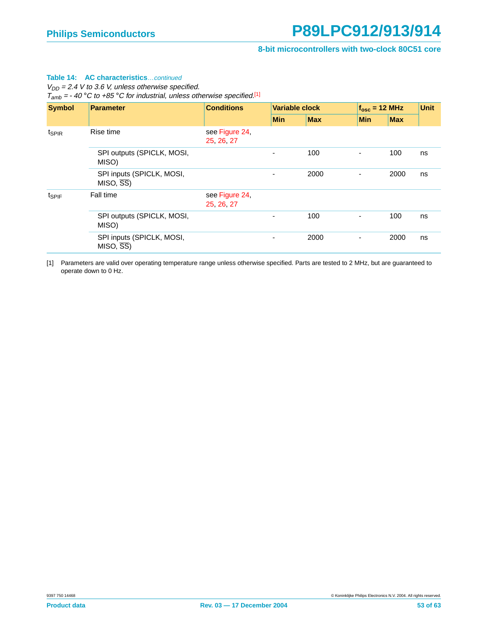#### **Table 14: AC characteristics**…continued

 $V_{DD} = 2.4$  V to 3.6 V, unless otherwise specified.

 $T_{amb} = -40 °C$  to +85 °C for industrial, unless otherwise specified.<sup>[1]</sup>

| <b>Symbol</b>     | <b>Parameter</b>                                     | <b>Conditions</b>            |            | <b>Variable clock</b> |                          | $f_{osc}$ = 12 MHz |    |
|-------------------|------------------------------------------------------|------------------------------|------------|-----------------------|--------------------------|--------------------|----|
|                   |                                                      |                              | <b>Min</b> | <b>Max</b>            | <b>Min</b>               | <b>Max</b>         |    |
| t <sub>SPIR</sub> | Rise time                                            | see Figure 24,<br>25, 26, 27 |            |                       |                          |                    |    |
|                   | SPI outputs (SPICLK, MOSI,<br>MISO)                  |                              |            | 100                   |                          | 100                | ns |
|                   | SPI inputs (SPICLK, MOSI,<br>$MISO, \overline{SS}$   |                              | ۰          | 2000                  | $\overline{\phantom{a}}$ | 2000               | ns |
| $t_{SPIF}$        | Fall time                                            | see Figure 24,<br>25, 26, 27 |            |                       |                          |                    |    |
|                   | SPI outputs (SPICLK, MOSI,<br>MISO)                  |                              |            | 100                   | ٠                        | 100                | ns |
|                   | SPI inputs (SPICLK, MOSI,<br>$MISO, \overline{SS}$ ) |                              |            | 2000                  | ٠                        | 2000               | ns |

<span id="page-52-0"></span>[1] Parameters are valid over operating temperature range unless otherwise specified. Parts are tested to 2 MHz, but are guaranteed to operate down to 0 Hz.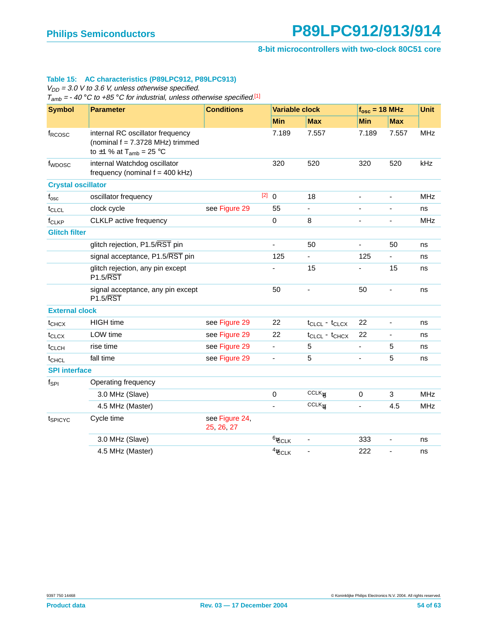#### <span id="page-53-0"></span>**Table 15: AC characteristics (P89LPC912, P89LPC913)**

 $V_{DD}$  = 3.0 V to 3.6 V, unless otherwise specified.

 $T_{amb} = -40$  °C to +85 °C for industrial, unless otherwise specified.<sup>[\[1\]](#page-55-1)</sup>

| <b>Symbol</b>             | <b>Parameter</b>                                                                                                   | <b>Conditions</b>            |       |                    | <b>Variable clock</b> |                          | $f_{osc}$ = 18 MHz       |            |
|---------------------------|--------------------------------------------------------------------------------------------------------------------|------------------------------|-------|--------------------|-----------------------|--------------------------|--------------------------|------------|
|                           |                                                                                                                    |                              |       | <b>Min</b>         | <b>Max</b>            | <b>Min</b>               | <b>Max</b>               |            |
| f <sub>RCOSC</sub>        | internal RC oscillator frequency<br>(nominal $f = 7.3728$ MHz) trimmed<br>to $\pm$ 1 % at T <sub>amb</sub> = 25 °C |                              |       | 7.189              | 7.557                 | 7.189                    | 7.557                    | <b>MHz</b> |
| f <sub>WDOSC</sub>        | internal Watchdog oscillator<br>frequency (nominal $f = 400$ kHz)                                                  |                              |       | 320                | 520                   | 320                      | 520                      | kHz        |
| <b>Crystal oscillator</b> |                                                                                                                    |                              |       |                    |                       |                          |                          |            |
| $f_{\rm osc}$             | oscillator frequency                                                                                               |                              | [2] 0 |                    | 18                    | $\blacksquare$           | $\blacksquare$           | <b>MHz</b> |
| t <sub>CLCL</sub>         | clock cycle                                                                                                        | see Figure 29                |       | 55                 | ÷,                    |                          | $\overline{\phantom{a}}$ | ns         |
| f <sub>CLKP</sub>         | CLKLP active frequency                                                                                             |                              |       | $\mathbf 0$        | 8                     | $\overline{\phantom{a}}$ | $\overline{\phantom{a}}$ | <b>MHz</b> |
| <b>Glitch filter</b>      |                                                                                                                    |                              |       |                    |                       |                          |                          |            |
|                           | glitch rejection, P1.5/RST pin                                                                                     |                              |       | ÷,                 | 50                    | $\blacksquare$           | 50                       | ns         |
|                           | signal acceptance, P1.5/RST pin                                                                                    |                              |       | 125                |                       | 125                      | ÷,                       | ns         |
|                           | glitch rejection, any pin except<br>$P1.5/\overline{RST}$                                                          |                              |       |                    | 15                    | $\overline{\phantom{a}}$ | 15                       | ns         |
|                           | signal acceptance, any pin except<br><b>P1.5/RST</b>                                                               |                              |       | 50                 | ÷,                    | 50                       | $\blacksquare$           | ns         |
| <b>External clock</b>     |                                                                                                                    |                              |       |                    |                       |                          |                          |            |
| t <sub>CHCX</sub>         | <b>HIGH</b> time                                                                                                   | see Figure 29                |       | 22                 | $t_{CLCL} - t_{CLCX}$ | 22                       | $\blacksquare$           | ns         |
| $t_{CLCX}$                | LOW time                                                                                                           | see Figure 29                |       | 22                 | $t_{CLCL} - t_{CHCX}$ | 22                       | $\blacksquare$           | ns         |
| t <sub>CLCH</sub>         | rise time                                                                                                          | see Figure 29                |       | $\blacksquare$     | 5                     | $\blacksquare$           | 5                        | ns         |
| t <sub>CHCL</sub>         | fall time                                                                                                          | see Figure 29                |       | $\blacksquare$     | 5                     | $\overline{\phantom{a}}$ | $\sqrt{5}$               | ns         |
| <b>SPI</b> interface      |                                                                                                                    |                              |       |                    |                       |                          |                          |            |
| $f_{\sf SPI}$             | Operating frequency                                                                                                |                              |       |                    |                       |                          |                          |            |
|                           | 3.0 MHz (Slave)                                                                                                    |                              |       | $\mathbf 0$        | CCLK                  | $\mathbf 0$              | 3                        | <b>MHz</b> |
|                           | 4.5 MHz (Master)                                                                                                   |                              |       |                    | $CCLK$ /4             | $\frac{1}{2}$            | 4.5                      | <b>MHz</b> |
| tspicyc                   | Cycle time                                                                                                         | see Figure 24,<br>25, 26, 27 |       |                    |                       |                          |                          |            |
|                           | 3.0 MHz (Slave)                                                                                                    |                              |       | $\frac{6}{2}$ CCLK |                       | 333                      | $\overline{\phantom{a}}$ | ns         |
|                           | 4.5 MHz (Master)                                                                                                   |                              |       | $4/$ CCLK          |                       | 222                      |                          | ns         |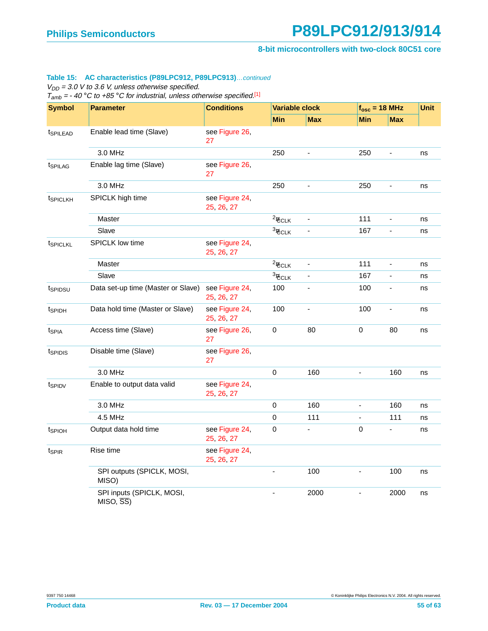**8-bit microcontrollers with two-clock 80C51 core**

#### **Table 15: AC characteristics (P89LPC912, P89LPC913)**…continued

 $V_{DD}$  = 3.0 V to 3.6 V, unless otherwise specified.

 $T_{amb} = -40 °C$  to +85 °C for industrial, unless otherwise specified.<sup>[1]</sup>

| <b>Symbol</b>          | <b>Parameter</b>                                   | <b>Conditions</b>            | <b>Variable clock</b>    |                              |                              | $f_{\rm osc}$ = 18 MHz       | <b>Unit</b> |
|------------------------|----------------------------------------------------|------------------------------|--------------------------|------------------------------|------------------------------|------------------------------|-------------|
|                        |                                                    |                              | <b>Min</b>               | <b>Max</b>                   | <b>Min</b>                   | <b>Max</b>                   |             |
| <i><b>ISPILEAD</b></i> | Enable lead time (Slave)                           | see Figure 26,<br>27         |                          |                              |                              |                              |             |
|                        | 3.0 MHz                                            |                              | 250                      | $\overline{a}$               | 250                          | $\qquad \qquad \blacksquare$ | ns          |
| t <sub>SPILAG</sub>    | Enable lag time (Slave)                            | see Figure 26,<br>27         |                          |                              |                              |                              |             |
|                        | 3.0 MHz                                            |                              | 250                      |                              | 250                          | -                            | ns          |
| t <sub>SPICLKH</sub>   | SPICLK high time                                   | see Figure 24,<br>25, 26, 27 |                          |                              |                              |                              |             |
|                        | Master                                             |                              | $\frac{2}{\sqrt{CCLK}}$  |                              | 111                          | ÷,                           | ns          |
|                        | Slave                                              |                              | $\frac{3}{2}$ CCLK       |                              | 167                          | $\qquad \qquad \blacksquare$ | ns          |
| t <sub>SPICLKL</sub>   | <b>SPICLK low time</b>                             | see Figure 24,<br>25, 26, 27 |                          |                              |                              |                              |             |
|                        | Master                                             |                              | $\frac{2}{\sqrt{CCLK}}$  | $\qquad \qquad \blacksquare$ | 111                          | $\blacksquare$               | ns          |
|                        | Slave                                              |                              | $\frac{3}{2}$ CCLK       | ÷,                           | 167                          | $\overline{\phantom{a}}$     | ns          |
| tspipsu                | Data set-up time (Master or Slave)                 | see Figure 24,<br>25, 26, 27 | 100                      | ä,                           | 100                          | ÷,                           | ns          |
| t <sub>SPIDH</sub>     | Data hold time (Master or Slave)                   | see Figure 24,<br>25, 26, 27 | 100                      | $\blacksquare$               | 100                          | $\blacksquare$               | ns          |
| t <sub>SPIA</sub>      | Access time (Slave)                                | see Figure 26,<br>27         | 0                        | 80                           | 0                            | 80                           | ns          |
| tspipis                | Disable time (Slave)                               | see Figure 26,<br>27         |                          |                              |                              |                              |             |
|                        | 3.0 MHz                                            |                              | 0                        | 160                          | $\blacksquare$               | 160                          | ns          |
| tspipy                 | Enable to output data valid                        | see Figure 24,<br>25, 26, 27 |                          |                              |                              |                              |             |
|                        | 3.0 MHz                                            |                              | 0                        | 160                          | $\overline{\phantom{a}}$     | 160                          | ns          |
|                        | 4.5 MHz                                            |                              | $\mathbf 0$              | 111                          | $\qquad \qquad \blacksquare$ | 111                          | ns          |
| t <sub>SPIOH</sub>     | Output data hold time                              | see Figure 24,<br>25, 26, 27 | $\mathbf 0$              | L                            | 0                            | ÷.                           | ns          |
| t <sub>SPIR</sub>      | Rise time                                          | see Figure 24,<br>25, 26, 27 |                          |                              |                              |                              |             |
|                        | SPI outputs (SPICLK, MOSI,<br>MISO)                |                              | $\overline{\phantom{a}}$ | 100                          | $\blacksquare$               | 100                          | ns          |
|                        | SPI inputs (SPICLK, MOSI,<br>$MISO, \overline{SS}$ |                              |                          | 2000                         | $\overline{\phantom{a}}$     | 2000                         | ns          |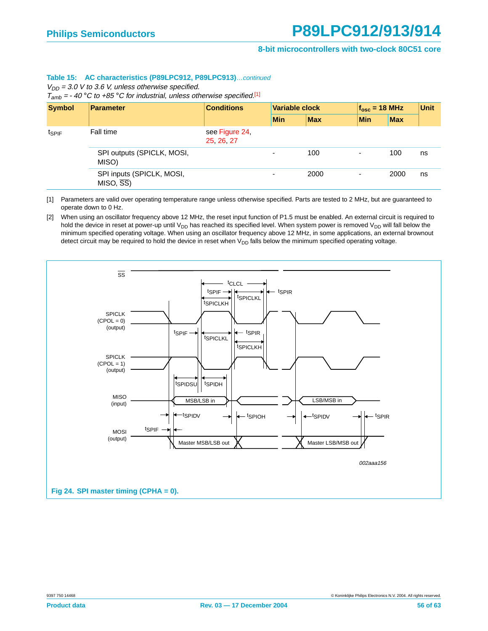#### **Table 15: AC characteristics (P89LPC912, P89LPC913)**…continued

 $V_{DD}$  = 3.0 V to 3.6 V, unless otherwise specified.

 $T_{amb} = -40$  °C to +85 °C for industrial, unless otherwise specified.[1]

| <b>Symbol</b> | <b>Parameter</b>                                   | <b>Conditions</b>          | <b>Variable clock</b> |            | $f_{osc}$ = 18 MHz       |            | <b>Unit</b> |
|---------------|----------------------------------------------------|----------------------------|-----------------------|------------|--------------------------|------------|-------------|
|               |                                                    |                            | <b>Min</b>            | <b>Max</b> | <b>Min</b>               | <b>Max</b> |             |
| $t_{SPIF}$    | Fall time                                          | see Figure 24,<br>25 26 27 |                       |            |                          |            |             |
|               | SPI outputs (SPICLK, MOSI,<br>MISO)                |                            | $\blacksquare$        | 100        | $\overline{\phantom{a}}$ | 100        | ns          |
|               | SPI inputs (SPICLK, MOSI,<br>$MISO, \overline{SS}$ |                            | $\sim$                | 2000       | $\overline{\phantom{a}}$ | 2000       | ns          |

<span id="page-55-1"></span>[1] Parameters are valid over operating temperature range unless otherwise specified. Parts are tested to 2 MHz, but are guaranteed to operate down to 0 Hz.

<span id="page-55-2"></span>[2] When using an oscillator frequency above 12 MHz, the reset input function of P1.5 must be enabled. An external circuit is required to hold the device in reset at power-up until  $V_{DD}$  has reached its specified level. When system power is removed  $V_{DD}$  will fall below the minimum specified operating voltage. When using an oscillator frequency above 12 MHz, in some applications, an external brownout detect circuit may be required to hold the device in reset when  $V_{DD}$  falls below the minimum specified operating voltage.

<span id="page-55-0"></span>![](_page_55_Figure_9.jpeg)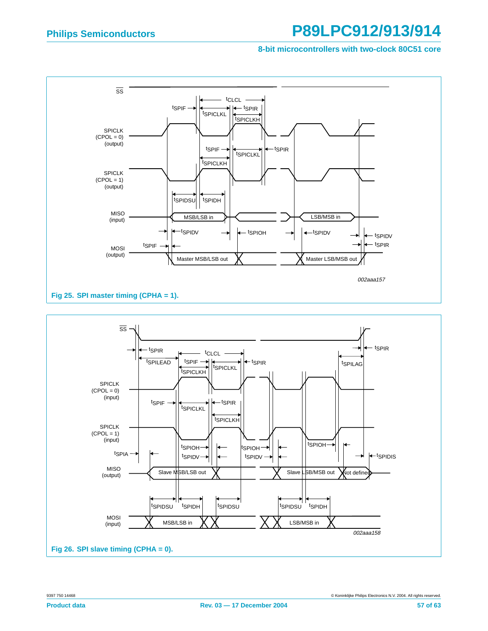**8-bit microcontrollers with two-clock 80C51 core**

<span id="page-56-1"></span><span id="page-56-0"></span>![](_page_56_Figure_3.jpeg)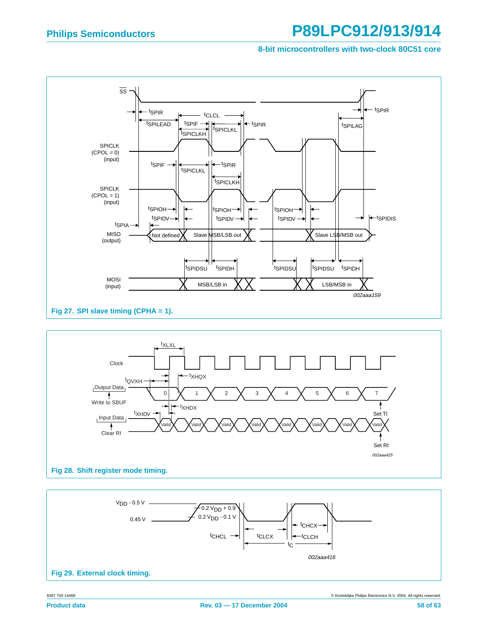**8-bit microcontrollers with two-clock 80C51 core**

![](_page_57_Figure_3.jpeg)

<span id="page-57-2"></span>![](_page_57_Figure_4.jpeg)

<span id="page-57-1"></span><span id="page-57-0"></span>![](_page_57_Figure_5.jpeg)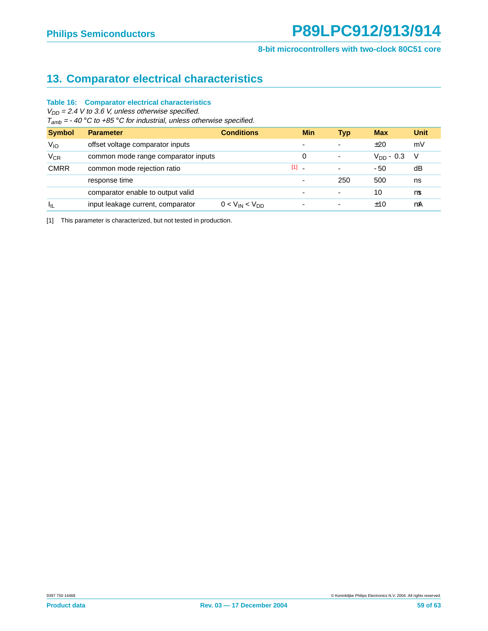## <span id="page-58-1"></span>**13. Comparator electrical characteristics**

#### **Table 16: Comparator electrical characteristics**

 $V_{DD}$  = 2.4 V to 3.6 V, unless otherwise specified.

 $T_{amb} = -40$  °C to +85 °C for industrial, unless otherwise specified.

| <b>Symbol</b>   | <b>Parameter</b>                    | <b>Conditions</b>     | <b>Min</b>                     | <b>Typ</b>               | <b>Max</b>     | <b>Unit</b> |
|-----------------|-------------------------------------|-----------------------|--------------------------------|--------------------------|----------------|-------------|
| $V_{IO}$        | offset voltage comparator inputs    |                       | $\overline{\phantom{a}}$       | $\overline{\phantom{0}}$ | ±20            | mV          |
| $V_{CR}$        | common mode range comparator inputs |                       | 0                              | ٠                        | $V_{DD} - 0.3$ | - V         |
| <b>CMRR</b>     | common mode rejection ratio         |                       | $[1]$ $\overline{\phantom{a}}$ | $\overline{\phantom{a}}$ | $-50$          | dB          |
|                 | response time                       |                       | $\overline{\phantom{a}}$       | 250                      | 500            | ns          |
|                 | comparator enable to output valid   |                       | $\overline{\phantom{a}}$       | $\overline{\phantom{0}}$ | 10             | μs          |
| $I_{\parallel}$ | input leakage current, comparator   | $0 < V_{IN} < V_{DD}$ | $\overline{\phantom{a}}$       | $\blacksquare$           | ±10            | μA          |

<span id="page-58-0"></span>[1] This parameter is characterized, but not tested in production.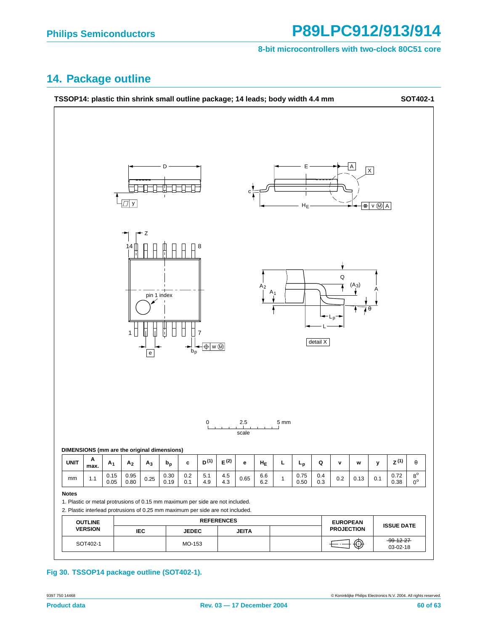#### **8-bit microcontrollers with two-clock 80C51 core**

### <span id="page-59-0"></span>**14. Package outline**

![](_page_59_Figure_4.jpeg)

**Fig 30. TSSOP14 package outline (SOT402-1).**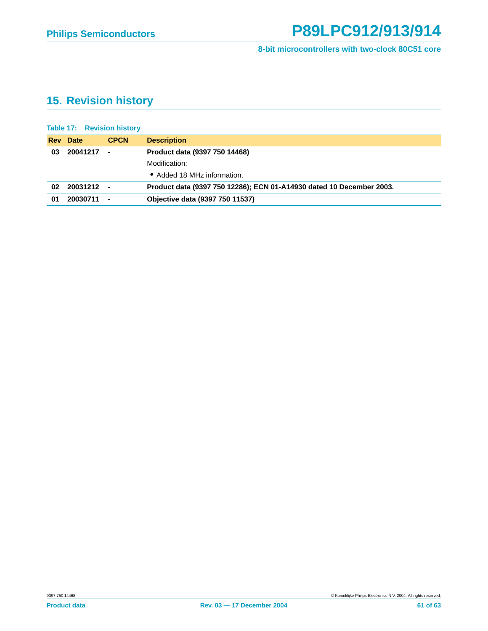## <span id="page-60-0"></span>**15. Revision history**

|            | <b>Table 17: Revision history</b> |                |                                                                      |
|------------|-----------------------------------|----------------|----------------------------------------------------------------------|
| <b>Rev</b> | <b>Date</b>                       | <b>CPCN</b>    | <b>Description</b>                                                   |
| 03         | 20041217                          | $\blacksquare$ | Product data (9397 750 14468)                                        |
|            |                                   |                | Modification:                                                        |
|            |                                   |                | • Added 18 MHz information.                                          |
| 02         | 20031212 -                        |                | Product data (9397 750 12286); ECN 01-A14930 dated 10 December 2003. |
| 01         | 20030711                          | $\sim$ $-$     | <b>Objective data (9397 750 11537)</b>                               |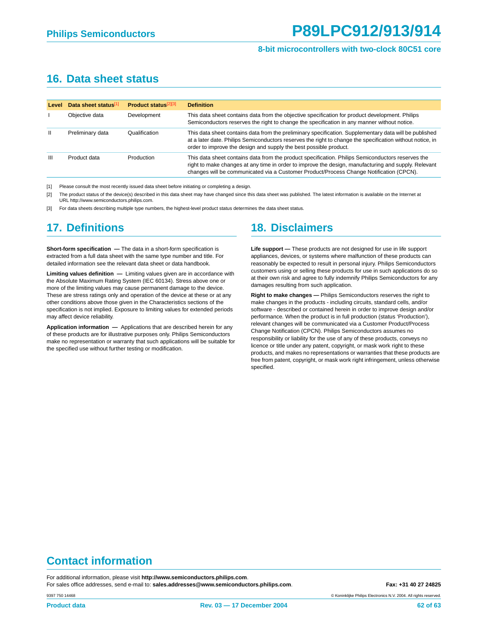#### **8-bit microcontrollers with two-clock 80C51 core**

#### **16. Data sheet status**

| Level          | Data sheet status[1] | <b>Product status</b> <sup>[2][3]</sup> | <b>Definition</b>                                                                                                                                                                                                                                                                                    |
|----------------|----------------------|-----------------------------------------|------------------------------------------------------------------------------------------------------------------------------------------------------------------------------------------------------------------------------------------------------------------------------------------------------|
|                | Objective data       | Development                             | This data sheet contains data from the objective specification for product development. Philips<br>Semiconductors reserves the right to change the specification in any manner without notice.                                                                                                       |
| $\mathbf{H}$   | Preliminary data     | Qualification                           | This data sheet contains data from the preliminary specification. Supplementary data will be published<br>at a later date. Philips Semiconductors reserves the right to change the specification without notice, in<br>order to improve the design and supply the best possible product.             |
| $\mathbf{III}$ | Product data         | Production                              | This data sheet contains data from the product specification. Philips Semiconductors reserves the<br>right to make changes at any time in order to improve the design, manufacturing and supply. Relevant<br>changes will be communicated via a Customer Product/Process Change Notification (CPCN). |

[1] Please consult the most recently issued data sheet before initiating or completing a design.

[2] The product status of the device(s) described in this data sheet may have changed since this data sheet was published. The latest information is available on the Internet at URL http://www.semiconductors.philips.com.

[3] For data sheets describing multiple type numbers, the highest-level product status determines the data sheet status.

#### **17. Definitions**

**Short-form specification —** The data in a short-form specification is extracted from a full data sheet with the same type number and title. For detailed information see the relevant data sheet or data handbook.

**Limiting values definition —** Limiting values given are in accordance with the Absolute Maximum Rating System (IEC 60134). Stress above one or more of the limiting values may cause permanent damage to the device. These are stress ratings only and operation of the device at these or at any other conditions above those given in the Characteristics sections of the specification is not implied. Exposure to limiting values for extended periods may affect device reliability.

**Application information —** Applications that are described herein for any of these products are for illustrative purposes only. Philips Semiconductors make no representation or warranty that such applications will be suitable for the specified use without further testing or modification.

#### **18. Disclaimers**

**Life support —** These products are not designed for use in life support appliances, devices, or systems where malfunction of these products can reasonably be expected to result in personal injury. Philips Semiconductors customers using or selling these products for use in such applications do so at their own risk and agree to fully indemnify Philips Semiconductors for any damages resulting from such application.

**Right to make changes —** Philips Semiconductors reserves the right to make changes in the products - including circuits, standard cells, and/or software - described or contained herein in order to improve design and/or performance. When the product is in full production (status 'Production'), relevant changes will be communicated via a Customer Product/Process Change Notification (CPCN). Philips Semiconductors assumes no responsibility or liability for the use of any of these products, conveys no licence or title under any patent, copyright, or mask work right to these products, and makes no representations or warranties that these products are free from patent, copyright, or mask work right infringement, unless otherwise specified.

#### **Contact information**

For additional information, please visit **http://www.semiconductors.philips.com**. For sales office addresses, send e-mail to: **sales.addresses@www.semiconductors.philips.com. Fax: +31 40 27 24825** 

© Koninklijke Philips Electronics N.V. 2004. All rights reserved.

9397 750 14468